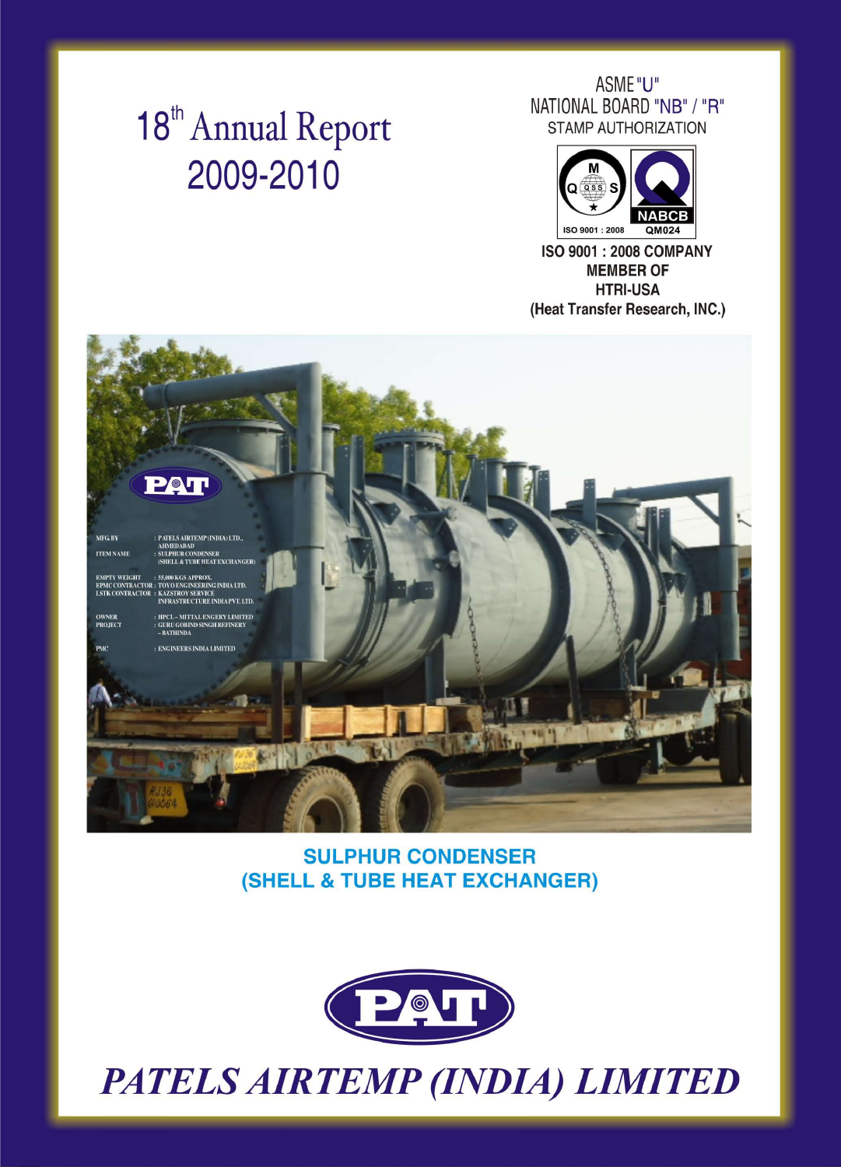# 18<sup>th</sup> Annual Report 2009-2010

ASME "U" NATIONAL BOARD "NB" / "R" **STAMP AUTHORIZATION** 



**ISO 9001: 2008 COMPANY MEMBER OF HTRI-USA** (Heat Transfer Research, INC.)



# POU

| AFG. BY         | : PATELS AIRTEMP (INDIA) LTD  |
|-----------------|-------------------------------|
|                 | <b>AHMEDABAD</b>              |
| <b>TEM NAME</b> | <b>: SULPHUR CONDENSER</b>    |
|                 | (SHELL & TUBE HEAT EXCHANGER) |

EMPTY WEIGHT : 55,000 KGS APPROX. EPMC CONTRACTOR : TOYO ENGINEERING INDIA LTD. **LSTK CONTRACTOR : KAZSTROY SERVICE INFRASTRUCTURE INDIA PVT. LTD.** 

: HPCL-MITTAL ENGERY LIMITED **OWNER** : GURU GOBIND SINGH REFINERY **PROJECT**  $-BATHINDA$ 

: ENGINEERS INDIA LIMITED **PMC** 



# **SULPHUR CONDENSER** (SHELL & TUBE HEAT EXCHANGER)



# PATELS AIRTEMP (INDIA) LIMITED

| ________________________ |  |
|--------------------------|--|
|                          |  |
|                          |  |
|                          |  |
|                          |  |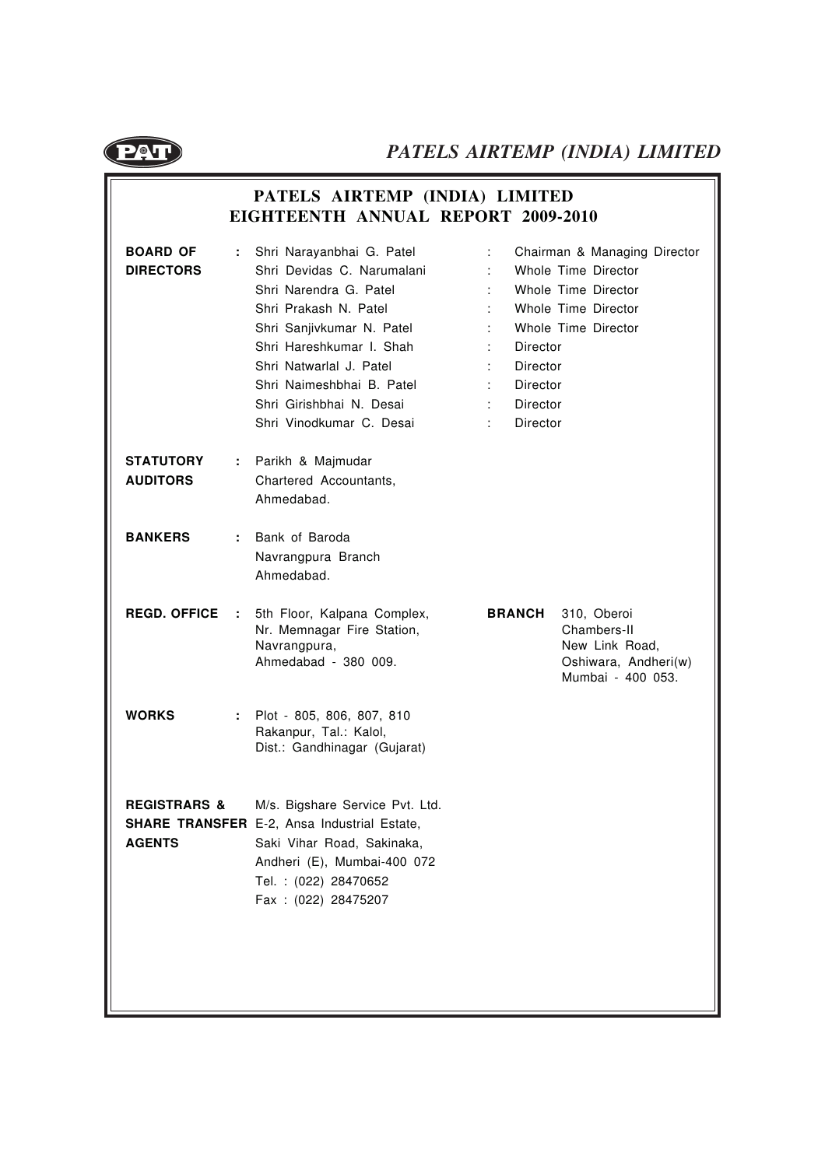

# **PATELS AIRTEMP (INDIA) LIMITED EIGHTEENTH ANNUAL REPORT 2009-2010**

| <b>BOARD OF</b><br><b>DIRECTORS</b>       | Shri Narayanbhai G. Patel<br>Shri Devidas C. Narumalani<br>Shri Narendra G. Patel<br>Shri Prakash N. Patel<br>Shri Sanjivkumar N. Patel<br>Shri Hareshkumar I. Shah<br>Shri Natwarlal J. Patel<br>Shri Naimeshbhai B. Patel<br>Shri Girishbhai N. Desai<br>Shri Vinodkumar C. Desai | Chairman & Managing Director<br>Whole Time Director<br>Whole Time Director<br>Whole Time Director<br>Whole Time Director<br>Director<br>Director<br>Director<br><b>Director</b><br>Director |
|-------------------------------------------|-------------------------------------------------------------------------------------------------------------------------------------------------------------------------------------------------------------------------------------------------------------------------------------|---------------------------------------------------------------------------------------------------------------------------------------------------------------------------------------------|
| <b>STATUTORY</b><br>÷.<br><b>AUDITORS</b> | Parikh & Majmudar<br>Chartered Accountants,<br>Ahmedabad.                                                                                                                                                                                                                           |                                                                                                                                                                                             |
| <b>BANKERS</b><br>÷.                      | Bank of Baroda<br>Navrangpura Branch<br>Ahmedabad.                                                                                                                                                                                                                                  |                                                                                                                                                                                             |
| <b>REGD. OFFICE</b><br>÷.                 | 5th Floor, Kalpana Complex,<br>Nr. Memnagar Fire Station,<br>Navrangpura,<br>Ahmedabad - 380 009.                                                                                                                                                                                   | <b>BRANCH</b><br>310, Oberoi<br>Chambers-II<br>New Link Road,<br>Oshiwara, Andheri(w)<br>Mumbai - 400 053.                                                                                  |
| <b>WORKS</b><br>÷.                        | Plot - 805, 806, 807, 810<br>Rakanpur, Tal.: Kalol,<br>Dist.: Gandhinagar (Gujarat)                                                                                                                                                                                                 |                                                                                                                                                                                             |
| <b>REGISTRARS &amp;</b><br><b>AGENTS</b>  | M/s. Bigshare Service Pvt. Ltd.<br><b>SHARE TRANSFER</b> E-2, Ansa Industrial Estate,<br>Saki Vihar Road, Sakinaka,<br>Andheri (E), Mumbai-400 072<br>Tel.: (022) 28470652<br>Fax: (022) 28475207                                                                                   |                                                                                                                                                                                             |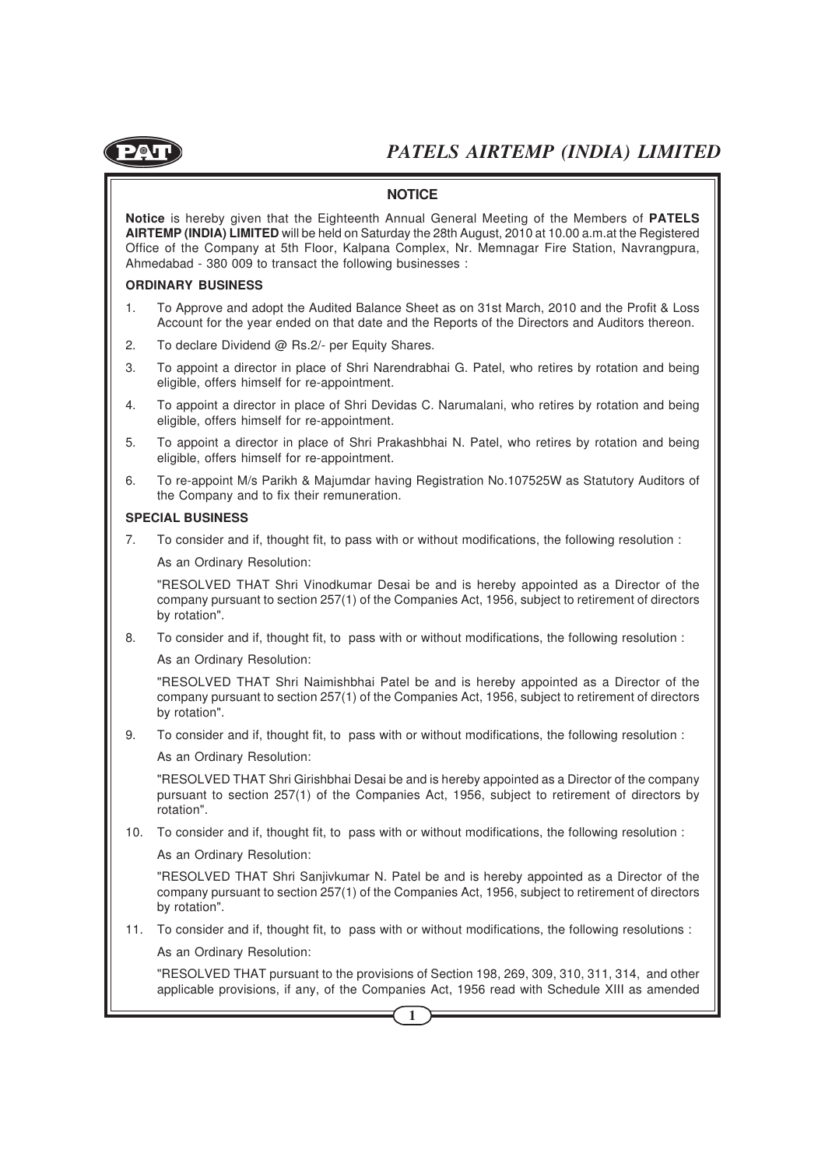

#### **NOTICE**

**Notice** is hereby given that the Eighteenth Annual General Meeting of the Members of **PATELS AIRTEMP (INDIA) LIMITED** will be held on Saturday the 28th August, 2010 at 10.00 a.m.at the Registered Office of the Company at 5th Floor, Kalpana Complex, Nr. Memnagar Fire Station, Navrangpura, Ahmedabad - 380 009 to transact the following businesses :

#### **ORDINARY BUSINESS**

- 1. To Approve and adopt the Audited Balance Sheet as on 31st March, 2010 and the Profit & Loss Account for the year ended on that date and the Reports of the Directors and Auditors thereon.
- 2. To declare Dividend @ Rs.2/- per Equity Shares.
- 3. To appoint a director in place of Shri Narendrabhai G. Patel, who retires by rotation and being eligible, offers himself for re-appointment.
- 4. To appoint a director in place of Shri Devidas C. Narumalani, who retires by rotation and being eligible, offers himself for re-appointment.
- 5. To appoint a director in place of Shri Prakashbhai N. Patel, who retires by rotation and being eligible, offers himself for re-appointment.
- 6. To re-appoint M/s Parikh & Majumdar having Registration No.107525W as Statutory Auditors of the Company and to fix their remuneration.

#### **SPECIAL BUSINESS**

7. To consider and if, thought fit, to pass with or without modifications, the following resolution :

As an Ordinary Resolution:

"RESOLVED THAT Shri Vinodkumar Desai be and is hereby appointed as a Director of the company pursuant to section 257(1) of the Companies Act, 1956, subject to retirement of directors by rotation".

8. To consider and if, thought fit, to pass with or without modifications, the following resolution :

As an Ordinary Resolution:

"RESOLVED THAT Shri Naimishbhai Patel be and is hereby appointed as a Director of the company pursuant to section 257(1) of the Companies Act, 1956, subject to retirement of directors by rotation".

9. To consider and if, thought fit, to pass with or without modifications, the following resolution :

As an Ordinary Resolution:

"RESOLVED THAT Shri Girishbhai Desai be and is hereby appointed as a Director of the company pursuant to section 257(1) of the Companies Act, 1956, subject to retirement of directors by rotation".

10. To consider and if, thought fit, to pass with or without modifications, the following resolution :

As an Ordinary Resolution:

"RESOLVED THAT Shri Sanjivkumar N. Patel be and is hereby appointed as a Director of the company pursuant to section 257(1) of the Companies Act, 1956, subject to retirement of directors by rotation".

11. To consider and if, thought fit, to pass with or without modifications, the following resolutions :

As an Ordinary Resolution:

"RESOLVED THAT pursuant to the provisions of Section 198, 269, 309, 310, 311, 314, and other applicable provisions, if any, of the Companies Act, 1956 read with Schedule XIII as amended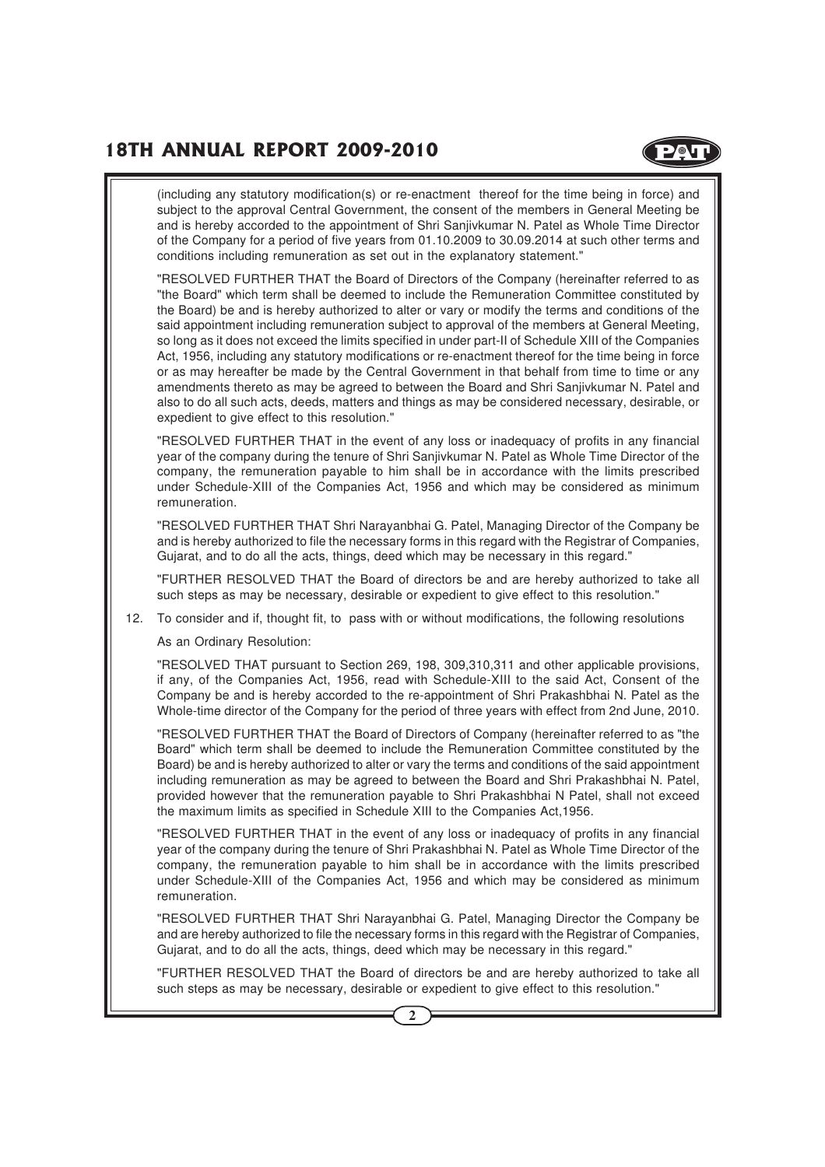**D**OL

(including any statutory modification(s) or re-enactment thereof for the time being in force) and subject to the approval Central Government, the consent of the members in General Meeting be and is hereby accorded to the appointment of Shri Sanjivkumar N. Patel as Whole Time Director of the Company for a period of five years from 01.10.2009 to 30.09.2014 at such other terms and conditions including remuneration as set out in the explanatory statement."

"RESOLVED FURTHER THAT the Board of Directors of the Company (hereinafter referred to as "the Board" which term shall be deemed to include the Remuneration Committee constituted by the Board) be and is hereby authorized to alter or vary or modify the terms and conditions of the said appointment including remuneration subject to approval of the members at General Meeting, so long as it does not exceed the limits specified in under part-II of Schedule XIII of the Companies Act, 1956, including any statutory modifications or re-enactment thereof for the time being in force or as may hereafter be made by the Central Government in that behalf from time to time or any amendments thereto as may be agreed to between the Board and Shri Sanjivkumar N. Patel and also to do all such acts, deeds, matters and things as may be considered necessary, desirable, or expedient to give effect to this resolution."

"RESOLVED FURTHER THAT in the event of any loss or inadequacy of profits in any financial year of the company during the tenure of Shri Sanjivkumar N. Patel as Whole Time Director of the company, the remuneration payable to him shall be in accordance with the limits prescribed under Schedule-XIII of the Companies Act, 1956 and which may be considered as minimum remuneration.

"RESOLVED FURTHER THAT Shri Narayanbhai G. Patel, Managing Director of the Company be and is hereby authorized to file the necessary forms in this regard with the Registrar of Companies, Gujarat, and to do all the acts, things, deed which may be necessary in this regard."

"FURTHER RESOLVED THAT the Board of directors be and are hereby authorized to take all such steps as may be necessary, desirable or expedient to give effect to this resolution."

12. To consider and if, thought fit, to pass with or without modifications, the following resolutions

As an Ordinary Resolution:

"RESOLVED THAT pursuant to Section 269, 198, 309,310,311 and other applicable provisions, if any, of the Companies Act, 1956, read with Schedule-XIII to the said Act, Consent of the Company be and is hereby accorded to the re-appointment of Shri Prakashbhai N. Patel as the Whole-time director of the Company for the period of three years with effect from 2nd June, 2010.

"RESOLVED FURTHER THAT the Board of Directors of Company (hereinafter referred to as "the Board" which term shall be deemed to include the Remuneration Committee constituted by the Board) be and is hereby authorized to alter or vary the terms and conditions of the said appointment including remuneration as may be agreed to between the Board and Shri Prakashbhai N. Patel, provided however that the remuneration payable to Shri Prakashbhai N Patel, shall not exceed the maximum limits as specified in Schedule XIII to the Companies Act,1956.

"RESOLVED FURTHER THAT in the event of any loss or inadequacy of profits in any financial year of the company during the tenure of Shri Prakashbhai N. Patel as Whole Time Director of the company, the remuneration payable to him shall be in accordance with the limits prescribed under Schedule-XIII of the Companies Act, 1956 and which may be considered as minimum remuneration.

"RESOLVED FURTHER THAT Shri Narayanbhai G. Patel, Managing Director the Company be and are hereby authorized to file the necessary forms in this regard with the Registrar of Companies, Gujarat, and to do all the acts, things, deed which may be necessary in this regard."

"FURTHER RESOLVED THAT the Board of directors be and are hereby authorized to take all such steps as may be necessary, desirable or expedient to give effect to this resolution."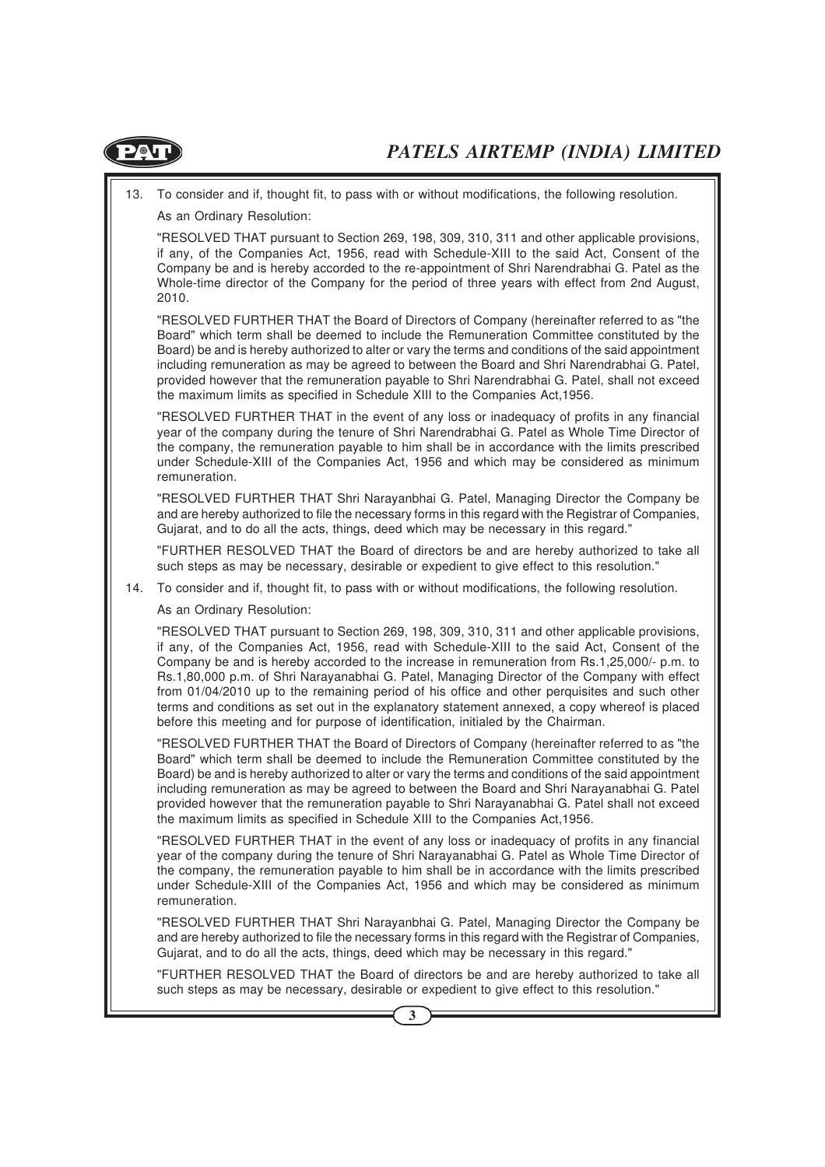

- 13. To consider and if, thought fit, to pass with or without modifications, the following resolution.
	- As an Ordinary Resolution:

"RESOLVED THAT pursuant to Section 269, 198, 309, 310, 311 and other applicable provisions, if any, of the Companies Act, 1956, read with Schedule-XIII to the said Act, Consent of the Company be and is hereby accorded to the re-appointment of Shri Narendrabhai G. Patel as the Whole-time director of the Company for the period of three years with effect from 2nd August, 2010.

"RESOLVED FURTHER THAT the Board of Directors of Company (hereinafter referred to as "the Board" which term shall be deemed to include the Remuneration Committee constituted by the Board) be and is hereby authorized to alter or vary the terms and conditions of the said appointment including remuneration as may be agreed to between the Board and Shri Narendrabhai G. Patel, provided however that the remuneration payable to Shri Narendrabhai G. Patel, shall not exceed the maximum limits as specified in Schedule XIII to the Companies Act,1956.

"RESOLVED FURTHER THAT in the event of any loss or inadequacy of profits in any financial year of the company during the tenure of Shri Narendrabhai G. Patel as Whole Time Director of the company, the remuneration payable to him shall be in accordance with the limits prescribed under Schedule-XIII of the Companies Act, 1956 and which may be considered as minimum remuneration.

"RESOLVED FURTHER THAT Shri Narayanbhai G. Patel, Managing Director the Company be and are hereby authorized to file the necessary forms in this regard with the Registrar of Companies, Gujarat, and to do all the acts, things, deed which may be necessary in this regard."

"FURTHER RESOLVED THAT the Board of directors be and are hereby authorized to take all such steps as may be necessary, desirable or expedient to give effect to this resolution."

14. To consider and if, thought fit, to pass with or without modifications, the following resolution.

As an Ordinary Resolution:

"RESOLVED THAT pursuant to Section 269, 198, 309, 310, 311 and other applicable provisions, if any, of the Companies Act, 1956, read with Schedule-XIII to the said Act, Consent of the Company be and is hereby accorded to the increase in remuneration from Rs.1,25,000/- p.m. to Rs.1,80,000 p.m. of Shri Narayanabhai G. Patel, Managing Director of the Company with effect from 01/04/2010 up to the remaining period of his office and other perquisites and such other terms and conditions as set out in the explanatory statement annexed, a copy whereof is placed before this meeting and for purpose of identification, initialed by the Chairman.

"RESOLVED FURTHER THAT the Board of Directors of Company (hereinafter referred to as "the Board" which term shall be deemed to include the Remuneration Committee constituted by the Board) be and is hereby authorized to alter or vary the terms and conditions of the said appointment including remuneration as may be agreed to between the Board and Shri Narayanabhai G. Patel provided however that the remuneration payable to Shri Narayanabhai G. Patel shall not exceed the maximum limits as specified in Schedule XIII to the Companies Act,1956.

"RESOLVED FURTHER THAT in the event of any loss or inadequacy of profits in any financial year of the company during the tenure of Shri Narayanabhai G. Patel as Whole Time Director of the company, the remuneration payable to him shall be in accordance with the limits prescribed under Schedule-XIII of the Companies Act, 1956 and which may be considered as minimum remuneration.

"RESOLVED FURTHER THAT Shri Narayanbhai G. Patel, Managing Director the Company be and are hereby authorized to file the necessary forms in this regard with the Registrar of Companies, Gujarat, and to do all the acts, things, deed which may be necessary in this regard."

"FURTHER RESOLVED THAT the Board of directors be and are hereby authorized to take all such steps as may be necessary, desirable or expedient to give effect to this resolution."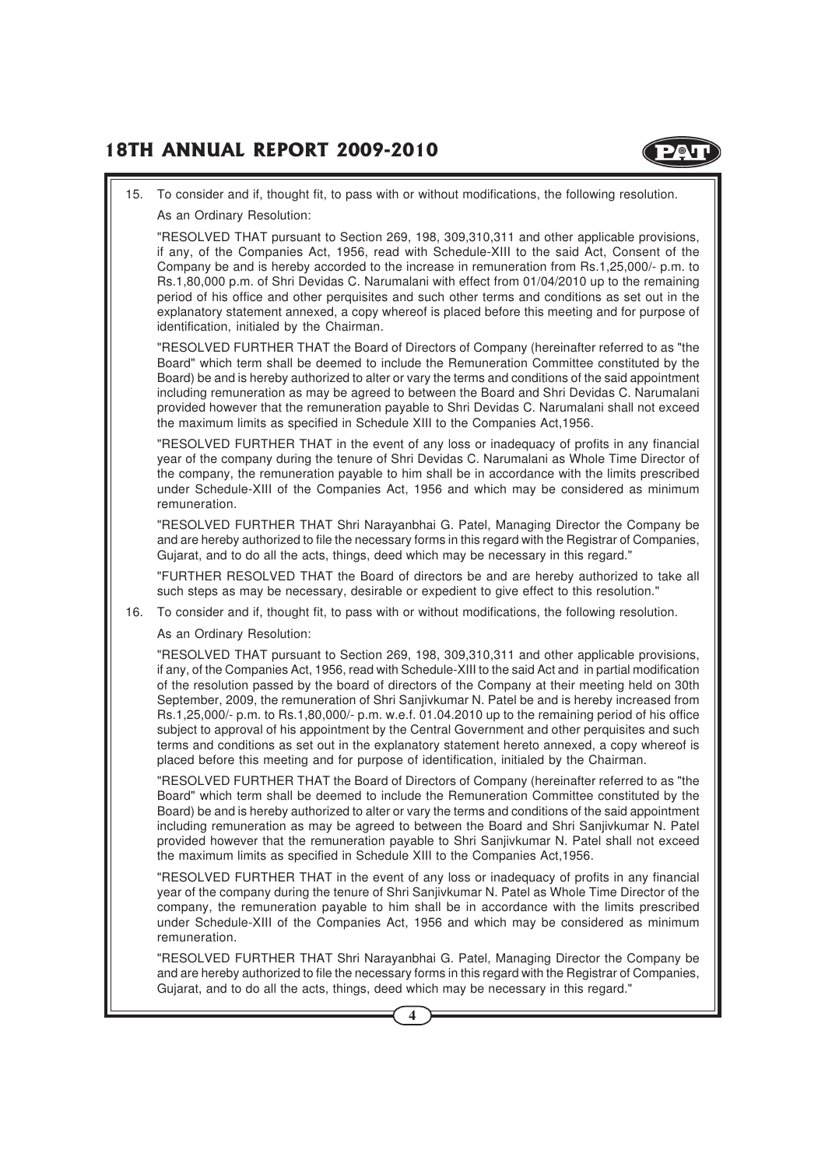

#### 15. To consider and if, thought fit, to pass with or without modifications, the following resolution.

As an Ordinary Resolution:

"RESOLVED THAT pursuant to Section 269, 198, 309,310,311 and other applicable provisions, if any, of the Companies Act, 1956, read with Schedule-XIII to the said Act, Consent of the Company be and is hereby accorded to the increase in remuneration from Rs.1,25,000/- p.m. to Rs.1,80,000 p.m. of Shri Devidas C. Narumalani with effect from 01/04/2010 up to the remaining period of his office and other perquisites and such other terms and conditions as set out in the explanatory statement annexed, a copy whereof is placed before this meeting and for purpose of identification, initialed by the Chairman.

"RESOLVED FURTHER THAT the Board of Directors of Company (hereinafter referred to as "the Board" which term shall be deemed to include the Remuneration Committee constituted by the Board) be and is hereby authorized to alter or vary the terms and conditions of the said appointment including remuneration as may be agreed to between the Board and Shri Devidas C. Narumalani provided however that the remuneration payable to Shri Devidas C. Narumalani shall not exceed the maximum limits as specified in Schedule XIII to the Companies Act,1956.

"RESOLVED FURTHER THAT in the event of any loss or inadequacy of profits in any financial year of the company during the tenure of Shri Devidas C. Narumalani as Whole Time Director of the company, the remuneration payable to him shall be in accordance with the limits prescribed under Schedule-XIII of the Companies Act, 1956 and which may be considered as minimum remuneration.

"RESOLVED FURTHER THAT Shri Narayanbhai G. Patel, Managing Director the Company be and are hereby authorized to file the necessary forms in this regard with the Registrar of Companies, Gujarat, and to do all the acts, things, deed which may be necessary in this regard."

"FURTHER RESOLVED THAT the Board of directors be and are hereby authorized to take all such steps as may be necessary, desirable or expedient to give effect to this resolution."

16. To consider and if, thought fit, to pass with or without modifications, the following resolution.

As an Ordinary Resolution:

"RESOLVED THAT pursuant to Section 269, 198, 309,310,311 and other applicable provisions, if any, of the Companies Act, 1956, read with Schedule-XIII to the said Act and in partial modification of the resolution passed by the board of directors of the Company at their meeting held on 30th September, 2009, the remuneration of Shri Sanjivkumar N. Patel be and is hereby increased from Rs.1,25,000/- p.m. to Rs.1,80,000/- p.m. w.e.f. 01.04.2010 up to the remaining period of his office subject to approval of his appointment by the Central Government and other perquisites and such terms and conditions as set out in the explanatory statement hereto annexed, a copy whereof is placed before this meeting and for purpose of identification, initialed by the Chairman.

"RESOLVED FURTHER THAT the Board of Directors of Company (hereinafter referred to as "the Board" which term shall be deemed to include the Remuneration Committee constituted by the Board) be and is hereby authorized to alter or vary the terms and conditions of the said appointment including remuneration as may be agreed to between the Board and Shri Sanjivkumar N. Patel provided however that the remuneration payable to Shri Sanjivkumar N. Patel shall not exceed the maximum limits as specified in Schedule XIII to the Companies Act,1956.

"RESOLVED FURTHER THAT in the event of any loss or inadequacy of profits in any financial year of the company during the tenure of Shri Sanjivkumar N. Patel as Whole Time Director of the company, the remuneration payable to him shall be in accordance with the limits prescribed under Schedule-XIII of the Companies Act, 1956 and which may be considered as minimum remuneration.

"RESOLVED FURTHER THAT Shri Narayanbhai G. Patel, Managing Director the Company be and are hereby authorized to file the necessary forms in this regard with the Registrar of Companies, Gujarat, and to do all the acts, things, deed which may be necessary in this regard."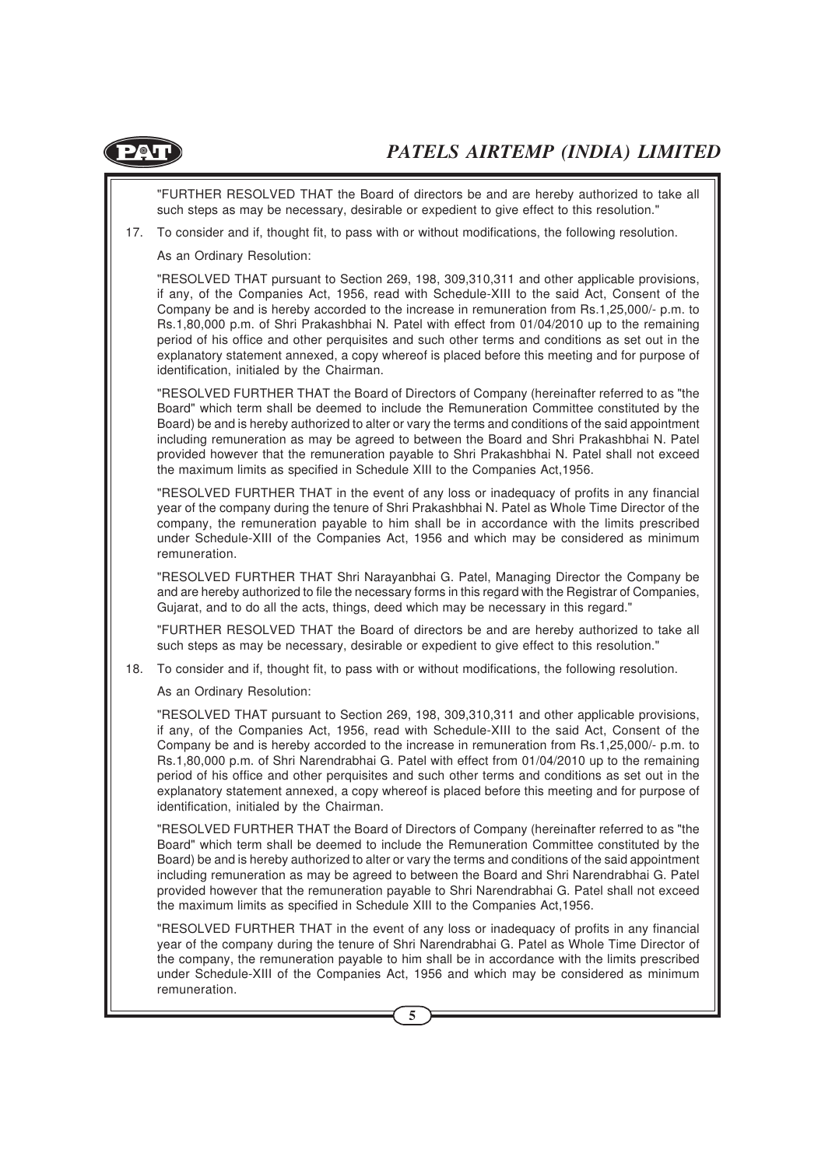

"FURTHER RESOLVED THAT the Board of directors be and are hereby authorized to take all such steps as may be necessary, desirable or expedient to give effect to this resolution."

17. To consider and if, thought fit, to pass with or without modifications, the following resolution.

As an Ordinary Resolution:

"RESOLVED THAT pursuant to Section 269, 198, 309,310,311 and other applicable provisions, if any, of the Companies Act, 1956, read with Schedule-XIII to the said Act, Consent of the Company be and is hereby accorded to the increase in remuneration from Rs.1,25,000/- p.m. to Rs.1,80,000 p.m. of Shri Prakashbhai N. Patel with effect from 01/04/2010 up to the remaining period of his office and other perquisites and such other terms and conditions as set out in the explanatory statement annexed, a copy whereof is placed before this meeting and for purpose of identification, initialed by the Chairman.

"RESOLVED FURTHER THAT the Board of Directors of Company (hereinafter referred to as "the Board" which term shall be deemed to include the Remuneration Committee constituted by the Board) be and is hereby authorized to alter or vary the terms and conditions of the said appointment including remuneration as may be agreed to between the Board and Shri Prakashbhai N. Patel provided however that the remuneration payable to Shri Prakashbhai N. Patel shall not exceed the maximum limits as specified in Schedule XIII to the Companies Act,1956.

"RESOLVED FURTHER THAT in the event of any loss or inadequacy of profits in any financial year of the company during the tenure of Shri Prakashbhai N. Patel as Whole Time Director of the company, the remuneration payable to him shall be in accordance with the limits prescribed under Schedule-XIII of the Companies Act, 1956 and which may be considered as minimum remuneration.

"RESOLVED FURTHER THAT Shri Narayanbhai G. Patel, Managing Director the Company be and are hereby authorized to file the necessary forms in this regard with the Registrar of Companies, Gujarat, and to do all the acts, things, deed which may be necessary in this regard."

"FURTHER RESOLVED THAT the Board of directors be and are hereby authorized to take all such steps as may be necessary, desirable or expedient to give effect to this resolution."

18. To consider and if, thought fit, to pass with or without modifications, the following resolution.

As an Ordinary Resolution:

"RESOLVED THAT pursuant to Section 269, 198, 309,310,311 and other applicable provisions, if any, of the Companies Act, 1956, read with Schedule-XIII to the said Act, Consent of the Company be and is hereby accorded to the increase in remuneration from Rs.1,25,000/- p.m. to Rs.1,80,000 p.m. of Shri Narendrabhai G. Patel with effect from 01/04/2010 up to the remaining period of his office and other perquisites and such other terms and conditions as set out in the explanatory statement annexed, a copy whereof is placed before this meeting and for purpose of identification, initialed by the Chairman.

"RESOLVED FURTHER THAT the Board of Directors of Company (hereinafter referred to as "the Board" which term shall be deemed to include the Remuneration Committee constituted by the Board) be and is hereby authorized to alter or vary the terms and conditions of the said appointment including remuneration as may be agreed to between the Board and Shri Narendrabhai G. Patel provided however that the remuneration payable to Shri Narendrabhai G. Patel shall not exceed the maximum limits as specified in Schedule XIII to the Companies Act,1956.

"RESOLVED FURTHER THAT in the event of any loss or inadequacy of profits in any financial year of the company during the tenure of Shri Narendrabhai G. Patel as Whole Time Director of the company, the remuneration payable to him shall be in accordance with the limits prescribed under Schedule-XIII of the Companies Act, 1956 and which may be considered as minimum remuneration.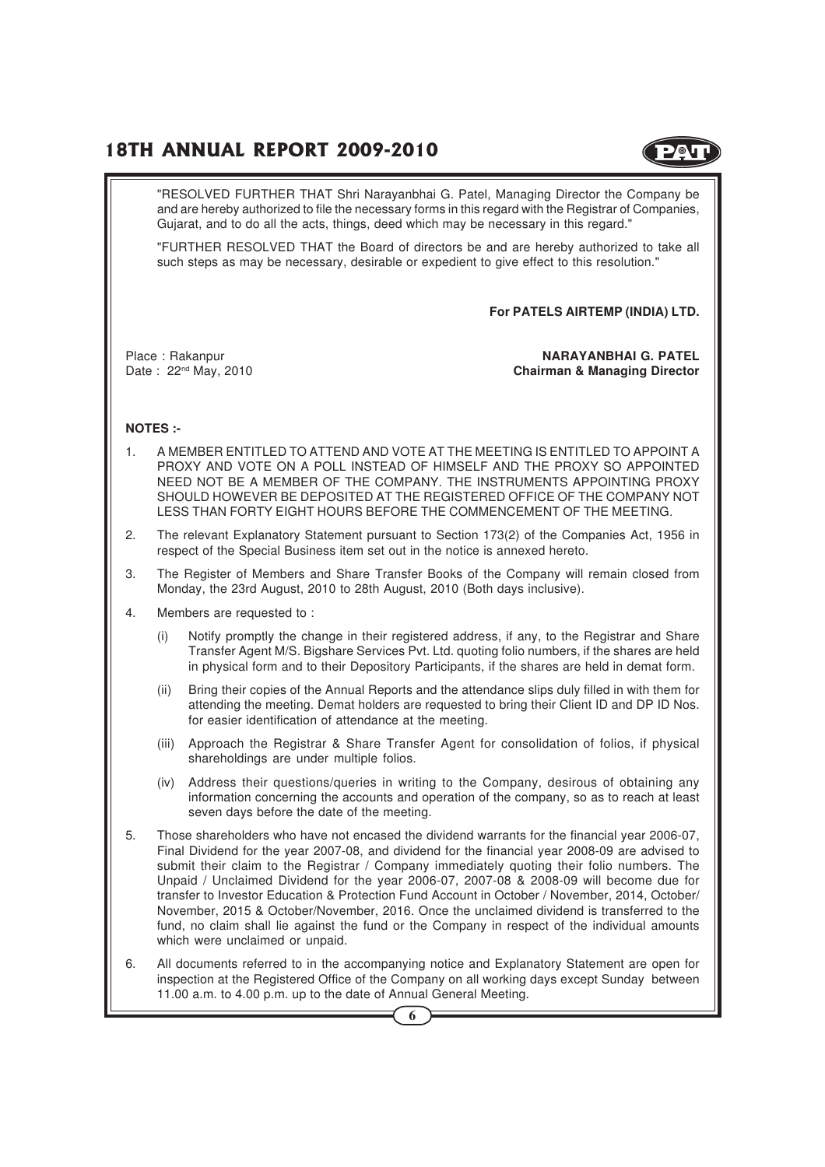

"RESOLVED FURTHER THAT Shri Narayanbhai G. Patel, Managing Director the Company be and are hereby authorized to file the necessary forms in this regard with the Registrar of Companies, Gujarat, and to do all the acts, things, deed which may be necessary in this regard."

"FURTHER RESOLVED THAT the Board of directors be and are hereby authorized to take all such steps as may be necessary, desirable or expedient to give effect to this resolution."

**For PATELS AIRTEMP (INDIA) LTD.**

Place : Rakanpur **NARAYANBHAI G. PATEL** Date : 22nd May, 2010 **Chairman & Managing Director**

#### **NOTES :-**

- 1. A MEMBER ENTITLED TO ATTEND AND VOTE AT THE MEETING IS ENTITLED TO APPOINT A PROXY AND VOTE ON A POLL INSTEAD OF HIMSELF AND THE PROXY SO APPOINTED NEED NOT BE A MEMBER OF THE COMPANY. THE INSTRUMENTS APPOINTING PROXY SHOULD HOWEVER BE DEPOSITED AT THE REGISTERED OFFICE OF THE COMPANY NOT LESS THAN FORTY EIGHT HOURS BEFORE THE COMMENCEMENT OF THE MEETING.
- 2. The relevant Explanatory Statement pursuant to Section 173(2) of the Companies Act, 1956 in respect of the Special Business item set out in the notice is annexed hereto.
- 3. The Register of Members and Share Transfer Books of the Company will remain closed from Monday, the 23rd August, 2010 to 28th August, 2010 (Both days inclusive).
- 4. Members are requested to :
	- (i) Notify promptly the change in their registered address, if any, to the Registrar and Share Transfer Agent M/S. Bigshare Services Pvt. Ltd. quoting folio numbers, if the shares are held in physical form and to their Depository Participants, if the shares are held in demat form.
	- (ii) Bring their copies of the Annual Reports and the attendance slips duly filled in with them for attending the meeting. Demat holders are requested to bring their Client ID and DP ID Nos. for easier identification of attendance at the meeting.
	- (iii) Approach the Registrar & Share Transfer Agent for consolidation of folios, if physical shareholdings are under multiple folios.
	- (iv) Address their questions/queries in writing to the Company, desirous of obtaining any information concerning the accounts and operation of the company, so as to reach at least seven days before the date of the meeting.
- 5. Those shareholders who have not encased the dividend warrants for the financial year 2006-07, Final Dividend for the year 2007-08, and dividend for the financial year 2008-09 are advised to submit their claim to the Registrar / Company immediately quoting their folio numbers. The Unpaid / Unclaimed Dividend for the year 2006-07, 2007-08 & 2008-09 will become due for transfer to Investor Education & Protection Fund Account in October / November, 2014, October/ November, 2015 & October/November, 2016. Once the unclaimed dividend is transferred to the fund, no claim shall lie against the fund or the Company in respect of the individual amounts which were unclaimed or unpaid.
- 6. All documents referred to in the accompanying notice and Explanatory Statement are open for inspection at the Registered Office of the Company on all working days except Sunday between 11.00 a.m. to 4.00 p.m. up to the date of Annual General Meeting.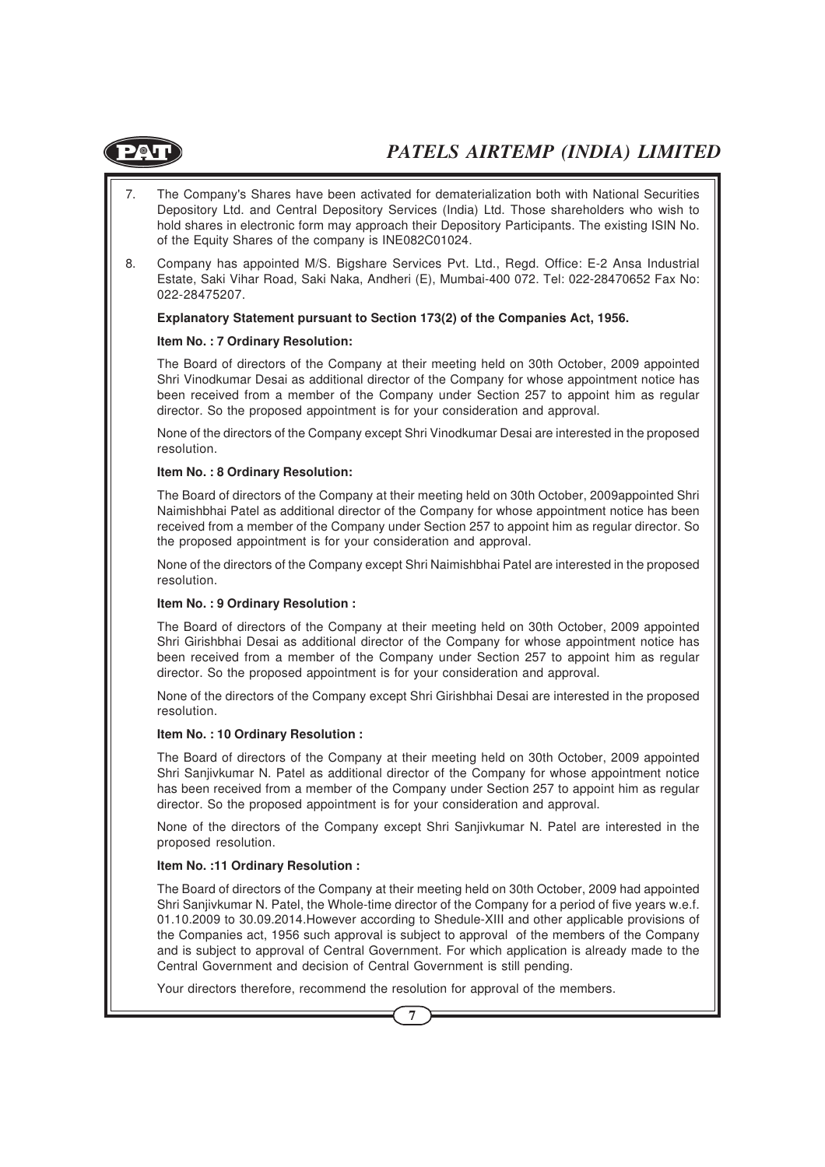

- 7. The Company's Shares have been activated for dematerialization both with National Securities Depository Ltd. and Central Depository Services (India) Ltd. Those shareholders who wish to hold shares in electronic form may approach their Depository Participants. The existing ISIN No. of the Equity Shares of the company is INE082C01024.
- 8. Company has appointed M/S. Bigshare Services Pvt. Ltd., Regd. Office: E-2 Ansa Industrial Estate, Saki Vihar Road, Saki Naka, Andheri (E), Mumbai-400 072. Tel: 022-28470652 Fax No: 022-28475207.

#### **Explanatory Statement pursuant to Section 173(2) of the Companies Act, 1956.**

#### **Item No. : 7 Ordinary Resolution:**

The Board of directors of the Company at their meeting held on 30th October, 2009 appointed Shri Vinodkumar Desai as additional director of the Company for whose appointment notice has been received from a member of the Company under Section 257 to appoint him as regular director. So the proposed appointment is for your consideration and approval.

None of the directors of the Company except Shri Vinodkumar Desai are interested in the proposed resolution.

#### **Item No. : 8 Ordinary Resolution:**

The Board of directors of the Company at their meeting held on 30th October, 2009appointed Shri Naimishbhai Patel as additional director of the Company for whose appointment notice has been received from a member of the Company under Section 257 to appoint him as regular director. So the proposed appointment is for your consideration and approval.

None of the directors of the Company except Shri Naimishbhai Patel are interested in the proposed resolution.

#### **Item No. : 9 Ordinary Resolution :**

The Board of directors of the Company at their meeting held on 30th October, 2009 appointed Shri Girishbhai Desai as additional director of the Company for whose appointment notice has been received from a member of the Company under Section 257 to appoint him as regular director. So the proposed appointment is for your consideration and approval.

None of the directors of the Company except Shri Girishbhai Desai are interested in the proposed resolution.

#### **Item No. : 10 Ordinary Resolution :**

The Board of directors of the Company at their meeting held on 30th October, 2009 appointed Shri Sanjivkumar N. Patel as additional director of the Company for whose appointment notice has been received from a member of the Company under Section 257 to appoint him as regular director. So the proposed appointment is for your consideration and approval.

None of the directors of the Company except Shri Sanjivkumar N. Patel are interested in the proposed resolution.

#### **Item No. :11 Ordinary Resolution :**

The Board of directors of the Company at their meeting held on 30th October, 2009 had appointed Shri Sanjivkumar N. Patel, the Whole-time director of the Company for a period of five years w.e.f. 01.10.2009 to 30.09.2014.However according to Shedule-XIII and other applicable provisions of the Companies act, 1956 such approval is subject to approval of the members of the Company and is subject to approval of Central Government. For which application is already made to the Central Government and decision of Central Government is still pending.

Your directors therefore, recommend the resolution for approval of the members.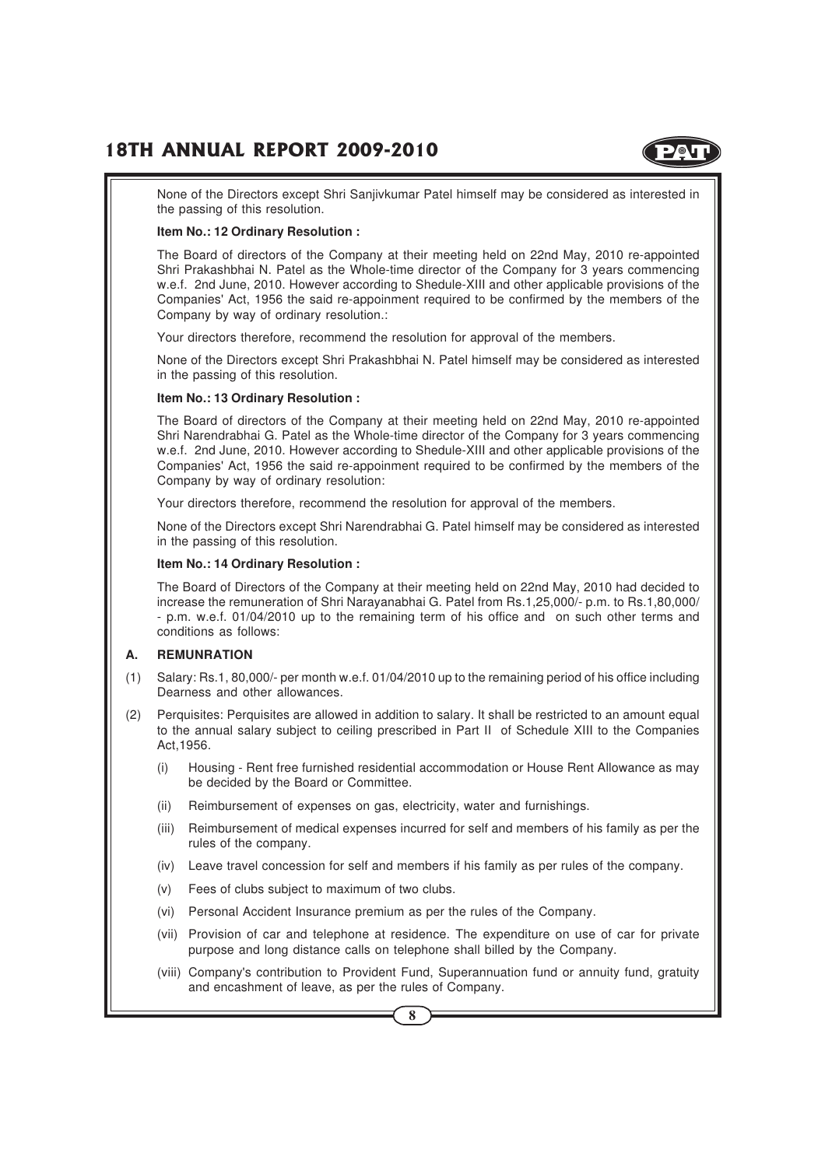

None of the Directors except Shri Sanjivkumar Patel himself may be considered as interested in the passing of this resolution.

#### **Item No.: 12 Ordinary Resolution :**

The Board of directors of the Company at their meeting held on 22nd May, 2010 re-appointed Shri Prakashbhai N. Patel as the Whole-time director of the Company for 3 years commencing w.e.f. 2nd June, 2010. However according to Shedule-XIII and other applicable provisions of the Companies' Act, 1956 the said re-appoinment required to be confirmed by the members of the Company by way of ordinary resolution.:

Your directors therefore, recommend the resolution for approval of the members.

None of the Directors except Shri Prakashbhai N. Patel himself may be considered as interested in the passing of this resolution.

#### **Item No.: 13 Ordinary Resolution :**

The Board of directors of the Company at their meeting held on 22nd May, 2010 re-appointed Shri Narendrabhai G. Patel as the Whole-time director of the Company for 3 years commencing w.e.f. 2nd June, 2010. However according to Shedule-XIII and other applicable provisions of the Companies' Act, 1956 the said re-appoinment required to be confirmed by the members of the Company by way of ordinary resolution:

Your directors therefore, recommend the resolution for approval of the members.

None of the Directors except Shri Narendrabhai G. Patel himself may be considered as interested in the passing of this resolution.

#### **Item No.: 14 Ordinary Resolution :**

The Board of Directors of the Company at their meeting held on 22nd May, 2010 had decided to increase the remuneration of Shri Narayanabhai G. Patel from Rs.1,25,000/- p.m. to Rs.1,80,000/ - p.m. w.e.f. 01/04/2010 up to the remaining term of his office and on such other terms and conditions as follows:

#### **A. REMUNRATION**

- (1) Salary: Rs.1, 80,000/- per month w.e.f. 01/04/2010 up to the remaining period of his office including Dearness and other allowances.
- (2) Perquisites: Perquisites are allowed in addition to salary. It shall be restricted to an amount equal to the annual salary subject to ceiling prescribed in Part II of Schedule XIII to the Companies Act,1956.
	- (i) Housing Rent free furnished residential accommodation or House Rent Allowance as may be decided by the Board or Committee.
	- (ii) Reimbursement of expenses on gas, electricity, water and furnishings.
	- (iii) Reimbursement of medical expenses incurred for self and members of his family as per the rules of the company.
	- (iv) Leave travel concession for self and members if his family as per rules of the company.
	- (v) Fees of clubs subject to maximum of two clubs.
	- (vi) Personal Accident Insurance premium as per the rules of the Company.
	- (vii) Provision of car and telephone at residence. The expenditure on use of car for private purpose and long distance calls on telephone shall billed by the Company.
	- (viii) Company's contribution to Provident Fund, Superannuation fund or annuity fund, gratuity and encashment of leave, as per the rules of Company.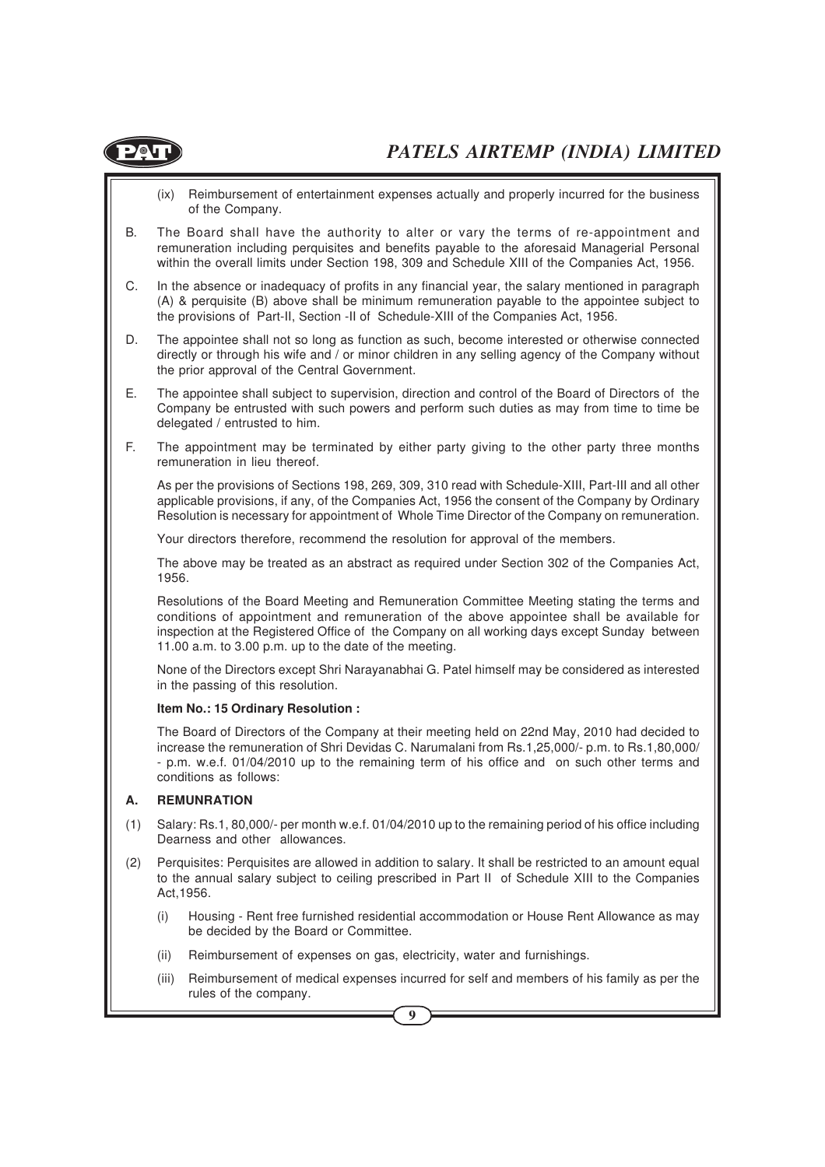

- (ix) Reimbursement of entertainment expenses actually and properly incurred for the business of the Company.
- B. The Board shall have the authority to alter or vary the terms of re-appointment and remuneration including perquisites and benefits payable to the aforesaid Managerial Personal within the overall limits under Section 198, 309 and Schedule XIII of the Companies Act, 1956.
- C. In the absence or inadequacy of profits in any financial year, the salary mentioned in paragraph (A) & perquisite (B) above shall be minimum remuneration payable to the appointee subject to the provisions of Part-II, Section -II of Schedule-XIII of the Companies Act, 1956.
- D. The appointee shall not so long as function as such, become interested or otherwise connected directly or through his wife and / or minor children in any selling agency of the Company without the prior approval of the Central Government.
- E. The appointee shall subject to supervision, direction and control of the Board of Directors of the Company be entrusted with such powers and perform such duties as may from time to time be delegated / entrusted to him.
- F. The appointment may be terminated by either party giving to the other party three months remuneration in lieu thereof.

As per the provisions of Sections 198, 269, 309, 310 read with Schedule-XIII, Part-III and all other applicable provisions, if any, of the Companies Act, 1956 the consent of the Company by Ordinary Resolution is necessary for appointment of Whole Time Director of the Company on remuneration.

Your directors therefore, recommend the resolution for approval of the members.

The above may be treated as an abstract as required under Section 302 of the Companies Act, 1956.

Resolutions of the Board Meeting and Remuneration Committee Meeting stating the terms and conditions of appointment and remuneration of the above appointee shall be available for inspection at the Registered Office of the Company on all working days except Sunday between 11.00 a.m. to 3.00 p.m. up to the date of the meeting.

None of the Directors except Shri Narayanabhai G. Patel himself may be considered as interested in the passing of this resolution.

#### **Item No.: 15 Ordinary Resolution :**

The Board of Directors of the Company at their meeting held on 22nd May, 2010 had decided to increase the remuneration of Shri Devidas C. Narumalani from Rs.1,25,000/- p.m. to Rs.1,80,000/ - p.m. w.e.f. 01/04/2010 up to the remaining term of his office and on such other terms and conditions as follows:

#### **A. REMUNRATION**

- (1) Salary: Rs.1, 80,000/- per month w.e.f. 01/04/2010 up to the remaining period of his office including Dearness and other allowances.
- (2) Perquisites: Perquisites are allowed in addition to salary. It shall be restricted to an amount equal to the annual salary subject to ceiling prescribed in Part II of Schedule XIII to the Companies Act,1956.
	- (i) Housing Rent free furnished residential accommodation or House Rent Allowance as may be decided by the Board or Committee.
	- (ii) Reimbursement of expenses on gas, electricity, water and furnishings.
	- (iii) Reimbursement of medical expenses incurred for self and members of his family as per the rules of the company.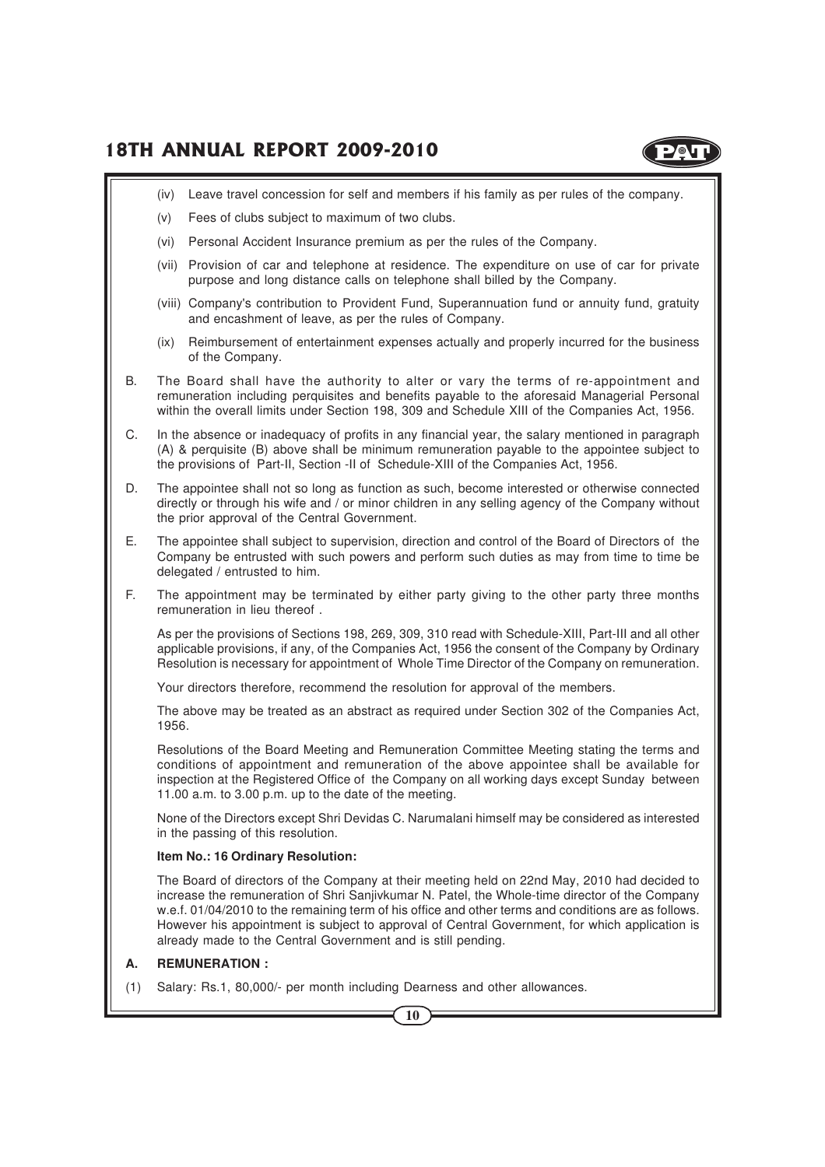

- (iv) Leave travel concession for self and members if his family as per rules of the company.
- (v) Fees of clubs subject to maximum of two clubs.
- (vi) Personal Accident Insurance premium as per the rules of the Company.
- (vii) Provision of car and telephone at residence. The expenditure on use of car for private purpose and long distance calls on telephone shall billed by the Company.
- (viii) Company's contribution to Provident Fund, Superannuation fund or annuity fund, gratuity and encashment of leave, as per the rules of Company.
- (ix) Reimbursement of entertainment expenses actually and properly incurred for the business of the Company.
- B. The Board shall have the authority to alter or vary the terms of re-appointment and remuneration including perquisites and benefits payable to the aforesaid Managerial Personal within the overall limits under Section 198, 309 and Schedule XIII of the Companies Act, 1956.
- C. In the absence or inadequacy of profits in any financial year, the salary mentioned in paragraph (A) & perquisite (B) above shall be minimum remuneration payable to the appointee subject to the provisions of Part-II, Section -II of Schedule-XIII of the Companies Act, 1956.
- D. The appointee shall not so long as function as such, become interested or otherwise connected directly or through his wife and / or minor children in any selling agency of the Company without the prior approval of the Central Government.
- E. The appointee shall subject to supervision, direction and control of the Board of Directors of the Company be entrusted with such powers and perform such duties as may from time to time be delegated / entrusted to him.
- F. The appointment may be terminated by either party giving to the other party three months remuneration in lieu thereof .

As per the provisions of Sections 198, 269, 309, 310 read with Schedule-XIII, Part-III and all other applicable provisions, if any, of the Companies Act, 1956 the consent of the Company by Ordinary Resolution is necessary for appointment of Whole Time Director of the Company on remuneration.

Your directors therefore, recommend the resolution for approval of the members.

The above may be treated as an abstract as required under Section 302 of the Companies Act, 1956.

Resolutions of the Board Meeting and Remuneration Committee Meeting stating the terms and conditions of appointment and remuneration of the above appointee shall be available for inspection at the Registered Office of the Company on all working days except Sunday between 11.00 a.m. to 3.00 p.m. up to the date of the meeting.

None of the Directors except Shri Devidas C. Narumalani himself may be considered as interested in the passing of this resolution.

#### **Item No.: 16 Ordinary Resolution:**

The Board of directors of the Company at their meeting held on 22nd May, 2010 had decided to increase the remuneration of Shri Sanjivkumar N. Patel, the Whole-time director of the Company w.e.f. 01/04/2010 to the remaining term of his office and other terms and conditions are as follows. However his appointment is subject to approval of Central Government, for which application is already made to the Central Government and is still pending.

#### **A. REMUNERATION :**

(1) Salary: Rs.1, 80,000/- per month including Dearness and other allowances.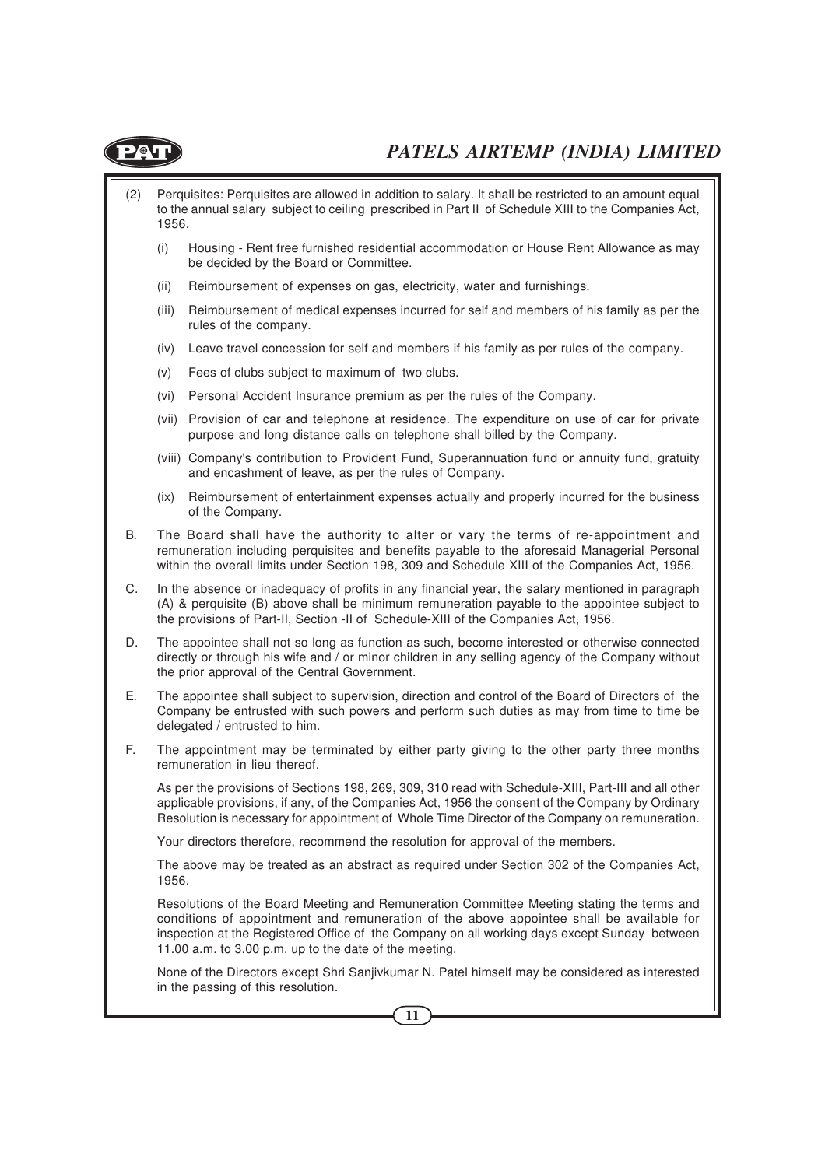

- (2) Perquisites: Perquisites are allowed in addition to salary. It shall be restricted to an amount equal to the annual salary subject to ceiling prescribed in Part II of Schedule XIII to the Companies Act, 1956.
	- (i) Housing Rent free furnished residential accommodation or House Rent Allowance as may be decided by the Board or Committee.
	- (ii) Reimbursement of expenses on gas, electricity, water and furnishings.
	- (iii) Reimbursement of medical expenses incurred for self and members of his family as per the rules of the company.
	- (iv) Leave travel concession for self and members if his family as per rules of the company.
	- (v) Fees of clubs subject to maximum of two clubs.
	- (vi) Personal Accident Insurance premium as per the rules of the Company.
	- (vii) Provision of car and telephone at residence. The expenditure on use of car for private purpose and long distance calls on telephone shall billed by the Company.
	- (viii) Company's contribution to Provident Fund, Superannuation fund or annuity fund, gratuity and encashment of leave, as per the rules of Company.
	- (ix) Reimbursement of entertainment expenses actually and properly incurred for the business of the Company.
- B. The Board shall have the authority to alter or vary the terms of re-appointment and remuneration including perquisites and benefits payable to the aforesaid Managerial Personal within the overall limits under Section 198, 309 and Schedule XIII of the Companies Act, 1956.
- C. In the absence or inadequacy of profits in any financial year, the salary mentioned in paragraph (A) & perquisite (B) above shall be minimum remuneration payable to the appointee subject to the provisions of Part-II, Section -II of Schedule-XIII of the Companies Act, 1956.
- D. The appointee shall not so long as function as such, become interested or otherwise connected directly or through his wife and / or minor children in any selling agency of the Company without the prior approval of the Central Government.
- E. The appointee shall subject to supervision, direction and control of the Board of Directors of the Company be entrusted with such powers and perform such duties as may from time to time be delegated / entrusted to him.
- F. The appointment may be terminated by either party giving to the other party three months remuneration in lieu thereof.

As per the provisions of Sections 198, 269, 309, 310 read with Schedule-XIII, Part-III and all other applicable provisions, if any, of the Companies Act, 1956 the consent of the Company by Ordinary Resolution is necessary for appointment of Whole Time Director of the Company on remuneration.

Your directors therefore, recommend the resolution for approval of the members.

The above may be treated as an abstract as required under Section 302 of the Companies Act, 1956.

Resolutions of the Board Meeting and Remuneration Committee Meeting stating the terms and conditions of appointment and remuneration of the above appointee shall be available for inspection at the Registered Office of the Company on all working days except Sunday between 11.00 a.m. to 3.00 p.m. up to the date of the meeting.

None of the Directors except Shri Sanjivkumar N. Patel himself may be considered as interested in the passing of this resolution.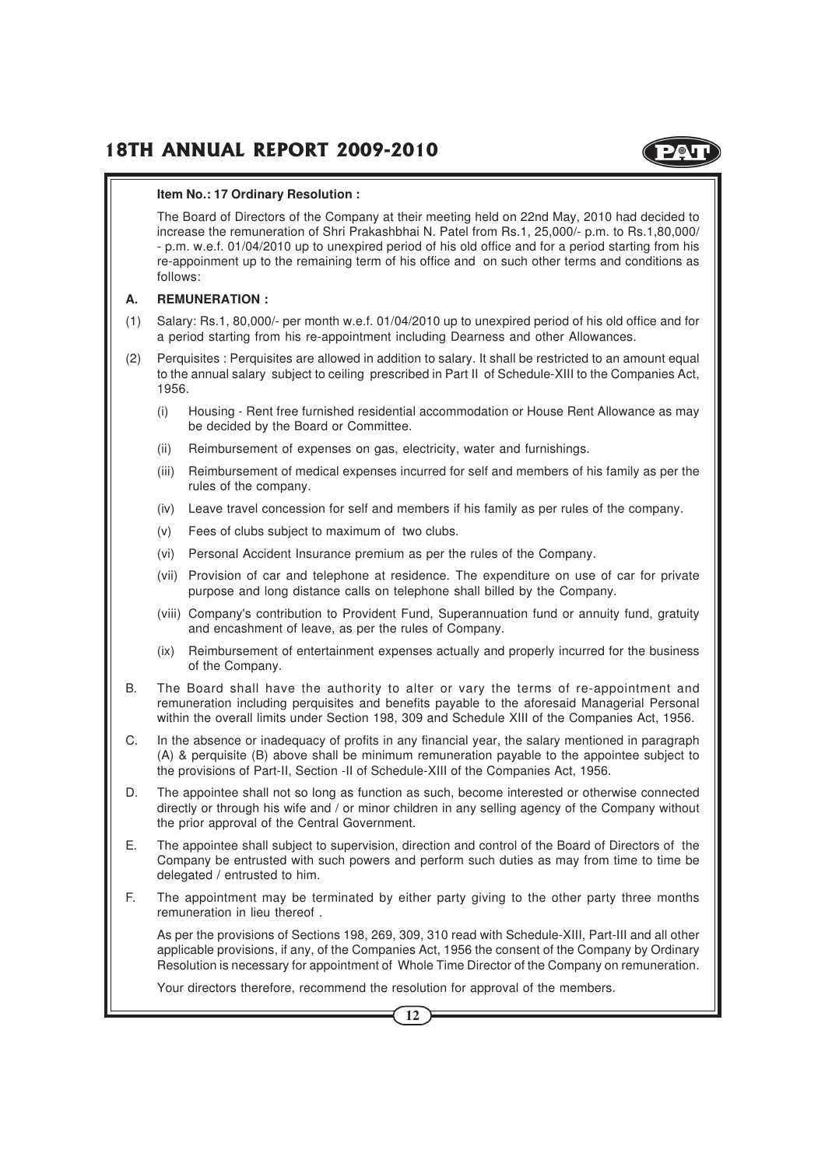

#### **Item No.: 17 Ordinary Resolution :**

The Board of Directors of the Company at their meeting held on 22nd May, 2010 had decided to increase the remuneration of Shri Prakashbhai N. Patel from Rs.1, 25,000/- p.m. to Rs.1,80,000/ - p.m. w.e.f. 01/04/2010 up to unexpired period of his old office and for a period starting from his re-appoinment up to the remaining term of his office and on such other terms and conditions as follows:

#### **A. REMUNERATION :**

- (1) Salary: Rs.1, 80,000/- per month w.e.f. 01/04/2010 up to unexpired period of his old office and for a period starting from his re-appointment including Dearness and other Allowances.
- (2) Perquisites : Perquisites are allowed in addition to salary. It shall be restricted to an amount equal to the annual salary subject to ceiling prescribed in Part II of Schedule-XIII to the Companies Act, 1956.
	- (i) Housing Rent free furnished residential accommodation or House Rent Allowance as may be decided by the Board or Committee.
	- (ii) Reimbursement of expenses on gas, electricity, water and furnishings.
	- (iii) Reimbursement of medical expenses incurred for self and members of his family as per the rules of the company.
	- (iv) Leave travel concession for self and members if his family as per rules of the company.
	- (v) Fees of clubs subject to maximum of two clubs.
	- (vi) Personal Accident Insurance premium as per the rules of the Company.
	- (vii) Provision of car and telephone at residence. The expenditure on use of car for private purpose and long distance calls on telephone shall billed by the Company.
	- (viii) Company's contribution to Provident Fund, Superannuation fund or annuity fund, gratuity and encashment of leave, as per the rules of Company.
	- (ix) Reimbursement of entertainment expenses actually and properly incurred for the business of the Company.
- B. The Board shall have the authority to alter or vary the terms of re-appointment and remuneration including perquisites and benefits payable to the aforesaid Managerial Personal within the overall limits under Section 198, 309 and Schedule XIII of the Companies Act, 1956.
- C. In the absence or inadequacy of profits in any financial year, the salary mentioned in paragraph (A) & perquisite (B) above shall be minimum remuneration payable to the appointee subject to the provisions of Part-II, Section -II of Schedule-XIII of the Companies Act, 1956.
- D. The appointee shall not so long as function as such, become interested or otherwise connected directly or through his wife and / or minor children in any selling agency of the Company without the prior approval of the Central Government.
- E. The appointee shall subject to supervision, direction and control of the Board of Directors of the Company be entrusted with such powers and perform such duties as may from time to time be delegated / entrusted to him.
- F. The appointment may be terminated by either party giving to the other party three months remuneration in lieu thereof .

As per the provisions of Sections 198, 269, 309, 310 read with Schedule-XIII, Part-III and all other applicable provisions, if any, of the Companies Act, 1956 the consent of the Company by Ordinary Resolution is necessary for appointment of Whole Time Director of the Company on remuneration.

Your directors therefore, recommend the resolution for approval of the members.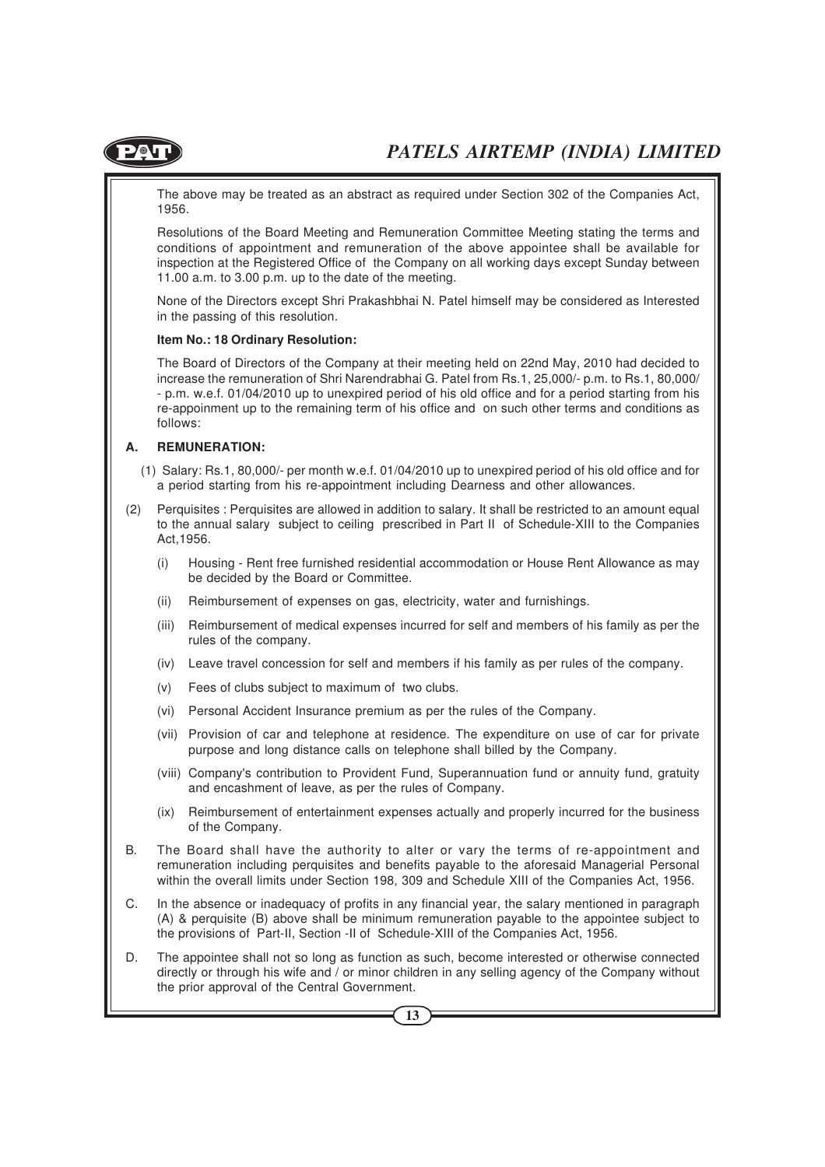

The above may be treated as an abstract as required under Section 302 of the Companies Act, 1956.

Resolutions of the Board Meeting and Remuneration Committee Meeting stating the terms and conditions of appointment and remuneration of the above appointee shall be available for inspection at the Registered Office of the Company on all working days except Sunday between 11.00 a.m. to 3.00 p.m. up to the date of the meeting.

None of the Directors except Shri Prakashbhai N. Patel himself may be considered as Interested in the passing of this resolution.

#### **Item No.: 18 Ordinary Resolution:**

The Board of Directors of the Company at their meeting held on 22nd May, 2010 had decided to increase the remuneration of Shri Narendrabhai G. Patel from Rs.1, 25,000/- p.m. to Rs.1, 80,000/ - p.m. w.e.f. 01/04/2010 up to unexpired period of his old office and for a period starting from his re-appoinment up to the remaining term of his office and on such other terms and conditions as follows:

#### **A. REMUNERATION:**

- (1) Salary: Rs.1, 80,000/- per month w.e.f. 01/04/2010 up to unexpired period of his old office and for a period starting from his re-appointment including Dearness and other allowances.
- (2) Perquisites : Perquisites are allowed in addition to salary. It shall be restricted to an amount equal to the annual salary subject to ceiling prescribed in Part II of Schedule-XIII to the Companies Act,1956.
	- (i) Housing Rent free furnished residential accommodation or House Rent Allowance as may be decided by the Board or Committee.
	- (ii) Reimbursement of expenses on gas, electricity, water and furnishings.
	- (iii) Reimbursement of medical expenses incurred for self and members of his family as per the rules of the company.
	- (iv) Leave travel concession for self and members if his family as per rules of the company.
	- (v) Fees of clubs subject to maximum of two clubs.
	- (vi) Personal Accident Insurance premium as per the rules of the Company.
	- (vii) Provision of car and telephone at residence. The expenditure on use of car for private purpose and long distance calls on telephone shall billed by the Company.
	- (viii) Company's contribution to Provident Fund, Superannuation fund or annuity fund, gratuity and encashment of leave, as per the rules of Company.
	- (ix) Reimbursement of entertainment expenses actually and properly incurred for the business of the Company.
- B. The Board shall have the authority to alter or vary the terms of re-appointment and remuneration including perquisites and benefits payable to the aforesaid Managerial Personal within the overall limits under Section 198, 309 and Schedule XIII of the Companies Act, 1956.
- C. In the absence or inadequacy of profits in any financial year, the salary mentioned in paragraph (A) & perquisite (B) above shall be minimum remuneration payable to the appointee subject to the provisions of Part-II, Section -II of Schedule-XIII of the Companies Act, 1956.
- D. The appointee shall not so long as function as such, become interested or otherwise connected directly or through his wife and / or minor children in any selling agency of the Company without the prior approval of the Central Government.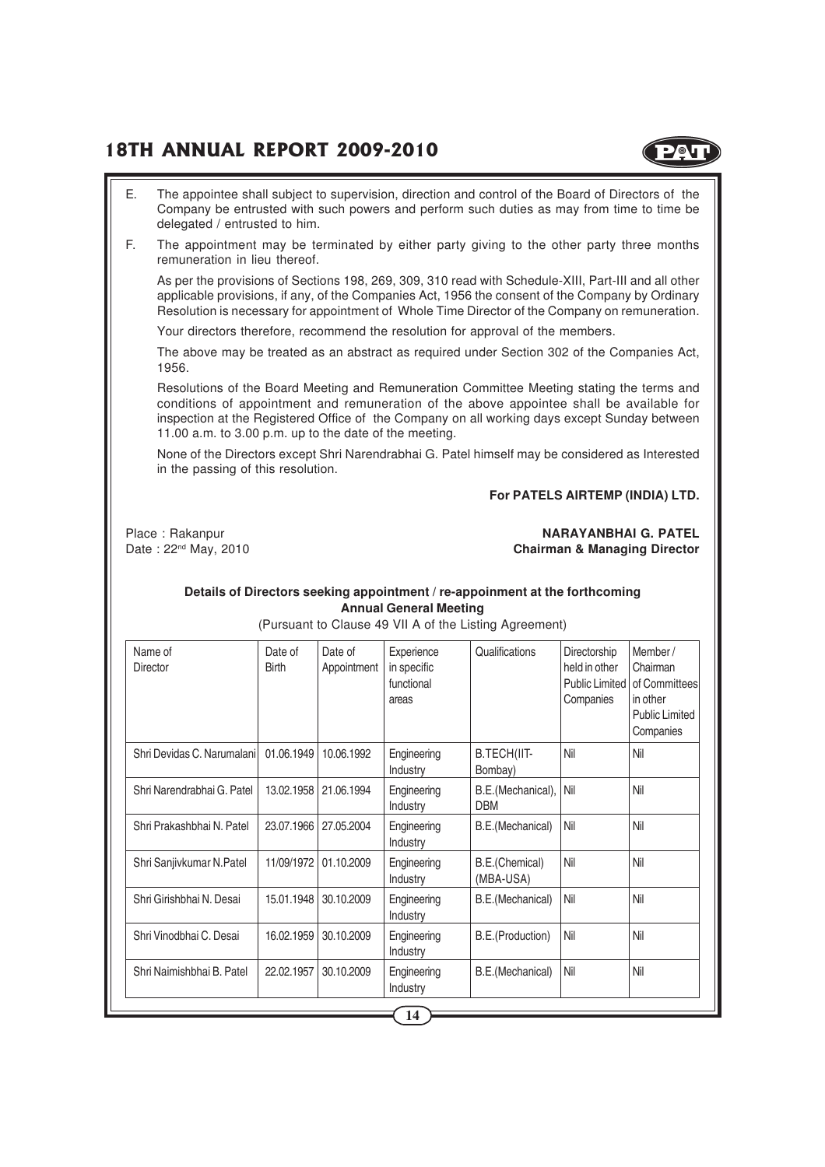

- E. The appointee shall subject to supervision, direction and control of the Board of Directors of the Company be entrusted with such powers and perform such duties as may from time to time be delegated / entrusted to him.
- F. The appointment may be terminated by either party giving to the other party three months remuneration in lieu thereof.

As per the provisions of Sections 198, 269, 309, 310 read with Schedule-XIII, Part-III and all other applicable provisions, if any, of the Companies Act, 1956 the consent of the Company by Ordinary Resolution is necessary for appointment of Whole Time Director of the Company on remuneration.

Your directors therefore, recommend the resolution for approval of the members.

The above may be treated as an abstract as required under Section 302 of the Companies Act, 1956.

Resolutions of the Board Meeting and Remuneration Committee Meeting stating the terms and conditions of appointment and remuneration of the above appointee shall be available for inspection at the Registered Office of the Company on all working days except Sunday between 11.00 a.m. to 3.00 p.m. up to the date of the meeting.

None of the Directors except Shri Narendrabhai G. Patel himself may be considered as Interested in the passing of this resolution.

#### **For PATELS AIRTEMP (INDIA) LTD.**

Place : Rakanpur **NARAYANBHAI G. PATEL** Date : 22<sup>nd</sup> May, 2010 **Chairman & Managing Director** 

#### **Details of Directors seeking appointment / re-appoinment at the forthcoming Annual General Meeting**

(Pursuant to Clause 49 VII A of the Listing Agreement)

| Name of<br>Director        | Date of<br><b>Birth</b> | Date of<br>Appointment | Experience<br>in specific<br>functional<br>areas | Qualifications                  | Directorship<br>held in other<br>Public Limited<br>Companies | Member/<br>Chairman<br>of Committees<br>in other<br><b>Public Limited</b><br>Companies |
|----------------------------|-------------------------|------------------------|--------------------------------------------------|---------------------------------|--------------------------------------------------------------|----------------------------------------------------------------------------------------|
| Shri Devidas C. Narumalani | 01.06.1949              | 10.06.1992             | Engineering<br>Industry                          | B.TECH(IIT-<br>Bombay)          | Nil                                                          | Nil                                                                                    |
| Shri Narendrabhai G. Patel | 13.02.1958              | 21.06.1994             | Engineering<br>Industry                          | B.E.(Mechanical),<br><b>DBM</b> | Nil                                                          | Nil                                                                                    |
| Shri Prakashbhai N. Patel  | 23.07.1966              | 27.05.2004             | Engineering<br>Industry                          | B.E.(Mechanical)                | Nil                                                          | Nil                                                                                    |
| Shri Sanjivkumar N.Patel   | 11/09/1972              | 01.10.2009             | Engineering<br>Industry                          | B.E.(Chemical)<br>(MBA-USA)     | Nil                                                          | Nil                                                                                    |
| Shri Girishbhai N. Desai   | 15.01.1948              | 30.10.2009             | Engineering<br>Industry                          | B.E.(Mechanical)                | Nil                                                          | Nil                                                                                    |
| Shri Vinodbhai C. Desai    | 16.02.1959              | 30.10.2009             | Engineering<br>Industry                          | B.E.(Production)                | Nil                                                          | Nil                                                                                    |
| Shri Naimishbhai B. Patel  | 22.02.1957              | 30.10.2009             | Engineering<br>Industry                          | B.E.(Mechanical)                | Nil                                                          | Nil                                                                                    |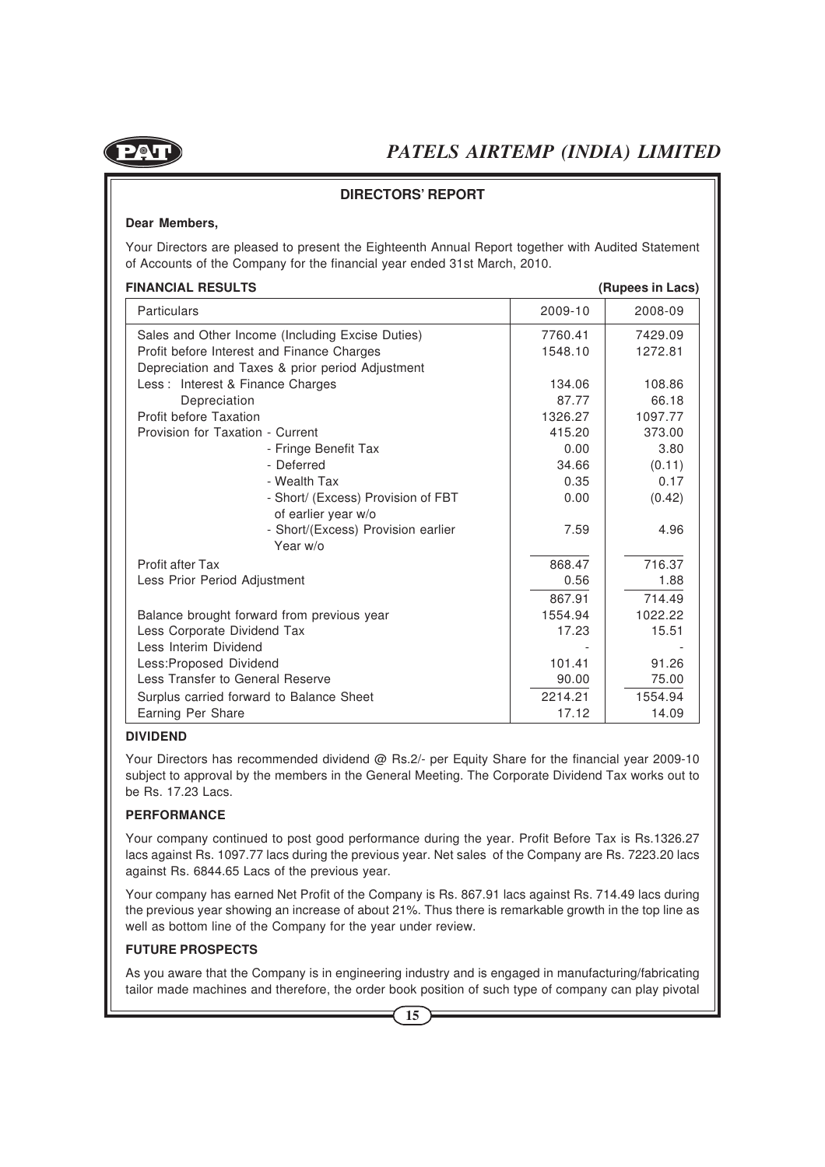

#### **DIRECTORS' REPORT**

#### **Dear Members,**

Your Directors are pleased to present the Eighteenth Annual Report together with Audited Statement of Accounts of the Company for the financial year ended 31st March, 2010.

#### **FINANCIAL RESULTS (Rupees in Lacs)**

| ט וויאויטואג וובטטבוס                            |         | (10000000110000) |
|--------------------------------------------------|---------|------------------|
| Particulars                                      | 2009-10 | 2008-09          |
| Sales and Other Income (Including Excise Duties) | 7760.41 | 7429.09          |
| Profit before Interest and Finance Charges       | 1548.10 | 1272.81          |
| Depreciation and Taxes & prior period Adjustment |         |                  |
| Less: Interest & Finance Charges                 | 134.06  | 108.86           |
| Depreciation                                     | 87.77   | 66.18            |
| Profit before Taxation                           | 1326.27 | 1097.77          |
| Provision for Taxation - Current                 | 415.20  | 373.00           |
| - Fringe Benefit Tax                             | 0.00    | 3.80             |
| - Deferred                                       | 34.66   | (0.11)           |
| - Wealth Tax                                     | 0.35    | 0.17             |
| - Short/ (Excess) Provision of FBT               | 0.00    | (0.42)           |
| of earlier year w/o                              |         |                  |
| - Short/(Excess) Provision earlier               | 7.59    | 4.96             |
| Year w/o                                         |         |                  |
| Profit after Tax                                 | 868.47  | 716.37           |
| Less Prior Period Adjustment                     | 0.56    | 1.88             |
|                                                  | 867.91  | 714.49           |
| Balance brought forward from previous year       | 1554.94 | 1022.22          |
| Less Corporate Dividend Tax                      | 17.23   | 15.51            |
| Less Interim Dividend                            |         |                  |
| Less: Proposed Dividend                          | 101.41  | 91.26            |
| Less Transfer to General Reserve                 | 90.00   | 75.00            |
| Surplus carried forward to Balance Sheet         | 2214.21 | 1554.94          |
| Earning Per Share                                | 17.12   | 14.09            |

#### **DIVIDEND**

Your Directors has recommended dividend @ Rs.2/- per Equity Share for the financial year 2009-10 subject to approval by the members in the General Meeting. The Corporate Dividend Tax works out to be Rs. 17.23 Lacs.

#### **PERFORMANCE**

Your company continued to post good performance during the year. Profit Before Tax is Rs.1326.27 lacs against Rs. 1097.77 lacs during the previous year. Net sales of the Company are Rs. 7223.20 lacs against Rs. 6844.65 Lacs of the previous year.

Your company has earned Net Profit of the Company is Rs. 867.91 lacs against Rs. 714.49 lacs during the previous year showing an increase of about 21%. Thus there is remarkable growth in the top line as well as bottom line of the Company for the year under review.

#### **FUTURE PROSPECTS**

As you aware that the Company is in engineering industry and is engaged in manufacturing/fabricating tailor made machines and therefore, the order book position of such type of company can play pivotal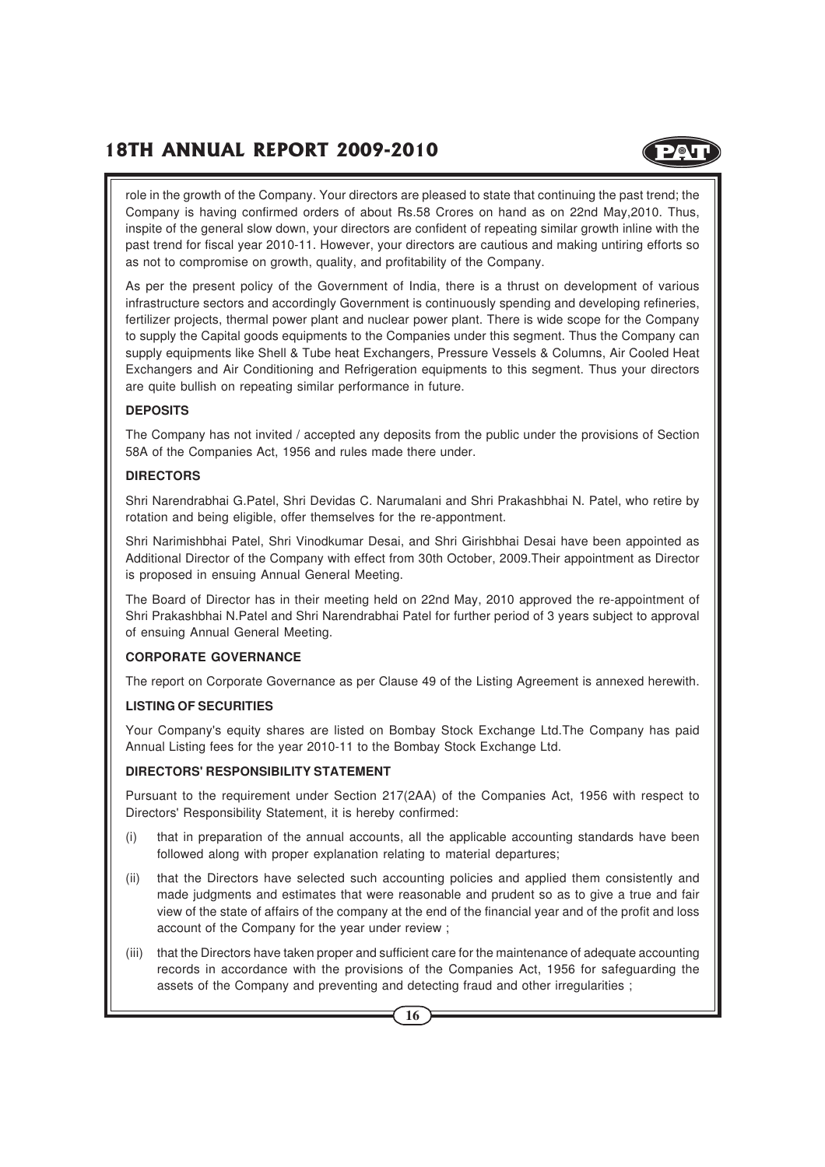

role in the growth of the Company. Your directors are pleased to state that continuing the past trend; the Company is having confirmed orders of about Rs.58 Crores on hand as on 22nd May,2010. Thus, inspite of the general slow down, your directors are confident of repeating similar growth inline with the past trend for fiscal year 2010-11. However, your directors are cautious and making untiring efforts so as not to compromise on growth, quality, and profitability of the Company.

As per the present policy of the Government of India, there is a thrust on development of various infrastructure sectors and accordingly Government is continuously spending and developing refineries, fertilizer projects, thermal power plant and nuclear power plant. There is wide scope for the Company to supply the Capital goods equipments to the Companies under this segment. Thus the Company can supply equipments like Shell & Tube heat Exchangers, Pressure Vessels & Columns, Air Cooled Heat Exchangers and Air Conditioning and Refrigeration equipments to this segment. Thus your directors are quite bullish on repeating similar performance in future.

#### **DEPOSITS**

The Company has not invited / accepted any deposits from the public under the provisions of Section 58A of the Companies Act, 1956 and rules made there under.

#### **DIRECTORS**

Shri Narendrabhai G.Patel, Shri Devidas C. Narumalani and Shri Prakashbhai N. Patel, who retire by rotation and being eligible, offer themselves for the re-appontment.

Shri Narimishbhai Patel, Shri Vinodkumar Desai, and Shri Girishbhai Desai have been appointed as Additional Director of the Company with effect from 30th October, 2009.Their appointment as Director is proposed in ensuing Annual General Meeting.

The Board of Director has in their meeting held on 22nd May, 2010 approved the re-appointment of Shri Prakashbhai N.Patel and Shri Narendrabhai Patel for further period of 3 years subject to approval of ensuing Annual General Meeting.

#### **CORPORATE GOVERNANCE**

The report on Corporate Governance as per Clause 49 of the Listing Agreement is annexed herewith.

#### **LISTING OF SECURITIES**

Your Company's equity shares are listed on Bombay Stock Exchange Ltd.The Company has paid Annual Listing fees for the year 2010-11 to the Bombay Stock Exchange Ltd.

#### **DIRECTORS' RESPONSIBILITY STATEMENT**

Pursuant to the requirement under Section 217(2AA) of the Companies Act, 1956 with respect to Directors' Responsibility Statement, it is hereby confirmed:

- (i) that in preparation of the annual accounts, all the applicable accounting standards have been followed along with proper explanation relating to material departures;
- (ii) that the Directors have selected such accounting policies and applied them consistently and made judgments and estimates that were reasonable and prudent so as to give a true and fair view of the state of affairs of the company at the end of the financial year and of the profit and loss account of the Company for the year under review ;
- (iii) that the Directors have taken proper and sufficient care for the maintenance of adequate accounting records in accordance with the provisions of the Companies Act, 1956 for safeguarding the assets of the Company and preventing and detecting fraud and other irregularities ;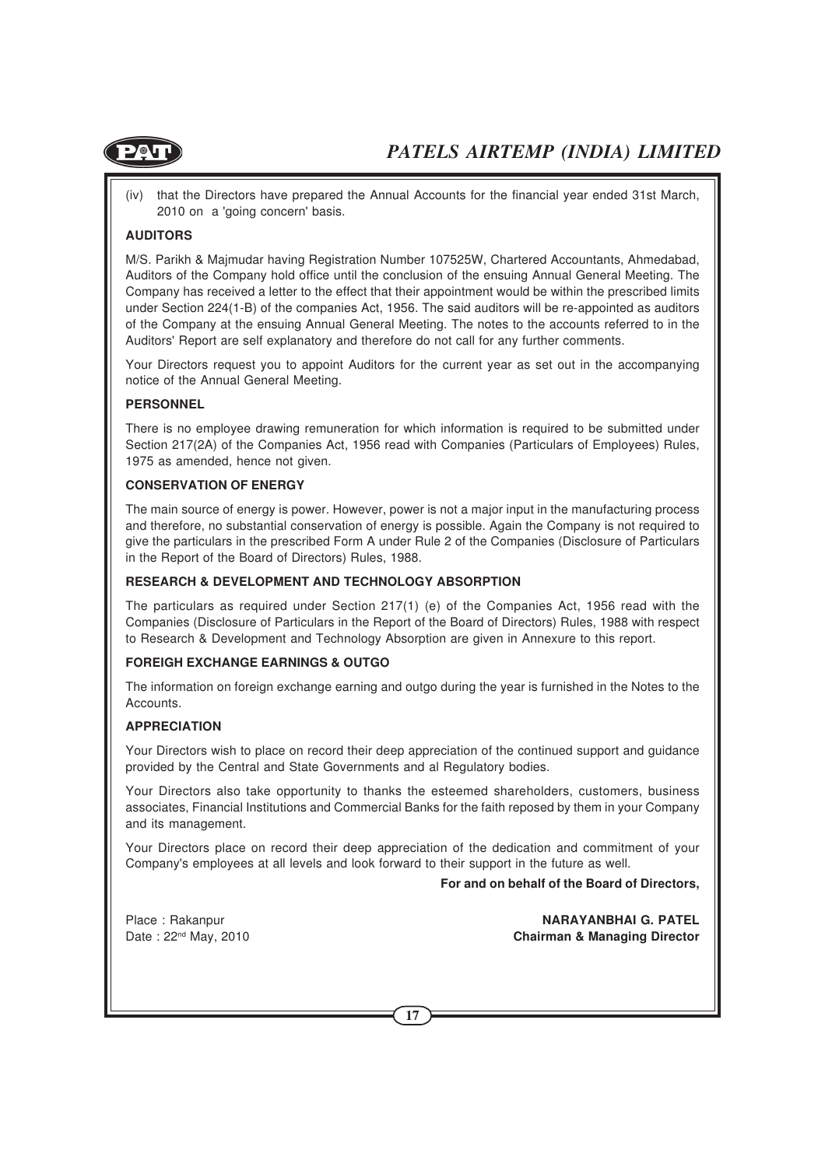

(iv) that the Directors have prepared the Annual Accounts for the financial year ended 31st March, 2010 on a 'going concern' basis.

#### **AUDITORS**

M/S. Parikh & Majmudar having Registration Number 107525W, Chartered Accountants, Ahmedabad, Auditors of the Company hold office until the conclusion of the ensuing Annual General Meeting. The Company has received a letter to the effect that their appointment would be within the prescribed limits under Section 224(1-B) of the companies Act, 1956. The said auditors will be re-appointed as auditors of the Company at the ensuing Annual General Meeting. The notes to the accounts referred to in the Auditors' Report are self explanatory and therefore do not call for any further comments.

Your Directors request you to appoint Auditors for the current year as set out in the accompanying notice of the Annual General Meeting.

#### **PERSONNEL**

There is no employee drawing remuneration for which information is required to be submitted under Section 217(2A) of the Companies Act, 1956 read with Companies (Particulars of Employees) Rules, 1975 as amended, hence not given.

#### **CONSERVATION OF ENERGY**

The main source of energy is power. However, power is not a major input in the manufacturing process and therefore, no substantial conservation of energy is possible. Again the Company is not required to give the particulars in the prescribed Form A under Rule 2 of the Companies (Disclosure of Particulars in the Report of the Board of Directors) Rules, 1988.

#### **RESEARCH & DEVELOPMENT AND TECHNOLOGY ABSORPTION**

The particulars as required under Section 217(1) (e) of the Companies Act, 1956 read with the Companies (Disclosure of Particulars in the Report of the Board of Directors) Rules, 1988 with respect to Research & Development and Technology Absorption are given in Annexure to this report.

#### **FOREIGH EXCHANGE EARNINGS & OUTGO**

The information on foreign exchange earning and outgo during the year is furnished in the Notes to the Accounts.

#### **APPRECIATION**

Your Directors wish to place on record their deep appreciation of the continued support and guidance provided by the Central and State Governments and al Regulatory bodies.

Your Directors also take opportunity to thanks the esteemed shareholders, customers, business associates, Financial Institutions and Commercial Banks for the faith reposed by them in your Company and its management.

Your Directors place on record their deep appreciation of the dedication and commitment of your Company's employees at all levels and look forward to their support in the future as well.

**For and on behalf of the Board of Directors,**

Place : Rakanpur **NARAYANBHAI G. PATEL** Date : 22<sup>nd</sup> May, 2010 **Chairman & Managing Director**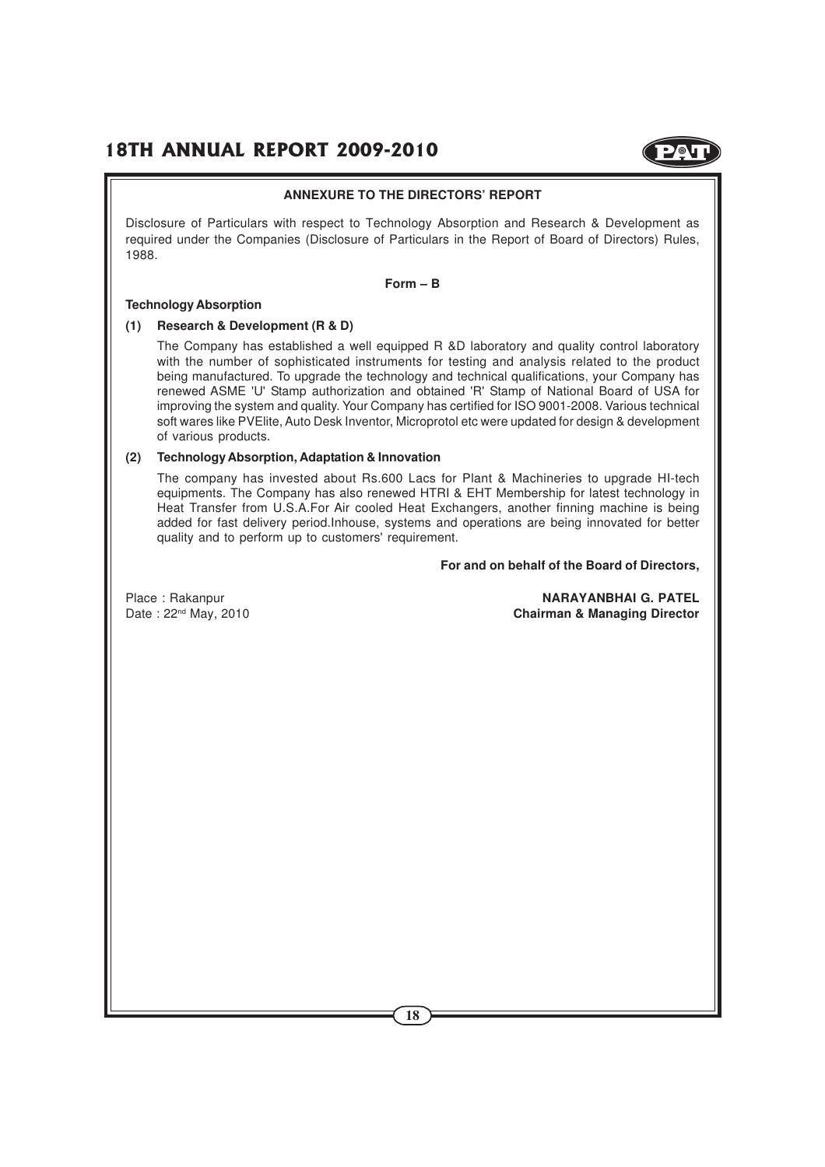

#### **ANNEXURE TO THE DIRECTORS' REPORT**

Disclosure of Particulars with respect to Technology Absorption and Research & Development as required under the Companies (Disclosure of Particulars in the Report of Board of Directors) Rules, 1988.

#### **Form – B**

#### **Technology Absorption**

#### **(1) Research & Development (R & D)**

The Company has established a well equipped R &D laboratory and quality control laboratory with the number of sophisticated instruments for testing and analysis related to the product being manufactured. To upgrade the technology and technical qualifications, your Company has renewed ASME 'U' Stamp authorization and obtained 'R' Stamp of National Board of USA for improving the system and quality. Your Company has certified for ISO 9001-2008. Various technical soft wares like PVElite, Auto Desk Inventor, Microprotol etc were updated for design & development of various products.

#### **(2) Technology Absorption, Adaptation & Innovation**

The company has invested about Rs.600 Lacs for Plant & Machineries to upgrade HI-tech equipments. The Company has also renewed HTRI & EHT Membership for latest technology in Heat Transfer from U.S.A.For Air cooled Heat Exchangers, another finning machine is being added for fast delivery period.Inhouse, systems and operations are being innovated for better quality and to perform up to customers' requirement.

**For and on behalf of the Board of Directors,**

Place : Rakanpur **NARAYANBHAI G. PATEL** Date : 22<sup>nd</sup> May, 2010 **Chairman & Managing Director**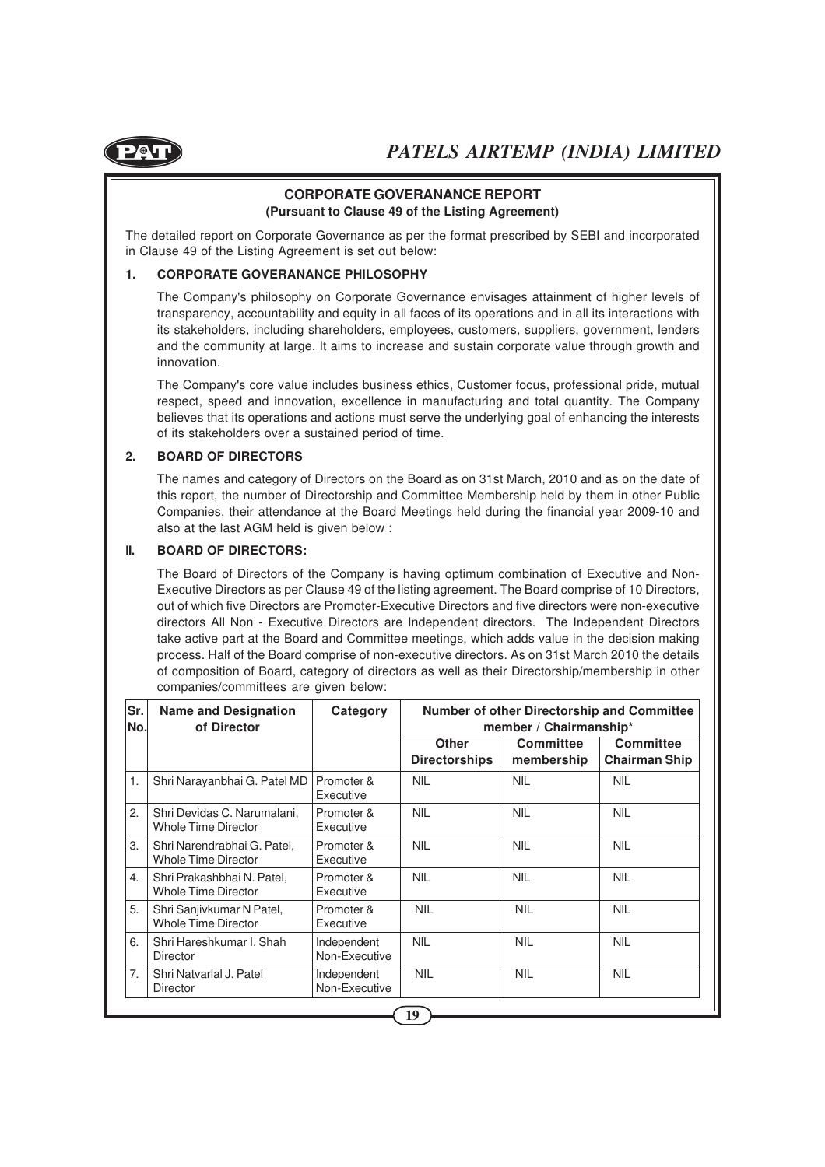

#### **CORPORATE GOVERANANCE REPORT (Pursuant to Clause 49 of the Listing Agreement)**

The detailed report on Corporate Governance as per the format prescribed by SEBI and incorporated in Clause 49 of the Listing Agreement is set out below:

#### **1. CORPORATE GOVERANANCE PHILOSOPHY**

The Company's philosophy on Corporate Governance envisages attainment of higher levels of transparency, accountability and equity in all faces of its operations and in all its interactions with its stakeholders, including shareholders, employees, customers, suppliers, government, lenders and the community at large. It aims to increase and sustain corporate value through growth and innovation.

The Company's core value includes business ethics, Customer focus, professional pride, mutual respect, speed and innovation, excellence in manufacturing and total quantity. The Company believes that its operations and actions must serve the underlying goal of enhancing the interests of its stakeholders over a sustained period of time.

#### **2. BOARD OF DIRECTORS**

The names and category of Directors on the Board as on 31st March, 2010 and as on the date of this report, the number of Directorship and Committee Membership held by them in other Public Companies, their attendance at the Board Meetings held during the financial year 2009-10 and also at the last AGM held is given below :

#### **II. BOARD OF DIRECTORS:**

The Board of Directors of the Company is having optimum combination of Executive and Non-Executive Directors as per Clause 49 of the listing agreement. The Board comprise of 10 Directors, out of which five Directors are Promoter-Executive Directors and five directors were non-executive directors All Non - Executive Directors are Independent directors. The Independent Directors take active part at the Board and Committee meetings, which adds value in the decision making process. Half of the Board comprise of non-executive directors. As on 31st March 2010 the details of composition of Board, category of directors as well as their Directorship/membership in other companies/committees are given below:

| Sr.<br>No.       | <b>Name and Designation</b><br>of Director                | Category                     | <b>Number of other Directorship and Committee</b><br>member / Chairmanship* |                                |                                          |  |
|------------------|-----------------------------------------------------------|------------------------------|-----------------------------------------------------------------------------|--------------------------------|------------------------------------------|--|
|                  |                                                           |                              | <b>Other</b><br><b>Directorships</b>                                        | <b>Committee</b><br>membership | <b>Committee</b><br><b>Chairman Ship</b> |  |
| 1.               | Shri Narayanbhai G. Patel MD                              | Promoter &<br>Executive      | <b>NIL</b>                                                                  | <b>NIL</b>                     | <b>NIL</b>                               |  |
| 2.               | Shri Devidas C. Narumalani,<br>Whole Time Director        | Promoter &<br>Executive      | <b>NIL</b>                                                                  | <b>NIL</b>                     | <b>NIL</b>                               |  |
| 3.               | Shri Narendrabhai G. Patel,<br><b>Whole Time Director</b> | Promoter &<br>Executive      | <b>NIL</b>                                                                  | <b>NIL</b>                     | <b>NIL</b>                               |  |
| $\overline{4}$ . | Shri Prakashbhai N. Patel,<br><b>Whole Time Director</b>  | Promoter &<br>Executive      | <b>NIL</b>                                                                  | <b>NIL</b>                     | <b>NIL</b>                               |  |
| 5.               | Shri Sanjivkumar N Patel,<br><b>Whole Time Director</b>   | Promoter &<br>Executive      | <b>NIL</b>                                                                  | <b>NIL</b>                     | <b>NIL</b>                               |  |
| 6.               | Shri Hareshkumar I. Shah<br><b>Director</b>               | Independent<br>Non-Executive | <b>NIL</b>                                                                  | <b>NIL</b>                     | <b>NIL</b>                               |  |
| 7.               | Shri Natvarlal J. Patel<br><b>Director</b>                | Independent<br>Non-Executive | <b>NIL</b>                                                                  | <b>NIL</b>                     | <b>NIL</b>                               |  |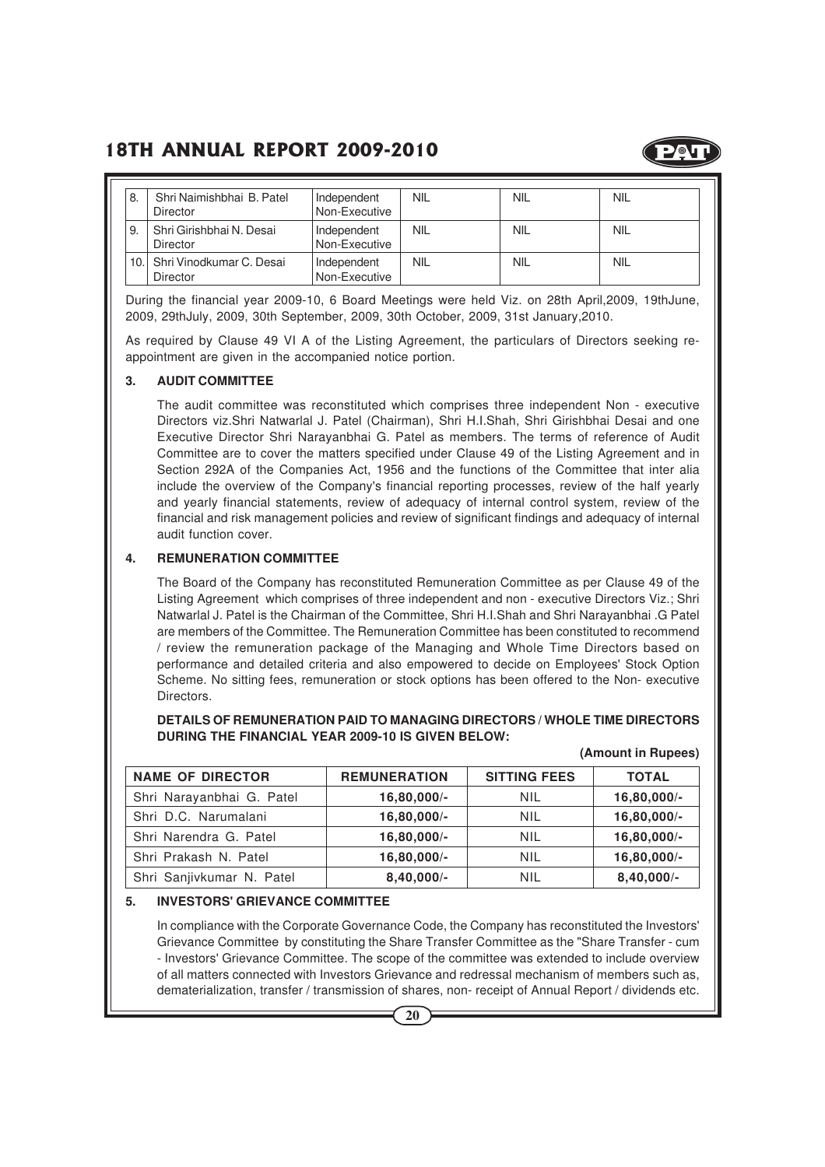

| 8. | Shri Naimishbhai B. Patel<br>Director    | Independent<br>Non-Executive | NIL        | <b>NIL</b> | <b>NIL</b> |
|----|------------------------------------------|------------------------------|------------|------------|------------|
| 9. | Shri Girishbhai N. Desai<br>Director     | Independent<br>Non-Executive | NIL        | NIL        | <b>NIL</b> |
|    | 10. Shri Vinodkumar C. Desai<br>Director | Independent<br>Non-Executive | <b>NIL</b> | <b>NIL</b> | <b>NIL</b> |

During the financial year 2009-10, 6 Board Meetings were held Viz. on 28th April,2009, 19thJune, 2009, 29thJuly, 2009, 30th September, 2009, 30th October, 2009, 31st January,2010.

As required by Clause 49 VI A of the Listing Agreement, the particulars of Directors seeking reappointment are given in the accompanied notice portion.

#### **3. AUDIT COMMITTEE**

The audit committee was reconstituted which comprises three independent Non - executive Directors viz.Shri Natwarlal J. Patel (Chairman), Shri H.I.Shah, Shri Girishbhai Desai and one Executive Director Shri Narayanbhai G. Patel as members. The terms of reference of Audit Committee are to cover the matters specified under Clause 49 of the Listing Agreement and in Section 292A of the Companies Act, 1956 and the functions of the Committee that inter alia include the overview of the Company's financial reporting processes, review of the half yearly and yearly financial statements, review of adequacy of internal control system, review of the financial and risk management policies and review of significant findings and adequacy of internal audit function cover.

#### **4. REMUNERATION COMMITTEE**

The Board of the Company has reconstituted Remuneration Committee as per Clause 49 of the Listing Agreement which comprises of three independent and non - executive Directors Viz.; Shri Natwarlal J. Patel is the Chairman of the Committee, Shri H.I.Shah and Shri Narayanbhai .G Patel are members of the Committee. The Remuneration Committee has been constituted to recommend / review the remuneration package of the Managing and Whole Time Directors based on performance and detailed criteria and also empowered to decide on Employees' Stock Option Scheme. No sitting fees, remuneration or stock options has been offered to the Non- executive Directors.

**DETAILS OF REMUNERATION PAID TO MANAGING DIRECTORS / WHOLE TIME DIRECTORS DURING THE FINANCIAL YEAR 2009-10 IS GIVEN BELOW:**

| <b>NAME OF DIRECTOR</b>   | <b>REMUNERATION</b> | <b>SITTING FEES</b> | <b>TOTAL</b>  |
|---------------------------|---------------------|---------------------|---------------|
| Shri Narayanbhai G. Patel | $16,80,000/-$       | NIL                 | $16,80,000/-$ |
| Shri D.C. Narumalani      | $16,80,000/-$       | NIL                 | $16,80,000/-$ |
| Shri Narendra G. Patel    | $16,80,000/-$       | NIL                 | $16,80,000/-$ |
| Shri Prakash N. Patel     | $16,80,000/-$       | NIL                 | $16,80,000/-$ |
| Shri Sanjivkumar N. Patel | $8,40,000/-$        | NIL                 | $8,40,000/-$  |

#### **(Amount in Rupees)**

#### **5. INVESTORS' GRIEVANCE COMMITTEE**

In compliance with the Corporate Governance Code, the Company has reconstituted the Investors' Grievance Committee by constituting the Share Transfer Committee as the "Share Transfer - cum - Investors' Grievance Committee. The scope of the committee was extended to include overview of all matters connected with Investors Grievance and redressal mechanism of members such as, dematerialization, transfer / transmission of shares, non- receipt of Annual Report / dividends etc.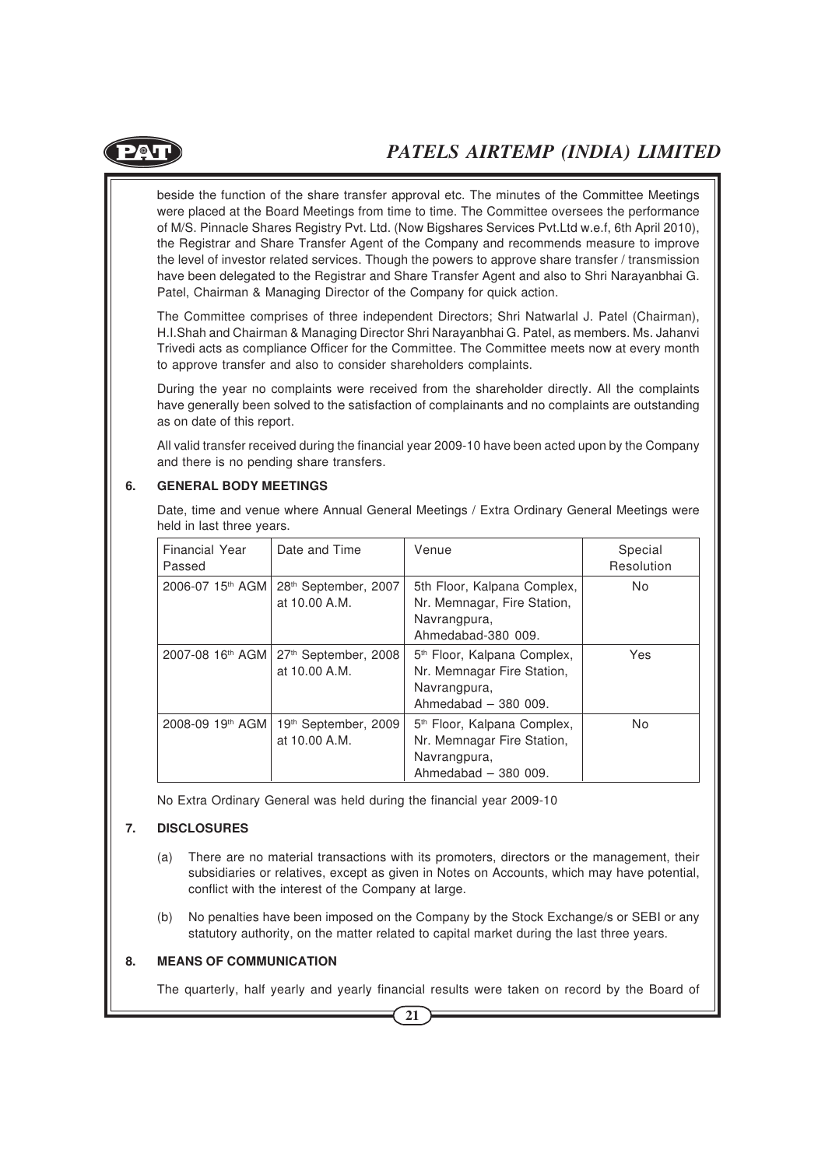

beside the function of the share transfer approval etc. The minutes of the Committee Meetings were placed at the Board Meetings from time to time. The Committee oversees the performance of M/S. Pinnacle Shares Registry Pvt. Ltd. (Now Bigshares Services Pvt.Ltd w.e.f, 6th April 2010), the Registrar and Share Transfer Agent of the Company and recommends measure to improve the level of investor related services. Though the powers to approve share transfer / transmission have been delegated to the Registrar and Share Transfer Agent and also to Shri Narayanbhai G. Patel, Chairman & Managing Director of the Company for quick action.

The Committee comprises of three independent Directors; Shri Natwarlal J. Patel (Chairman), H.I.Shah and Chairman & Managing Director Shri Narayanbhai G. Patel, as members. Ms. Jahanvi Trivedi acts as compliance Officer for the Committee. The Committee meets now at every month to approve transfer and also to consider shareholders complaints.

During the year no complaints were received from the shareholder directly. All the complaints have generally been solved to the satisfaction of complainants and no complaints are outstanding as on date of this report.

All valid transfer received during the financial year 2009-10 have been acted upon by the Company and there is no pending share transfers.

#### **6. GENERAL BODY MEETINGS**

Date, time and venue where Annual General Meetings / Extra Ordinary General Meetings were held in last three years.

| Financial Year<br>Passed | Date and Time                                                                    | Venue                                                                                                          | Special<br>Resolution |
|--------------------------|----------------------------------------------------------------------------------|----------------------------------------------------------------------------------------------------------------|-----------------------|
|                          | 2006-07 15 <sup>th</sup> AGM   28 <sup>th</sup> September, 2007<br>at 10.00 A.M. | 5th Floor, Kalpana Complex,<br>Nr. Memnagar, Fire Station,<br>Navrangpura,<br>Ahmedabad-380 009.               | N <sub>o</sub>        |
|                          | 2007-08 16 <sup>th</sup> AGM   27 <sup>th</sup> September, 2008<br>at 10.00 A.M. | 5 <sup>th</sup> Floor, Kalpana Complex,<br>Nr. Memnagar Fire Station,<br>Navrangpura,<br>Ahmedabad $-380009$ . | Yes                   |
| 2008-09 19th AGM         | 19th September, 2009<br>at 10.00 A.M.                                            | 5 <sup>th</sup> Floor, Kalpana Complex,<br>Nr. Memnagar Fire Station,<br>Navrangpura,<br>Ahmedabad $-380$ 009. | N <sub>0</sub>        |

No Extra Ordinary General was held during the financial year 2009-10

#### **7. DISCLOSURES**

- (a) There are no material transactions with its promoters, directors or the management, their subsidiaries or relatives, except as given in Notes on Accounts, which may have potential, conflict with the interest of the Company at large.
- (b) No penalties have been imposed on the Company by the Stock Exchange/s or SEBI or any statutory authority, on the matter related to capital market during the last three years.

#### **8. MEANS OF COMMUNICATION**

The quarterly, half yearly and yearly financial results were taken on record by the Board of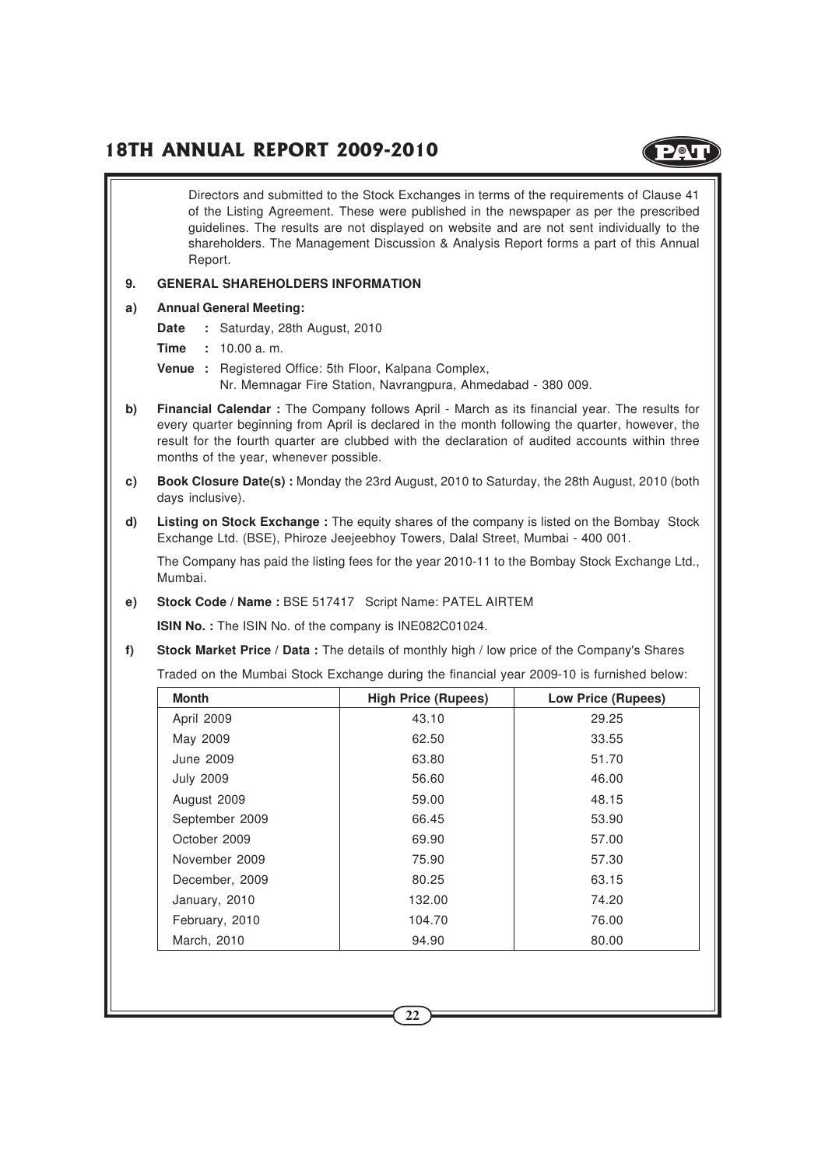

Directors and submitted to the Stock Exchanges in terms of the requirements of Clause 41 of the Listing Agreement. These were published in the newspaper as per the prescribed guidelines. The results are not displayed on website and are not sent individually to the shareholders. The Management Discussion & Analysis Report forms a part of this Annual Report. **9. GENERAL SHAREHOLDERS INFORMATION a) Annual General Meeting: Date :** Saturday, 28th August, 2010 **Time :** 10.00 a. m. **Venue :** Registered Office: 5th Floor, Kalpana Complex, Nr. Memnagar Fire Station, Navrangpura, Ahmedabad - 380 009. **b) Financial Calendar :** The Company follows April - March as its financial year. The results for every quarter beginning from April is declared in the month following the quarter, however, the result for the fourth quarter are clubbed with the declaration of audited accounts within three months of the year, whenever possible. **c) Book Closure Date(s) :** Monday the 23rd August, 2010 to Saturday, the 28th August, 2010 (both days inclusive). **d) Listing on Stock Exchange :** The equity shares of the company is listed on the Bombay Stock Exchange Ltd. (BSE), Phiroze Jeejeebhoy Towers, Dalal Street, Mumbai - 400 001. The Company has paid the listing fees for the year 2010-11 to the Bombay Stock Exchange Ltd., Mumbai. **e) Stock Code / Name :** BSE 517417 Script Name: PATEL AIRTEM **ISIN No. :** The ISIN No. of the company is INE082C01024. **f) Stock Market Price / Data :** The details of monthly high / low price of the Company's Shares Traded on the Mumbai Stock Exchange during the financial year 2009-10 is furnished below: **Month High Price (Rupees) Low Price (Rupees)** April 2009 13.10 43.10 29.25 May 2009 and the contract of the 62.50 and the contract of 33.55 June 2009 63.80 51.70 July 2009 56.60 46.00 August 2009 59.00 48.15 September 2009 10 66.45 53.90 October 2009 **69.90** 69.90 **69.90** 57.00 November 2009 75.90 57.30 December, 2009 and 80.25 and 80.25 and 83.15 January, 2010 132.00 132.00 74.20 February, 2010 104.70 104.70 76.00 March, 2010 **80.00** 80.00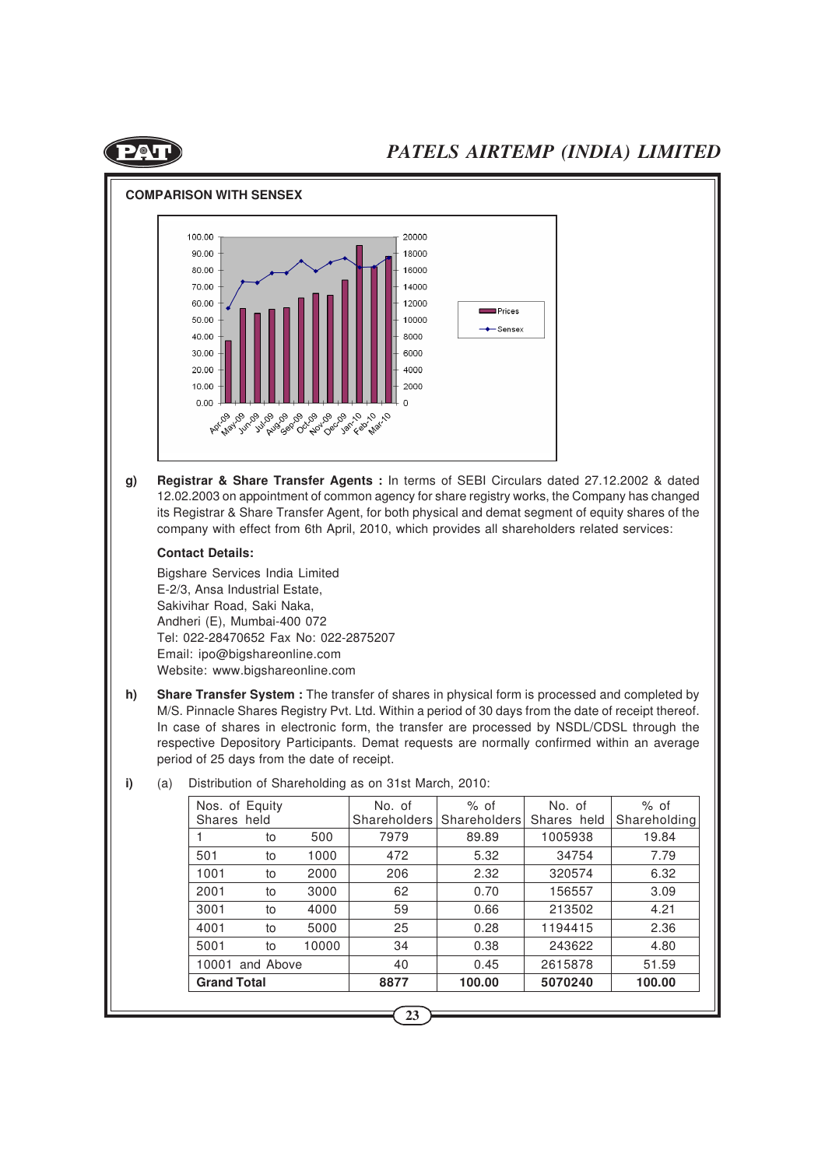



**g) Registrar & Share Transfer Agents :** In terms of SEBI Circulars dated 27.12.2002 & dated 12.02.2003 on appointment of common agency for share registry works, the Company has changed its Registrar & Share Transfer Agent, for both physical and demat segment of equity shares of the company with effect from 6th April, 2010, which provides all shareholders related services:

#### **Contact Details:**

Bigshare Services India Limited E-2/3, Ansa Industrial Estate, Sakivihar Road, Saki Naka, Andheri (E), Mumbai-400 072 Tel: 022-28470652 Fax No: 022-2875207 Email: ipo@bigshareonline.com Website: www.bigshareonline.com

**h) Share Transfer System :** The transfer of shares in physical form is processed and completed by M/S. Pinnacle Shares Registry Pvt. Ltd. Within a period of 30 days from the date of receipt thereof. In case of shares in electronic form, the transfer are processed by NSDL/CDSL through the respective Depository Participants. Demat requests are normally confirmed within an average period of 25 days from the date of receipt.

|                    | to              | 500   | 7979 | 89.89  | 1005938 | 19.84  |
|--------------------|-----------------|-------|------|--------|---------|--------|
| 501                | to              | 1000  | 472  | 5.32   | 34754   | 7.79   |
| 1001               | to              | 2000  | 206  | 2.32   | 320574  | 6.32   |
| 2001               | to              | 3000  | 62   | 0.70   | 156557  | 3.09   |
| 3001               | to              | 4000  | 59   | 0.66   | 213502  | 4.21   |
| 4001               | to              | 5000  | 25   | 0.28   | 1194415 | 2.36   |
| 5001               | to              | 10000 | 34   | 0.38   | 243622  | 4.80   |
|                    | 10001 and Above |       | 40   | 0.45   | 2615878 | 51.59  |
| <b>Grand Total</b> |                 |       | 8877 | 100.00 | 5070240 | 100.00 |

**i)** (a) Distribution of Shareholding as on 31st March, 2010: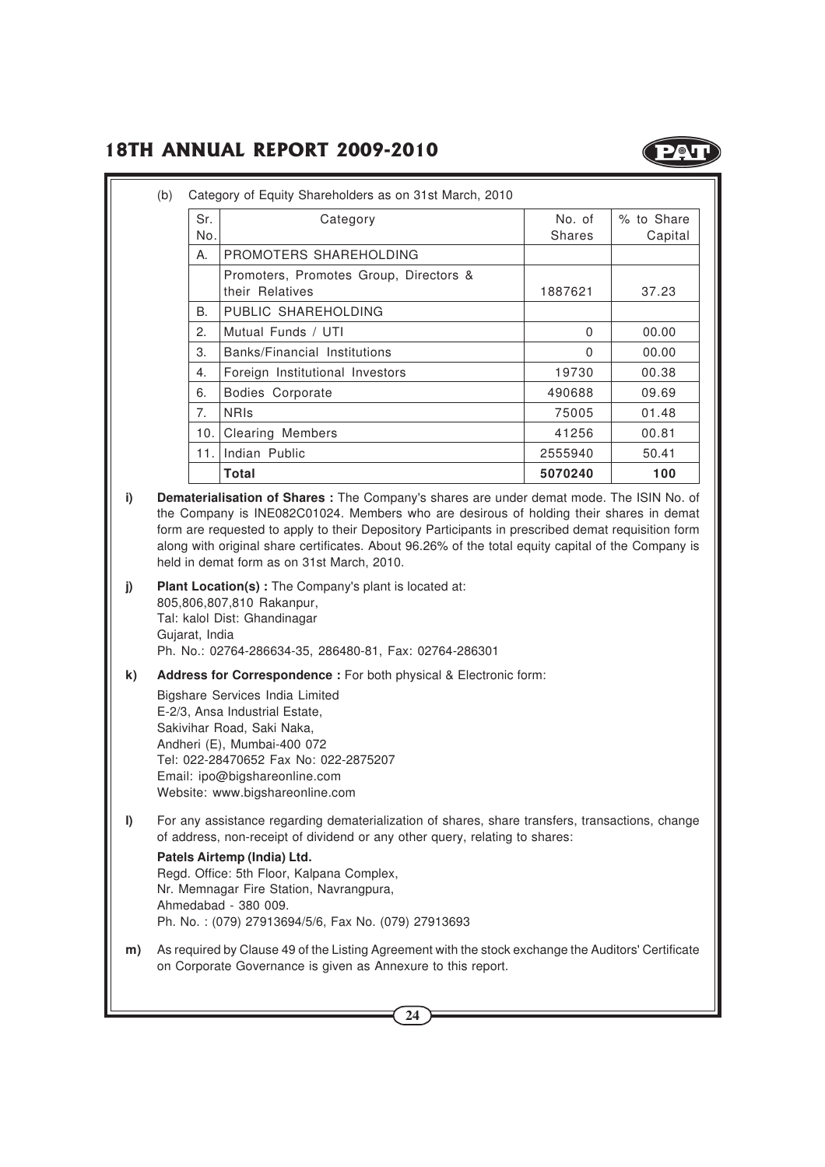

| Sr.            | Category                                                  | No. of   | % to Share |
|----------------|-----------------------------------------------------------|----------|------------|
| No.            |                                                           | Shares   | Capital    |
| Α.             | PROMOTERS SHAREHOLDING                                    |          |            |
|                | Promoters, Promotes Group, Directors &<br>their Relatives | 1887621  | 37.23      |
| В.             | PUBLIC SHAREHOLDING                                       |          |            |
| 2.             | Mutual Funds / UTI                                        | $\Omega$ | 00.00      |
| 3.             | Banks/Financial Institutions                              | 0        | 00.00      |
| 4.             | Foreign Institutional Investors                           | 19730    | 00.38      |
| 6.             | Bodies Corporate                                          | 490688   | 09.69      |
| 7 <sub>1</sub> | <b>NRIS</b>                                               | 75005    | 01.48      |
| 10.            | <b>Clearing Members</b>                                   | 41256    | 00.81      |
| 11.1           | Indian Public                                             | 2555940  | 50.41      |
|                | Total                                                     | 5070240  | 100        |

**i) Dematerialisation of Shares :** The Company's shares are under demat mode. The ISIN No. of the Company is INE082C01024. Members who are desirous of holding their shares in demat form are requested to apply to their Depository Participants in prescribed demat requisition form along with original share certificates. About 96.26% of the total equity capital of the Company is held in demat form as on 31st March, 2010.

- **j) Plant Location(s) :** The Company's plant is located at: 805,806,807,810 Rakanpur, Tal: kalol Dist: Ghandinagar Gujarat, India Ph. No.: 02764-286634-35, 286480-81, Fax: 02764-286301
- **k) Address for Correspondence :** For both physical & Electronic form:

Bigshare Services India Limited E-2/3, Ansa Industrial Estate, Sakivihar Road, Saki Naka, Andheri (E), Mumbai-400 072 Tel: 022-28470652 Fax No: 022-2875207 Email: ipo@bigshareonline.com Website: www.bigshareonline.com

**l)** For any assistance regarding dematerialization of shares, share transfers, transactions, change of address, non-receipt of dividend or any other query, relating to shares:

**Patels Airtemp (India) Ltd.** Regd. Office: 5th Floor, Kalpana Complex, Nr. Memnagar Fire Station, Navrangpura, Ahmedabad - 380 009. Ph. No. : (079) 27913694/5/6, Fax No. (079) 27913693

**m)** As required by Clause 49 of the Listing Agreement with the stock exchange the Auditors' Certificate on Corporate Governance is given as Annexure to this report.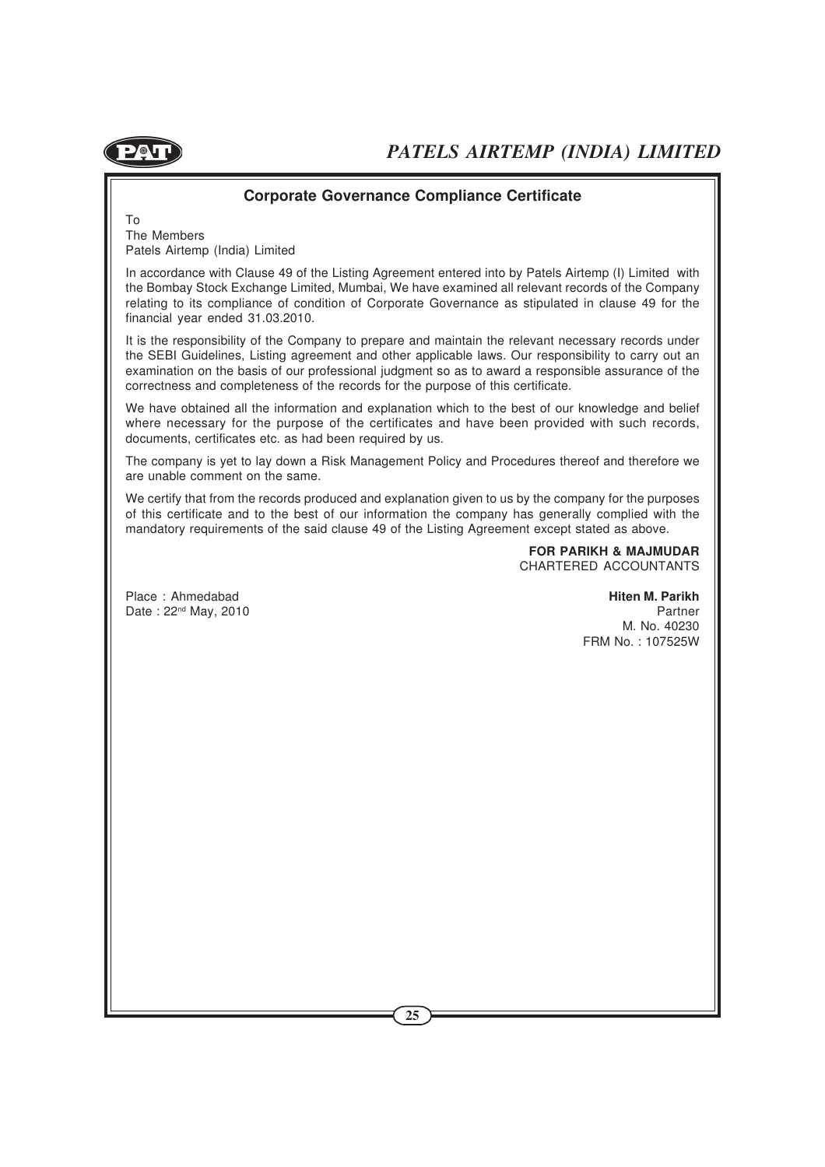

#### **Corporate Governance Compliance Certificate**

To The Members Patels Airtemp (India) Limited

In accordance with Clause 49 of the Listing Agreement entered into by Patels Airtemp (I) Limited with the Bombay Stock Exchange Limited, Mumbai, We have examined all relevant records of the Company relating to its compliance of condition of Corporate Governance as stipulated in clause 49 for the financial year ended 31.03.2010.

It is the responsibility of the Company to prepare and maintain the relevant necessary records under the SEBI Guidelines, Listing agreement and other applicable laws. Our responsibility to carry out an examination on the basis of our professional judgment so as to award a responsible assurance of the correctness and completeness of the records for the purpose of this certificate.

We have obtained all the information and explanation which to the best of our knowledge and belief where necessary for the purpose of the certificates and have been provided with such records, documents, certificates etc. as had been required by us.

The company is yet to lay down a Risk Management Policy and Procedures thereof and therefore we are unable comment on the same.

We certify that from the records produced and explanation given to us by the company for the purposes of this certificate and to the best of our information the company has generally complied with the mandatory requirements of the said clause 49 of the Listing Agreement except stated as above.

> **FOR PARIKH & MAJMUDAR** CHARTERED ACCOUNTANTS

Place : Ahmedabad **Hiten M. Parikh** Date :  $22^{nd}$  May, 2010 Partner

M. No. 40230 FRM No. : 107525W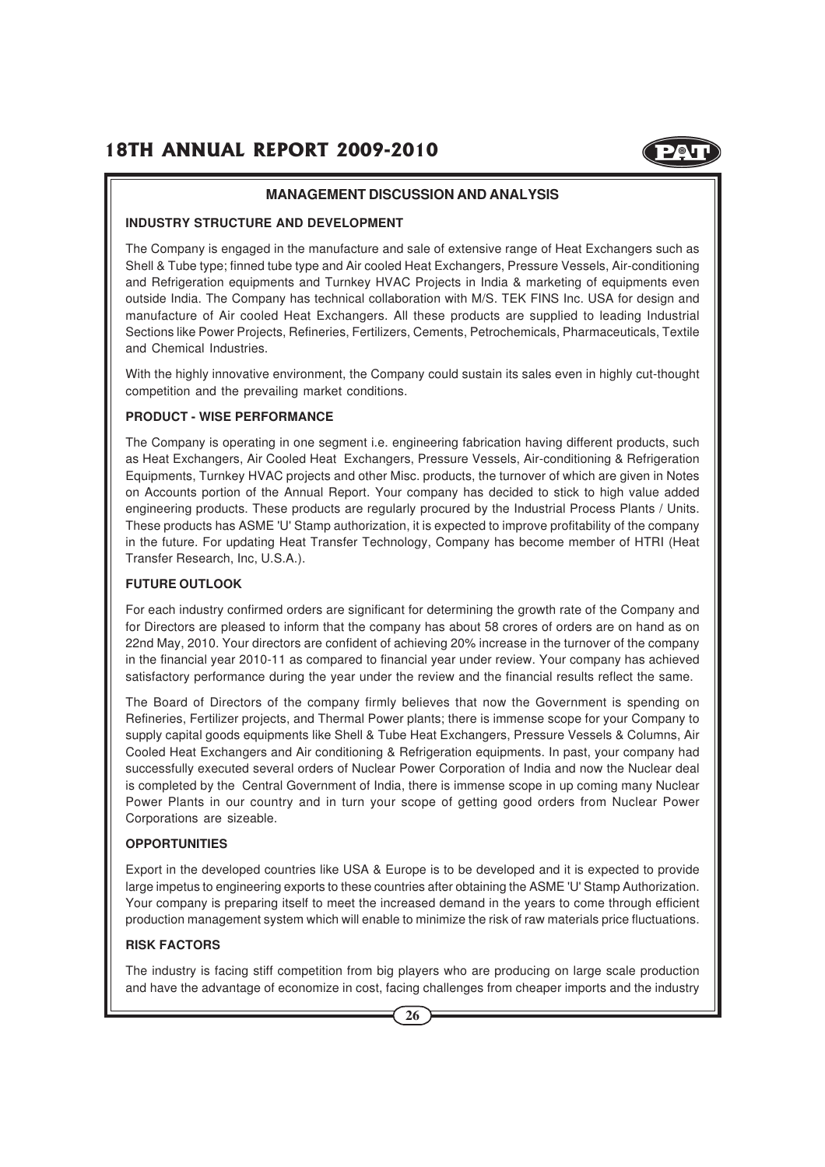

#### **MANAGEMENT DISCUSSION AND ANALYSIS**

#### **INDUSTRY STRUCTURE AND DEVELOPMENT**

The Company is engaged in the manufacture and sale of extensive range of Heat Exchangers such as Shell & Tube type; finned tube type and Air cooled Heat Exchangers, Pressure Vessels, Air-conditioning and Refrigeration equipments and Turnkey HVAC Projects in India & marketing of equipments even outside India. The Company has technical collaboration with M/S. TEK FINS Inc. USA for design and manufacture of Air cooled Heat Exchangers. All these products are supplied to leading Industrial Sections like Power Projects, Refineries, Fertilizers, Cements, Petrochemicals, Pharmaceuticals, Textile and Chemical Industries.

With the highly innovative environment, the Company could sustain its sales even in highly cut-thought competition and the prevailing market conditions.

#### **PRODUCT - WISE PERFORMANCE**

The Company is operating in one segment i.e. engineering fabrication having different products, such as Heat Exchangers, Air Cooled Heat Exchangers, Pressure Vessels, Air-conditioning & Refrigeration Equipments, Turnkey HVAC projects and other Misc. products, the turnover of which are given in Notes on Accounts portion of the Annual Report. Your company has decided to stick to high value added engineering products. These products are regularly procured by the Industrial Process Plants / Units. These products has ASME 'U' Stamp authorization, it is expected to improve profitability of the company in the future. For updating Heat Transfer Technology, Company has become member of HTRI (Heat Transfer Research, Inc, U.S.A.).

#### **FUTURE OUTLOOK**

For each industry confirmed orders are significant for determining the growth rate of the Company and for Directors are pleased to inform that the company has about 58 crores of orders are on hand as on 22nd May, 2010. Your directors are confident of achieving 20% increase in the turnover of the company in the financial year 2010-11 as compared to financial year under review. Your company has achieved satisfactory performance during the year under the review and the financial results reflect the same.

The Board of Directors of the company firmly believes that now the Government is spending on Refineries, Fertilizer projects, and Thermal Power plants; there is immense scope for your Company to supply capital goods equipments like Shell & Tube Heat Exchangers, Pressure Vessels & Columns, Air Cooled Heat Exchangers and Air conditioning & Refrigeration equipments. In past, your company had successfully executed several orders of Nuclear Power Corporation of India and now the Nuclear deal is completed by the Central Government of India, there is immense scope in up coming many Nuclear Power Plants in our country and in turn your scope of getting good orders from Nuclear Power Corporations are sizeable.

#### **OPPORTUNITIES**

Export in the developed countries like USA & Europe is to be developed and it is expected to provide large impetus to engineering exports to these countries after obtaining the ASME 'U' Stamp Authorization. Your company is preparing itself to meet the increased demand in the years to come through efficient production management system which will enable to minimize the risk of raw materials price fluctuations.

#### **RISK FACTORS**

The industry is facing stiff competition from big players who are producing on large scale production and have the advantage of economize in cost, facing challenges from cheaper imports and the industry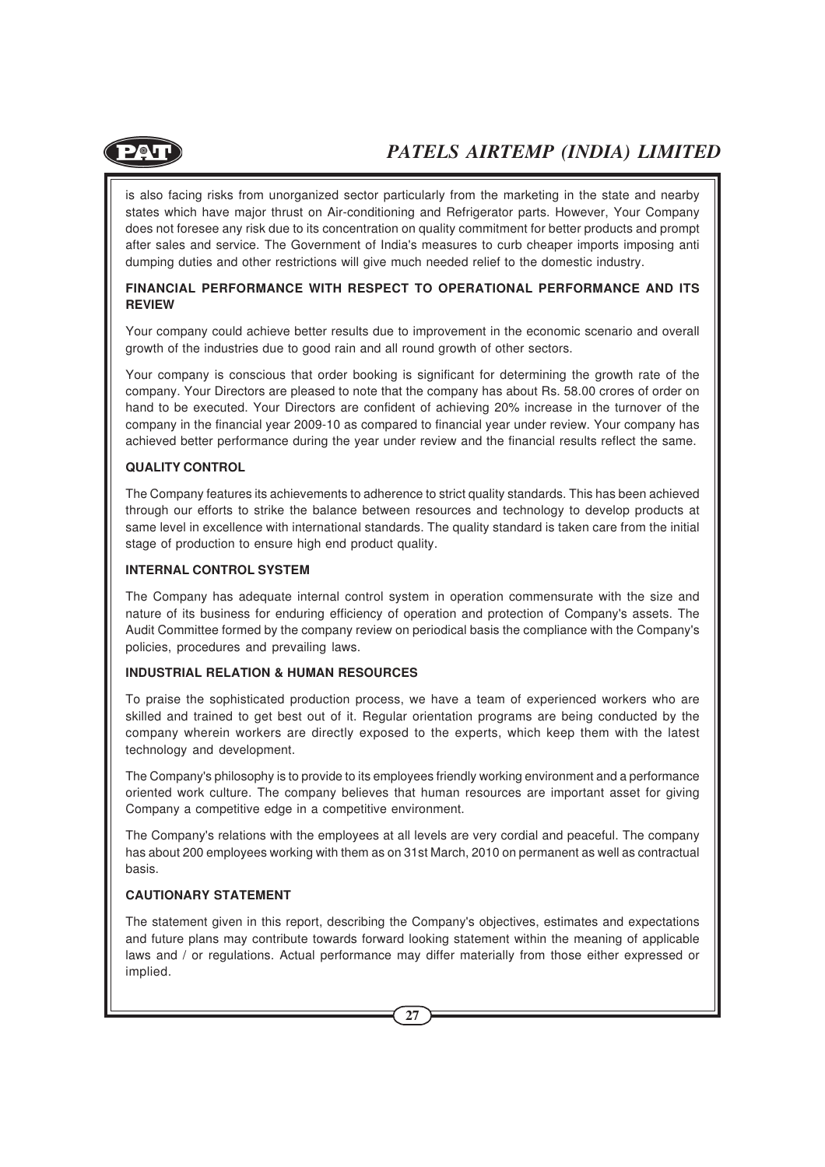

is also facing risks from unorganized sector particularly from the marketing in the state and nearby states which have major thrust on Air-conditioning and Refrigerator parts. However, Your Company does not foresee any risk due to its concentration on quality commitment for better products and prompt after sales and service. The Government of India's measures to curb cheaper imports imposing anti dumping duties and other restrictions will give much needed relief to the domestic industry.

#### **FINANCIAL PERFORMANCE WITH RESPECT TO OPERATIONAL PERFORMANCE AND ITS REVIEW**

Your company could achieve better results due to improvement in the economic scenario and overall growth of the industries due to good rain and all round growth of other sectors.

Your company is conscious that order booking is significant for determining the growth rate of the company. Your Directors are pleased to note that the company has about Rs. 58.00 crores of order on hand to be executed. Your Directors are confident of achieving 20% increase in the turnover of the company in the financial year 2009-10 as compared to financial year under review. Your company has achieved better performance during the year under review and the financial results reflect the same.

#### **QUALITY CONTROL**

The Company features its achievements to adherence to strict quality standards. This has been achieved through our efforts to strike the balance between resources and technology to develop products at same level in excellence with international standards. The quality standard is taken care from the initial stage of production to ensure high end product quality.

#### **INTERNAL CONTROL SYSTEM**

The Company has adequate internal control system in operation commensurate with the size and nature of its business for enduring efficiency of operation and protection of Company's assets. The Audit Committee formed by the company review on periodical basis the compliance with the Company's policies, procedures and prevailing laws.

#### **INDUSTRIAL RELATION & HUMAN RESOURCES**

To praise the sophisticated production process, we have a team of experienced workers who are skilled and trained to get best out of it. Regular orientation programs are being conducted by the company wherein workers are directly exposed to the experts, which keep them with the latest technology and development.

The Company's philosophy is to provide to its employees friendly working environment and a performance oriented work culture. The company believes that human resources are important asset for giving Company a competitive edge in a competitive environment.

The Company's relations with the employees at all levels are very cordial and peaceful. The company has about 200 employees working with them as on 31st March, 2010 on permanent as well as contractual basis.

#### **CAUTIONARY STATEMENT**

The statement given in this report, describing the Company's objectives, estimates and expectations and future plans may contribute towards forward looking statement within the meaning of applicable laws and / or regulations. Actual performance may differ materially from those either expressed or implied.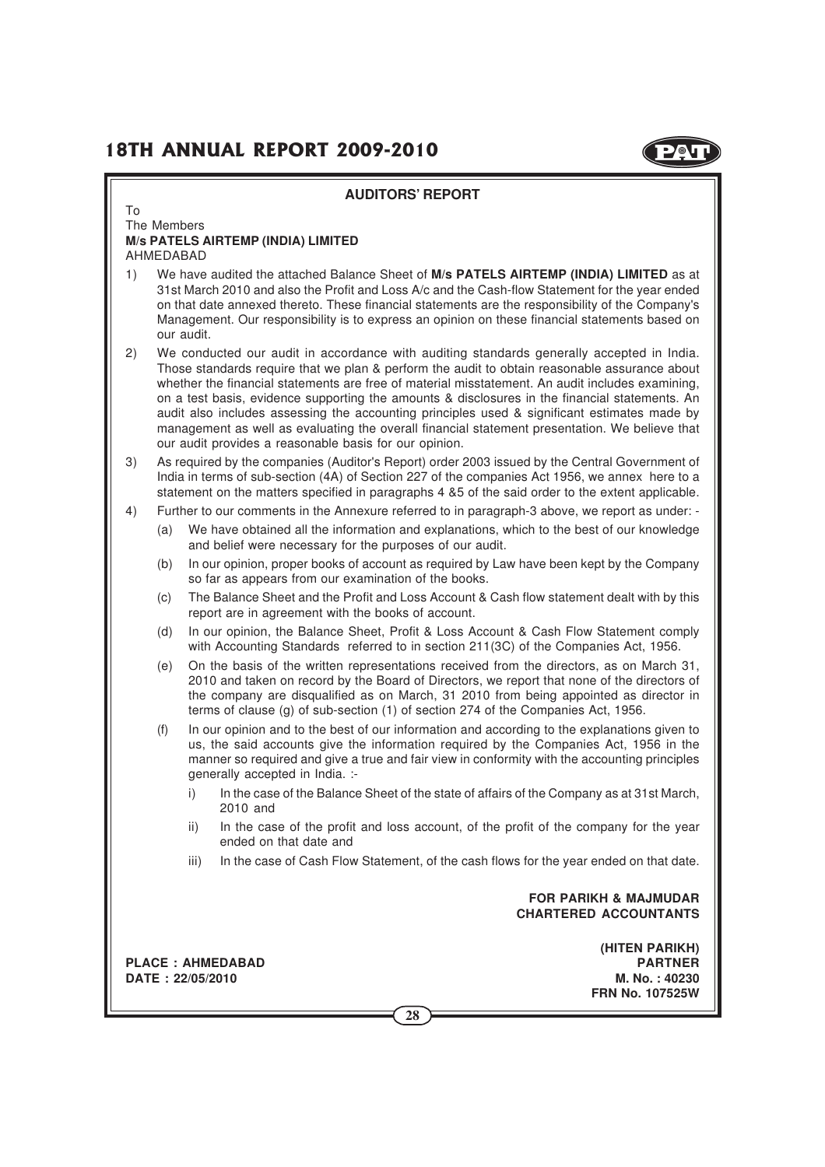

|    |             | <b>AUDITORS' REPORT</b>                                                                                                                                                                                                                                                                                                                                                                                                                                                                                                                                                                                                                                      |
|----|-------------|--------------------------------------------------------------------------------------------------------------------------------------------------------------------------------------------------------------------------------------------------------------------------------------------------------------------------------------------------------------------------------------------------------------------------------------------------------------------------------------------------------------------------------------------------------------------------------------------------------------------------------------------------------------|
| To | The Members |                                                                                                                                                                                                                                                                                                                                                                                                                                                                                                                                                                                                                                                              |
|    | AHMEDABAD   | <b>M/s PATELS AIRTEMP (INDIA) LIMITED</b>                                                                                                                                                                                                                                                                                                                                                                                                                                                                                                                                                                                                                    |
| 1) |             | We have audited the attached Balance Sheet of M/s PATELS AIRTEMP (INDIA) LIMITED as at<br>31st March 2010 and also the Profit and Loss A/c and the Cash-flow Statement for the year ended<br>on that date annexed thereto. These financial statements are the responsibility of the Company's<br>Management. Our responsibility is to express an opinion on these financial statements based on<br>our audit.                                                                                                                                                                                                                                                |
| 2) |             | We conducted our audit in accordance with auditing standards generally accepted in India.<br>Those standards require that we plan & perform the audit to obtain reasonable assurance about<br>whether the financial statements are free of material misstatement. An audit includes examining,<br>on a test basis, evidence supporting the amounts & disclosures in the financial statements. An<br>audit also includes assessing the accounting principles used & significant estimates made by<br>management as well as evaluating the overall financial statement presentation. We believe that<br>our audit provides a reasonable basis for our opinion. |
| 3) |             | As required by the companies (Auditor's Report) order 2003 issued by the Central Government of<br>India in terms of sub-section (4A) of Section 227 of the companies Act 1956, we annex here to a<br>statement on the matters specified in paragraphs 4 &5 of the said order to the extent applicable.                                                                                                                                                                                                                                                                                                                                                       |
| 4) |             | Further to our comments in the Annexure referred to in paragraph-3 above, we report as under: -                                                                                                                                                                                                                                                                                                                                                                                                                                                                                                                                                              |
|    | (a)         | We have obtained all the information and explanations, which to the best of our knowledge<br>and belief were necessary for the purposes of our audit.                                                                                                                                                                                                                                                                                                                                                                                                                                                                                                        |
|    | (b)         | In our opinion, proper books of account as required by Law have been kept by the Company<br>so far as appears from our examination of the books.                                                                                                                                                                                                                                                                                                                                                                                                                                                                                                             |
|    | (c)         | The Balance Sheet and the Profit and Loss Account & Cash flow statement dealt with by this<br>report are in agreement with the books of account.                                                                                                                                                                                                                                                                                                                                                                                                                                                                                                             |
|    | (d)         | In our opinion, the Balance Sheet, Profit & Loss Account & Cash Flow Statement comply<br>with Accounting Standards referred to in section 211(3C) of the Companies Act, 1956.                                                                                                                                                                                                                                                                                                                                                                                                                                                                                |
|    | (e)         | On the basis of the written representations received from the directors, as on March 31,<br>2010 and taken on record by the Board of Directors, we report that none of the directors of<br>the company are disqualified as on March, 31 2010 from being appointed as director in<br>terms of clause (g) of sub-section (1) of section 274 of the Companies Act, 1956.                                                                                                                                                                                                                                                                                        |
|    | (f)         | In our opinion and to the best of our information and according to the explanations given to<br>us, the said accounts give the information required by the Companies Act, 1956 in the<br>manner so required and give a true and fair view in conformity with the accounting principles<br>generally accepted in India. :-                                                                                                                                                                                                                                                                                                                                    |
|    |             | i)<br>In the case of the Balance Sheet of the state of affairs of the Company as at 31st March,<br>2010 and                                                                                                                                                                                                                                                                                                                                                                                                                                                                                                                                                  |
|    |             | In the case of the profit and loss account, of the profit of the company for the year<br>ii)<br>ended on that date and                                                                                                                                                                                                                                                                                                                                                                                                                                                                                                                                       |
|    |             | In the case of Cash Flow Statement, of the cash flows for the year ended on that date.<br>iii)                                                                                                                                                                                                                                                                                                                                                                                                                                                                                                                                                               |
|    |             | <b>FOR PARIKH &amp; MAJMUDAR</b><br><b>CHARTERED ACCOUNTANTS</b>                                                                                                                                                                                                                                                                                                                                                                                                                                                                                                                                                                                             |
|    |             | (HITEN PARIKH)<br><b>PLACE: AHMEDABAD</b><br><b>PARTNER</b><br>M. No.: 40230<br>DATE: 22/05/2010<br><b>FRN No. 107525W</b><br>28                                                                                                                                                                                                                                                                                                                                                                                                                                                                                                                             |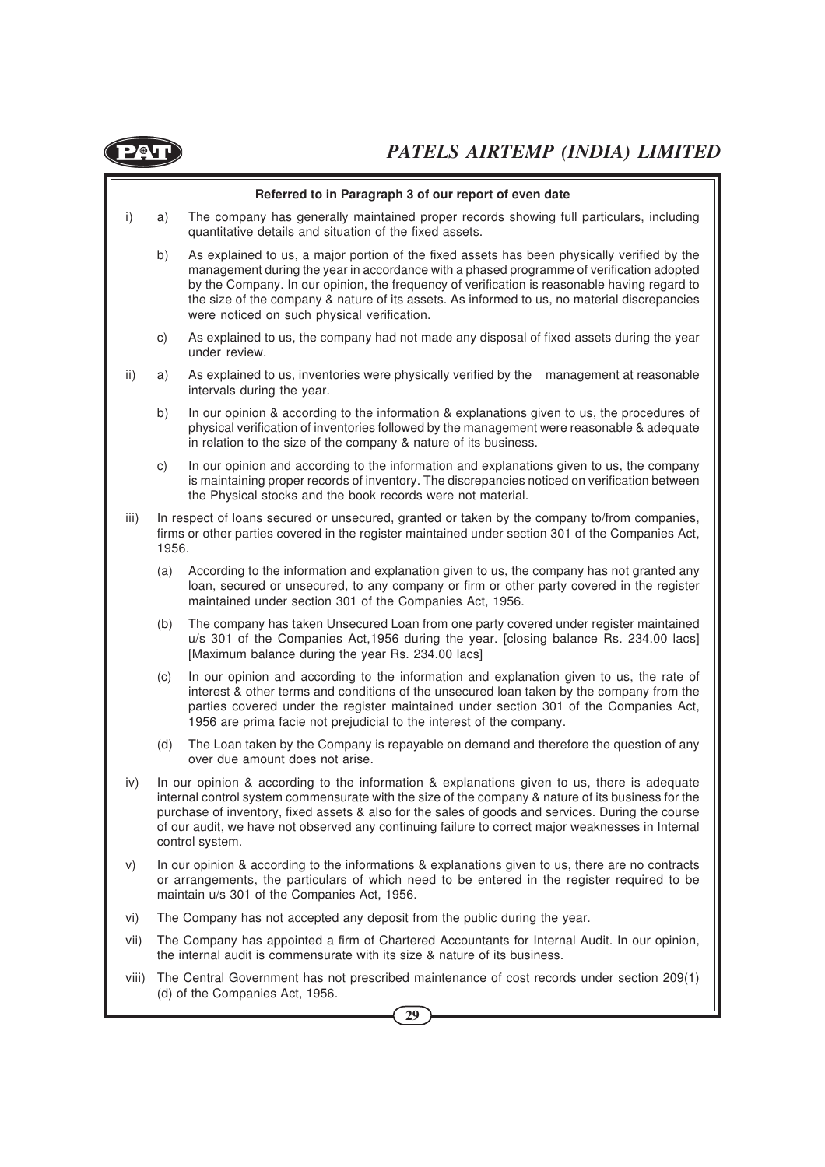

|              |       | Referred to in Paragraph 3 of our report of even date                                                                                                                                                                                                                                                                                                                                                                                  |
|--------------|-------|----------------------------------------------------------------------------------------------------------------------------------------------------------------------------------------------------------------------------------------------------------------------------------------------------------------------------------------------------------------------------------------------------------------------------------------|
| $\mathsf{i}$ | a)    | The company has generally maintained proper records showing full particulars, including<br>quantitative details and situation of the fixed assets.                                                                                                                                                                                                                                                                                     |
|              | b)    | As explained to us, a major portion of the fixed assets has been physically verified by the<br>management during the year in accordance with a phased programme of verification adopted<br>by the Company. In our opinion, the frequency of verification is reasonable having regard to<br>the size of the company & nature of its assets. As informed to us, no material discrepancies<br>were noticed on such physical verification. |
|              | c)    | As explained to us, the company had not made any disposal of fixed assets during the year<br>under review.                                                                                                                                                                                                                                                                                                                             |
| ii)          | a)    | As explained to us, inventories were physically verified by the<br>management at reasonable<br>intervals during the year.                                                                                                                                                                                                                                                                                                              |
|              | b)    | In our opinion & according to the information & explanations given to us, the procedures of<br>physical verification of inventories followed by the management were reasonable & adequate<br>in relation to the size of the company & nature of its business.                                                                                                                                                                          |
|              | c)    | In our opinion and according to the information and explanations given to us, the company<br>is maintaining proper records of inventory. The discrepancies noticed on verification between<br>the Physical stocks and the book records were not material.                                                                                                                                                                              |
| iii)         | 1956. | In respect of loans secured or unsecured, granted or taken by the company to/from companies,<br>firms or other parties covered in the register maintained under section 301 of the Companies Act,                                                                                                                                                                                                                                      |
|              | (a)   | According to the information and explanation given to us, the company has not granted any<br>loan, secured or unsecured, to any company or firm or other party covered in the register<br>maintained under section 301 of the Companies Act, 1956.                                                                                                                                                                                     |
|              | (b)   | The company has taken Unsecured Loan from one party covered under register maintained<br>u/s 301 of the Companies Act, 1956 during the year. [closing balance Rs. 234.00 lacs]<br>[Maximum balance during the year Rs. 234.00 lacs]                                                                                                                                                                                                    |
|              | (c)   | In our opinion and according to the information and explanation given to us, the rate of<br>interest & other terms and conditions of the unsecured loan taken by the company from the<br>parties covered under the register maintained under section 301 of the Companies Act,<br>1956 are prima facie not prejudicial to the interest of the company.                                                                                 |
|              | (d)   | The Loan taken by the Company is repayable on demand and therefore the question of any<br>over due amount does not arise.                                                                                                                                                                                                                                                                                                              |
| iv)          |       | In our opinion & according to the information & explanations given to us, there is adequate<br>internal control system commensurate with the size of the company & nature of its business for the<br>purchase of inventory, fixed assets & also for the sales of goods and services. During the course<br>of our audit, we have not observed any continuing failure to correct major weaknesses in Internal<br>control system.         |
| V)           |       | In our opinion & according to the informations & explanations given to us, there are no contracts<br>or arrangements, the particulars of which need to be entered in the register required to be<br>maintain u/s 301 of the Companies Act, 1956.                                                                                                                                                                                       |
| vi)          |       | The Company has not accepted any deposit from the public during the year.                                                                                                                                                                                                                                                                                                                                                              |
| vii)         |       | The Company has appointed a firm of Chartered Accountants for Internal Audit. In our opinion,<br>the internal audit is commensurate with its size & nature of its business.                                                                                                                                                                                                                                                            |
| VIII)        |       | The Central Government has not prescribed maintenance of cost records under section 209(1)<br>(d) of the Companies Act, 1956.                                                                                                                                                                                                                                                                                                          |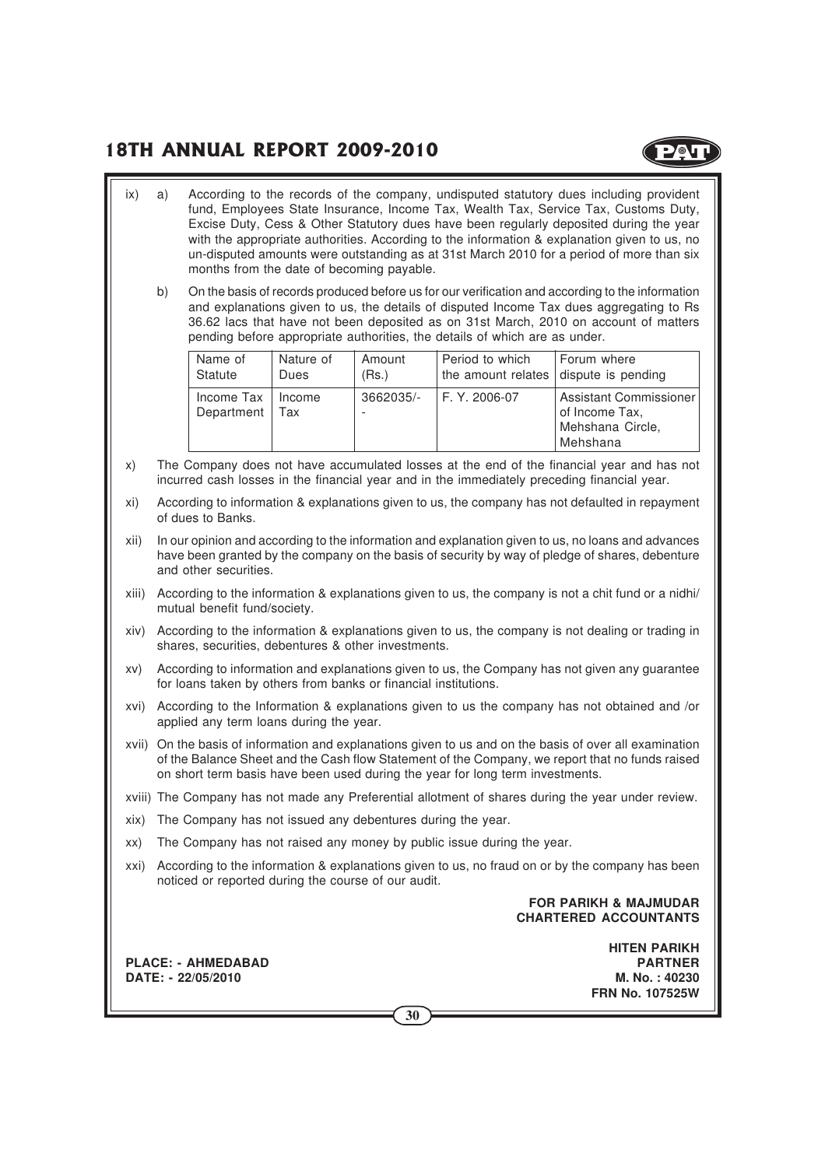**POL** 

- ix) a) According to the records of the company, undisputed statutory dues including provident fund, Employees State Insurance, Income Tax, Wealth Tax, Service Tax, Customs Duty, Excise Duty, Cess & Other Statutory dues have been regularly deposited during the year with the appropriate authorities. According to the information & explanation given to us, no un-disputed amounts were outstanding as at 31st March 2010 for a period of more than six months from the date of becoming payable.
	- b) On the basis of records produced before us for our verification and according to the information and explanations given to us, the details of disputed Income Tax dues aggregating to Rs 36.62 lacs that have not been deposited as on 31st March, 2010 on account of matters pending before appropriate authorities, the details of which are as under.

| Name of                  | Nature of     | Amount    | Period to which                       | Forum where                                                              |
|--------------------------|---------------|-----------|---------------------------------------|--------------------------------------------------------------------------|
| Statute                  | Dues          | (Rs.)     | the amount relates dispute is pending |                                                                          |
| Income Tax<br>Department | Income<br>Tax | 3662035/- | F. Y. 2006-07                         | Assistant Commissioner<br>of Income Tax,<br>Mehshana Circle,<br>Mehshana |

- x) The Company does not have accumulated losses at the end of the financial year and has not incurred cash losses in the financial year and in the immediately preceding financial year.
- xi) According to information & explanations given to us, the company has not defaulted in repayment of dues to Banks.
- xii) In our opinion and according to the information and explanation given to us, no loans and advances have been granted by the company on the basis of security by way of pledge of shares, debenture and other securities.
- xiii) According to the information & explanations given to us, the company is not a chit fund or a nidhi/ mutual benefit fund/society.
- xiv) According to the information & explanations given to us, the company is not dealing or trading in shares, securities, debentures & other investments.
- xv) According to information and explanations given to us, the Company has not given any guarantee for loans taken by others from banks or financial institutions.
- xvi) According to the Information & explanations given to us the company has not obtained and /or applied any term loans during the year.
- xvii) On the basis of information and explanations given to us and on the basis of over all examination of the Balance Sheet and the Cash flow Statement of the Company, we report that no funds raised on short term basis have been used during the year for long term investments.
- xviii) The Company has not made any Preferential allotment of shares during the year under review.
- xix) The Company has not issued any debentures during the year.
- xx) The Company has not raised any money by public issue during the year.
- xxi) According to the information & explanations given to us, no fraud on or by the company has been noticed or reported during the course of our audit.

#### **FOR PARIKH & MAJMUDAR CHARTERED ACCOUNTANTS**

**PLACE: - AHMEDABAD PARTNER DATE: - 22/05/2010 M. No. : 40230**

**HITEN PARIKH FRN No. 107525W**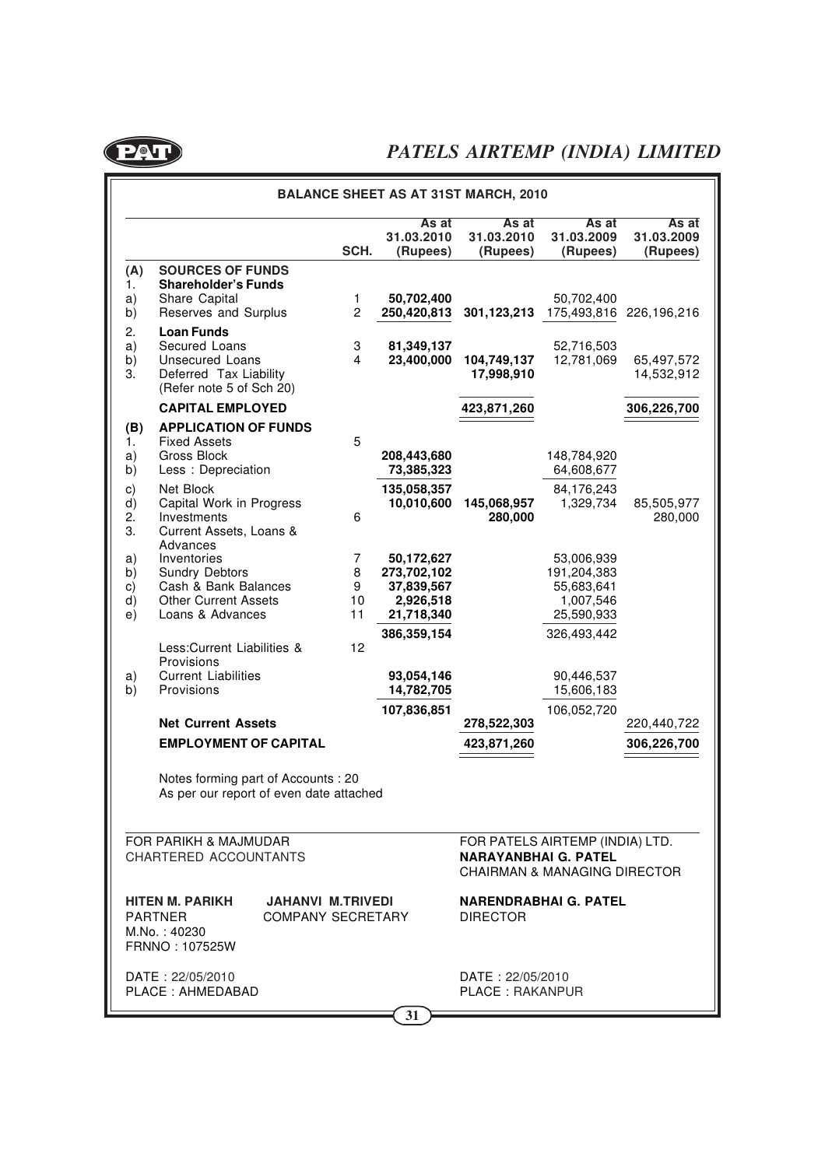

|                            | <b>BALANCE SHEET AS AT 31ST MARCH, 2010</b>                                                                                        |                         |                                                                    |                                                                                                           |                                                                    |                                 |  |  |
|----------------------------|------------------------------------------------------------------------------------------------------------------------------------|-------------------------|--------------------------------------------------------------------|-----------------------------------------------------------------------------------------------------------|--------------------------------------------------------------------|---------------------------------|--|--|
|                            |                                                                                                                                    | SCH.                    | As at<br>31.03.2010<br>(Rupees)                                    | As at<br>31.03.2010<br>(Rupees)                                                                           | As at<br>31.03.2009<br>(Rupees)                                    | As at<br>31.03.2009<br>(Rupees) |  |  |
| (A)<br>1.<br>a)<br>b)      | <b>SOURCES OF FUNDS</b><br><b>Shareholder's Funds</b><br>Share Capital<br>Reserves and Surplus                                     | 1<br>$\overline{c}$     | 50,702,400<br>250,420,813                                          | 301,123,213                                                                                               | 50,702,400<br>175,493,816                                          | 226,196,216                     |  |  |
| 2.<br>a)<br>b)<br>3.       | <b>Loan Funds</b><br>Secured Loans<br>Unsecured Loans<br>Deferred Tax Liability<br>(Refer note 5 of Sch 20)                        | 3<br>4                  | 81,349,137<br>23,400,000                                           | 104,749,137<br>17,998,910                                                                                 | 52,716,503<br>12,781,069                                           | 65,497,572<br>14,532,912        |  |  |
|                            | <b>CAPITAL EMPLOYED</b>                                                                                                            |                         |                                                                    | 423,871,260                                                                                               |                                                                    | 306,226,700                     |  |  |
| (B)<br>1.<br>a)<br>b)      | <b>APPLICATION OF FUNDS</b><br><b>Fixed Assets</b><br>Gross Block<br>Less: Depreciation                                            | 5                       | 208,443,680<br>73,385,323                                          |                                                                                                           | 148,784,920<br>64,608,677                                          |                                 |  |  |
| C)<br>d)<br>2.<br>3.       | Net Block<br>Capital Work in Progress<br>Investments<br>Current Assets, Loans &                                                    | 6                       | 135,058,357<br>10,010,600                                          | 145,068,957<br>280,000                                                                                    | 84,176,243<br>1,329,734                                            | 85,505,977<br>280,000           |  |  |
| a)<br>b)<br>C)<br>d)<br>e) | Advances<br>Inventories<br>Sundry Debtors<br>Cash & Bank Balances<br><b>Other Current Assets</b><br>Loans & Advances               | 7<br>8<br>9<br>10<br>11 | 50,172,627<br>273,702,102<br>37,839,567<br>2,926,518<br>21,718,340 |                                                                                                           | 53,006,939<br>191,204,383<br>55,683,641<br>1,007,546<br>25,590,933 |                                 |  |  |
| a)<br>b)                   | Less:Current Liabilities &<br>Provisions<br><b>Current Liabilities</b><br>Provisions                                               | 12                      | 386,359,154<br>93,054,146<br>14,782,705                            |                                                                                                           | 326,493,442<br>90,446,537<br>15,606,183                            |                                 |  |  |
|                            | <b>Net Current Assets</b>                                                                                                          |                         | 107,836,851                                                        | 278,522,303                                                                                               | 106,052,720                                                        | 220,440,722                     |  |  |
|                            | <b>EMPLOYMENT OF CAPITAL</b>                                                                                                       |                         |                                                                    | 423,871,260                                                                                               |                                                                    | 306,226,700                     |  |  |
|                            | Notes forming part of Accounts: 20<br>As per our report of even date attached                                                      |                         |                                                                    |                                                                                                           |                                                                    |                                 |  |  |
|                            | FOR PARIKH & MAJMUDAR<br>CHARTERED ACCOUNTANTS                                                                                     |                         |                                                                    | FOR PATELS AIRTEMP (INDIA) LTD.<br><b>NARAYANBHAI G. PATEL</b><br><b>CHAIRMAN &amp; MANAGING DIRECTOR</b> |                                                                    |                                 |  |  |
|                            | <b>JAHANVI M.TRIVEDI</b><br>HITEN M. PARIKH<br><b>PARTNER</b><br><b>COMPANY SECRETARY</b><br>M.No.: 40230<br><b>FRNNO: 107525W</b> |                         |                                                                    | <b>NARENDRABHAI G. PATEL</b><br><b>DIRECTOR</b>                                                           |                                                                    |                                 |  |  |
|                            | DATE: 22/05/2010<br>PLACE: AHMEDABAD                                                                                               |                         |                                                                    | DATE: 22/05/2010<br><b>PLACE: RAKANPUR</b>                                                                |                                                                    |                                 |  |  |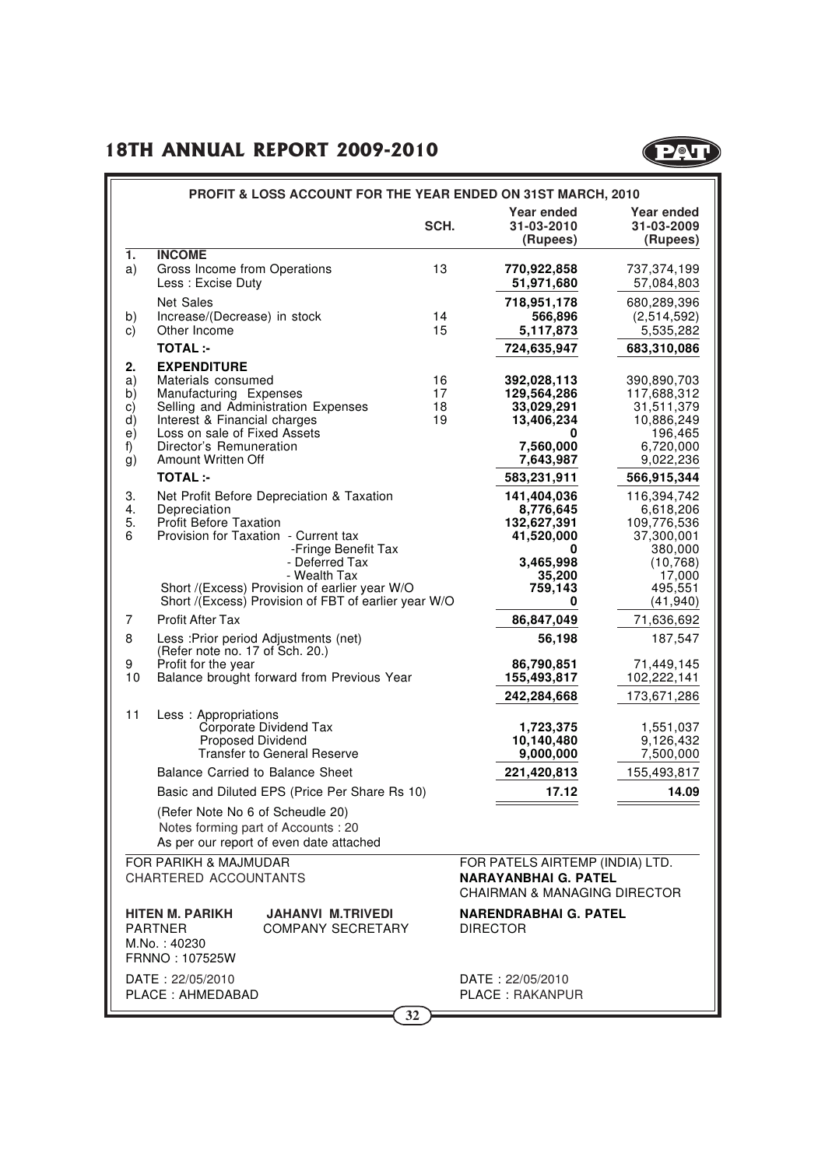

|                                              |                                                                                                                                                                                     | PROFIT & LOSS ACCOUNT FOR THE YEAR ENDED ON 31ST MARCH, 2010                                                                            |                      |                                                                                                           |                                                                                             |
|----------------------------------------------|-------------------------------------------------------------------------------------------------------------------------------------------------------------------------------------|-----------------------------------------------------------------------------------------------------------------------------------------|----------------------|-----------------------------------------------------------------------------------------------------------|---------------------------------------------------------------------------------------------|
|                                              |                                                                                                                                                                                     |                                                                                                                                         | SCH.                 | Year ended<br>31-03-2010<br>(Rupees)                                                                      | Year ended<br>31-03-2009<br>(Rupees)                                                        |
| 1.<br>a)                                     | <b>INCOME</b><br>Gross Income from Operations<br>Less: Excise Duty                                                                                                                  |                                                                                                                                         | 13                   | 770,922,858<br>51,971,680                                                                                 | 737,374,199<br>57,084,803                                                                   |
| b)<br>C)                                     | Net Sales<br>Increase/(Decrease) in stock<br>Other Income                                                                                                                           |                                                                                                                                         | 14<br>15             | 718,951,178<br>566,896<br>5,117,873                                                                       | 680,289,396<br>(2,514,592)<br>5,535,282                                                     |
|                                              | <b>TOTAL:-</b>                                                                                                                                                                      |                                                                                                                                         |                      | 724,635,947                                                                                               | 683,310,086                                                                                 |
| 2.<br>a)<br>b)<br>C)<br>d)<br>e)<br>f)<br>g) | <b>EXPENDITURE</b><br>Materials consumed<br>Manufacturing Expenses<br>Interest & Financial charges<br>Loss on sale of Fixed Assets<br>Director's Remuneration<br>Amount Written Off | Selling and Administration Expenses                                                                                                     | 16<br>17<br>18<br>19 | 392,028,113<br>129,564,286<br>33,029,291<br>13,406,234<br>0<br>7.560.000<br>7,643,987                     | 390,890,703<br>117,688,312<br>31,511,379<br>10,886,249<br>196,465<br>6,720,000<br>9,022,236 |
|                                              | <b>TOTAL:-</b>                                                                                                                                                                      |                                                                                                                                         |                      | 583,231,911                                                                                               | 566,915,344                                                                                 |
| 3.<br>4.<br>5.<br>6                          | Depreciation<br>Profit Before Taxation                                                                                                                                              | Net Profit Before Depreciation & Taxation<br>Provision for Taxation - Current tax<br>-Fringe Benefit Tax                                |                      | 141,404,036<br>8,776,645<br>132,627,391<br>41,520,000<br>0                                                | 116,394,742<br>6,618,206<br>109,776,536<br>37,300,001<br>380,000                            |
|                                              |                                                                                                                                                                                     | - Deferred Tax<br>- Wealth Tax<br>Short /(Excess) Provision of earlier year W/O<br>Short /(Excess) Provision of FBT of earlier year W/O |                      | 3,465,998<br>35,200<br>759,143<br>0                                                                       | (10, 768)<br>17,000<br>495,551<br>(41, 940)                                                 |
| 7                                            | <b>Profit After Tax</b>                                                                                                                                                             |                                                                                                                                         |                      | 86,847,049                                                                                                | 71,636,692                                                                                  |
| 8                                            | (Refer note no. 17 of Sch. 20.)                                                                                                                                                     | Less : Prior period Adjustments (net)                                                                                                   |                      | 56,198                                                                                                    | 187,547                                                                                     |
| 9<br>10                                      | Profit for the year                                                                                                                                                                 | Balance brought forward from Previous Year                                                                                              |                      | 86,790,851<br>155,493,817                                                                                 | 71,449,145<br>102,222,141                                                                   |
| 11                                           | Less: Appropriations<br>Proposed Dividend                                                                                                                                           | Corporate Dividend Tax<br><b>Transfer to General Reserve</b><br><b>Balance Carried to Balance Sheet</b>                                 |                      | 242,284,668<br>1,723,375<br>10,140,480<br>9,000,000<br>221,420,813                                        | 173,671,286<br>1,551,037<br>9,126,432<br>7,500,000<br>155,493,817                           |
|                                              |                                                                                                                                                                                     | Basic and Diluted EPS (Price Per Share Rs 10)                                                                                           |                      | 17.12                                                                                                     | 14.09                                                                                       |
|                                              | (Refer Note No 6 of Scheudle 20)                                                                                                                                                    | Notes forming part of Accounts : 20<br>As per our report of even date attached                                                          |                      |                                                                                                           |                                                                                             |
|                                              | <b>FOR PARIKH &amp; MAJMUDAR</b><br>CHARTERED ACCOUNTANTS                                                                                                                           |                                                                                                                                         |                      | FOR PATELS AIRTEMP (INDIA) LTD.<br><b>NARAYANBHAI G. PATEL</b><br><b>CHAIRMAN &amp; MANAGING DIRECTOR</b> |                                                                                             |
|                                              | HITEN M. PARIKH<br><b>PARTNER</b><br>M.No.: 40230<br>FRNNO: 107525W                                                                                                                 | <b>JAHANVI M.TRIVEDI</b><br><b>COMPANY SECRETARY</b>                                                                                    |                      | <b>NARENDRABHAI G. PATEL</b><br><b>DIRECTOR</b>                                                           |                                                                                             |
|                                              | DATE: 22/05/2010<br>PLACE: AHMEDABAD                                                                                                                                                |                                                                                                                                         |                      | DATE: 22/05/2010<br><b>PLACE: RAKANPUR</b>                                                                |                                                                                             |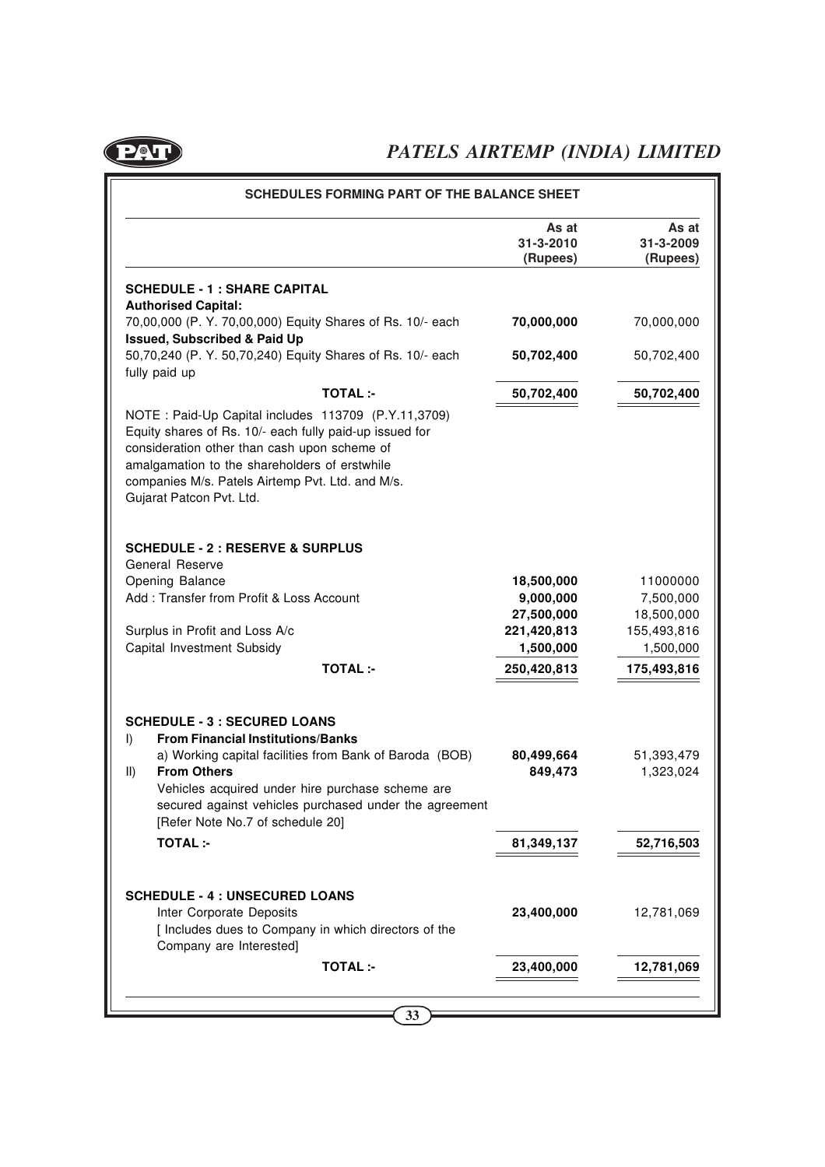

|                                                                                                                                                                                                                                                                                                                                         | As at<br>31-3-2010<br>(Rupees) | As at<br>31-3-2009<br>(Rupees) |
|-----------------------------------------------------------------------------------------------------------------------------------------------------------------------------------------------------------------------------------------------------------------------------------------------------------------------------------------|--------------------------------|--------------------------------|
| <b>SCHEDULE - 1 : SHARE CAPITAL</b><br><b>Authorised Capital:</b>                                                                                                                                                                                                                                                                       |                                |                                |
| 70,00,000 (P. Y. 70,00,000) Equity Shares of Rs. 10/- each<br><b>Issued, Subscribed &amp; Paid Up</b>                                                                                                                                                                                                                                   | 70,000,000                     | 70,000,000                     |
| 50,70,240 (P. Y. 50,70,240) Equity Shares of Rs. 10/- each<br>fully paid up                                                                                                                                                                                                                                                             | 50,702,400                     | 50,702,400                     |
| <b>TOTAL:-</b>                                                                                                                                                                                                                                                                                                                          | 50,702,400                     | 50,702,400                     |
| NOTE: Paid-Up Capital includes 113709 (P.Y.11,3709)<br>Equity shares of Rs. 10/- each fully paid-up issued for<br>consideration other than cash upon scheme of<br>amalgamation to the shareholders of erstwhile<br>companies M/s. Patels Airtemp Pvt. Ltd. and M/s.<br>Gujarat Patcon Pvt. Ltd.                                         |                                |                                |
| <b>SCHEDULE - 2 : RESERVE &amp; SURPLUS</b><br><b>General Reserve</b>                                                                                                                                                                                                                                                                   |                                |                                |
| Opening Balance                                                                                                                                                                                                                                                                                                                         | 18,500,000                     | 11000000                       |
| Add: Transfer from Profit & Loss Account                                                                                                                                                                                                                                                                                                | 9,000,000                      | 7,500,000                      |
| Surplus in Profit and Loss A/c                                                                                                                                                                                                                                                                                                          | 27,500,000<br>221,420,813      | 18,500,000<br>155,493,816      |
| Capital Investment Subsidy                                                                                                                                                                                                                                                                                                              | 1,500,000                      | 1,500,000                      |
| <b>TOTAL:-</b>                                                                                                                                                                                                                                                                                                                          | 250,420,813                    | 175,493,816                    |
| <b>SCHEDULE - 3 : SECURED LOANS</b><br><b>From Financial Institutions/Banks</b><br>I)<br>a) Working capital facilities from Bank of Baroda (BOB)<br><b>From Others</b><br>$\parallel$<br>Vehicles acquired under hire purchase scheme are<br>secured against vehicles purchased under the agreement<br>[Refer Note No.7 of schedule 20] | 80,499,664<br>849,473          | 51,393,479<br>1,323,024        |
| <b>TOTAL:-</b>                                                                                                                                                                                                                                                                                                                          | 81,349,137                     | 52,716,503                     |
| <b>SCHEDULE - 4 : UNSECURED LOANS</b><br>Inter Corporate Deposits<br>[ Includes dues to Company in which directors of the<br>Company are Interested]                                                                                                                                                                                    | 23,400,000                     | 12,781,069                     |
|                                                                                                                                                                                                                                                                                                                                         |                                |                                |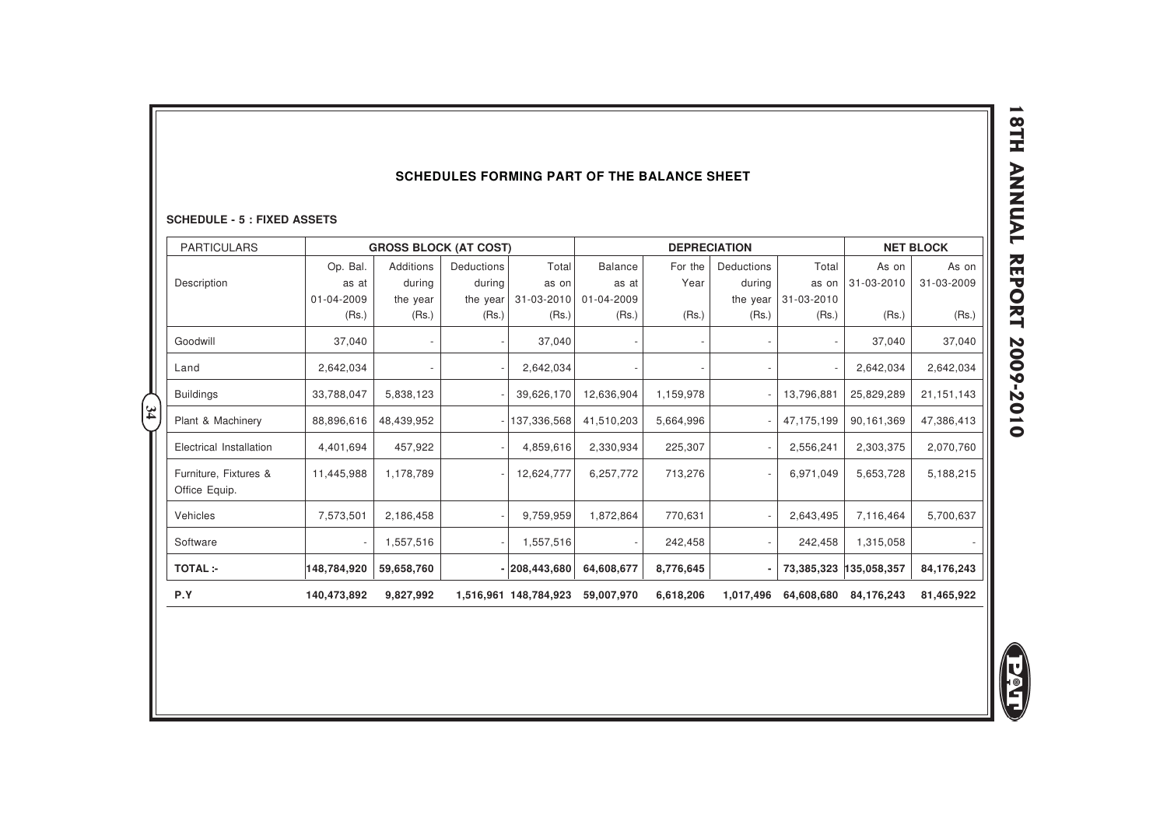#### **SCHEDULES FORMING PART OF THE BALANCE SHEET**

|                                                          |             |                                           |            |                 | <b>SCHEDULES FORMING PART OF THE BALANCE SHEET</b> |                     |            |            |             |                  |
|----------------------------------------------------------|-------------|-------------------------------------------|------------|-----------------|----------------------------------------------------|---------------------|------------|------------|-------------|------------------|
| <b>SCHEDULE - 5 : FIXED ASSETS</b><br><b>PARTICULARS</b> |             |                                           |            |                 |                                                    | <b>DEPRECIATION</b> |            |            |             | <b>NET BLOCK</b> |
|                                                          | Op. Bal.    | <b>GROSS BLOCK (AT COST)</b><br>Additions | Deductions | Total           | <b>Balance</b>                                     | For the             | Deductions | Total      | As on       | As on            |
| Description                                              | as at       | during                                    | during     | as on           | as at                                              | Year                | during     | as on      | 31-03-2010  | 31-03-2009       |
|                                                          | 01-04-2009  | the year                                  | the year   | 31-03-2010      | 01-04-2009                                         |                     | the year   | 31-03-2010 |             |                  |
|                                                          | (Rs.)       | (Rs.)                                     | (Rs.)      | (Rs.)           | (Rs.)                                              | (Rs.)               | (Rs.)      | (Rs.)      | (Rs.)       | (Rs.)            |
| Goodwill                                                 | 37,040      |                                           |            | 37,040          |                                                    |                     |            |            | 37,040      | 37,040           |
| Land                                                     | 2,642,034   |                                           |            | 2,642,034       |                                                    |                     |            |            | 2,642,034   | 2,642,034        |
| <b>Buildings</b>                                         | 33,788,047  | 5,838,123                                 |            | 39,626,170      | 12,636,904                                         | 1,159,978           |            | 13,796,881 | 25,829,289  | 21, 151, 143     |
| Plant & Machinery                                        | 88,896,616  | 48,439,952                                |            | 137,336,568     | 41,510,203                                         | 5,664,996           |            | 47,175,199 | 90,161,369  | 47,386,413       |
| Electrical Installation                                  | 4,401,694   | 457,922                                   |            | 4,859,616       | 2,330,934                                          | 225,307             |            | 2,556,241  | 2,303,375   | 2,070,760        |
| Furniture, Fixtures &<br>Office Equip.                   | 11,445,988  | 1,178,789                                 |            | 12,624,777      | 6,257,772                                          | 713,276             |            | 6,971,049  | 5,653,728   | 5,188,215        |
| Vehicles                                                 | 7,573,501   | 2,186,458                                 |            | 9,759,959       | 1,872,864                                          | 770,631             |            | 2,643,495  | 7,116,464   | 5,700,637        |
| Software                                                 |             | 1,557,516                                 |            | 1,557,516       |                                                    | 242,458             |            | 242,458    | 1,315,058   |                  |
| <b>TOTAL:-</b>                                           | 148,784,920 | 59,658,760                                |            | $- 208,443,680$ | 64,608,677                                         | 8,776,645           |            | 73,385,323 | 135,058,357 | 84,176,243       |

**E**<br>E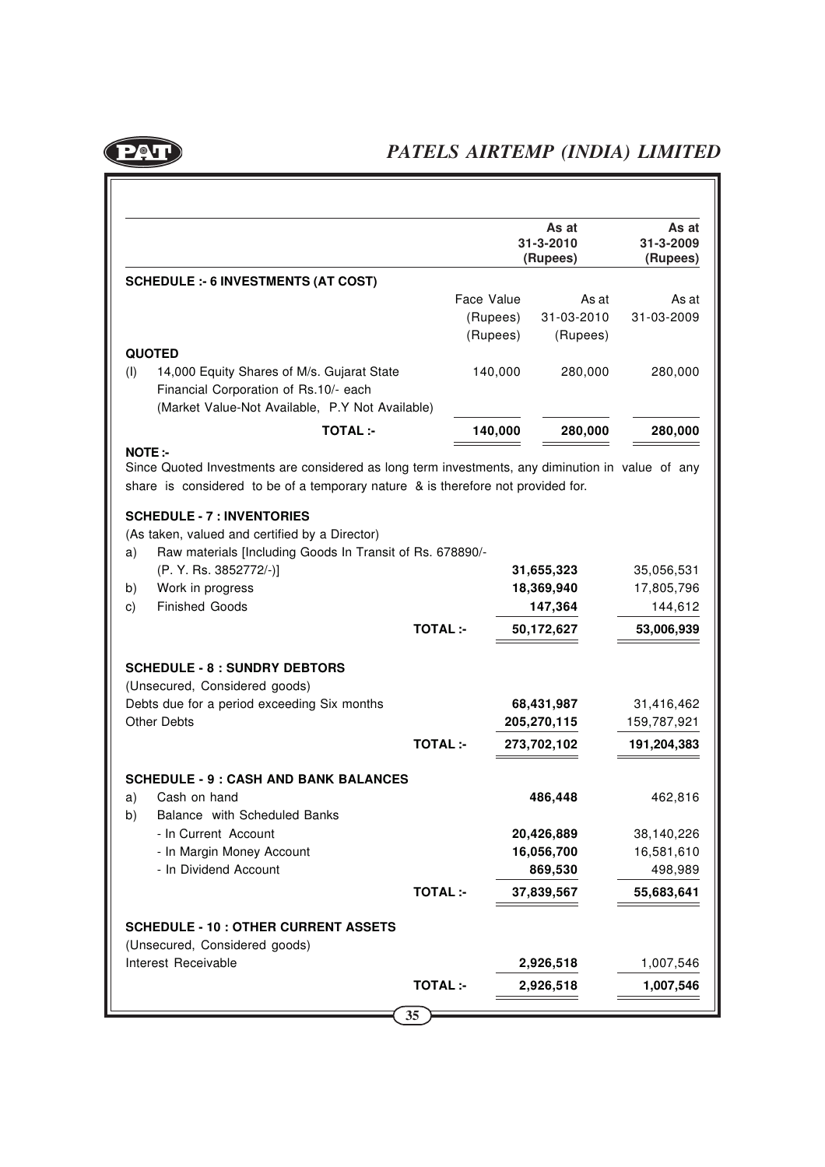

|                                                                                                                                                                                                                                            |                |            | As at<br>31-3-2010<br>(Rupees) | As at<br>31-3-2009<br>(Rupees) |
|--------------------------------------------------------------------------------------------------------------------------------------------------------------------------------------------------------------------------------------------|----------------|------------|--------------------------------|--------------------------------|
| <b>SCHEDULE :- 6 INVESTMENTS (AT COST)</b>                                                                                                                                                                                                 |                |            |                                |                                |
|                                                                                                                                                                                                                                            |                | Face Value | As at                          | As at                          |
|                                                                                                                                                                                                                                            |                | (Rupees)   | 31-03-2010                     | 31-03-2009                     |
|                                                                                                                                                                                                                                            |                | (Rupees)   | (Rupees)                       |                                |
| <b>QUOTED</b><br>(I)<br>14,000 Equity Shares of M/s. Gujarat State<br>Financial Corporation of Rs.10/- each                                                                                                                                |                | 140,000    | 280,000                        | 280,000                        |
| (Market Value-Not Available, P.Y Not Available)                                                                                                                                                                                            |                |            |                                |                                |
| <b>TOTAL:-</b><br><b>NOTE:-</b>                                                                                                                                                                                                            |                | 140,000    | 280,000                        | 280,000                        |
| share is considered to be of a temporary nature & is therefore not provided for.<br><b>SCHEDULE - 7 : INVENTORIES</b><br>(As taken, valued and certified by a Director)<br>Raw materials [Including Goods In Transit of Rs. 678890/-<br>a) |                |            |                                |                                |
| (P. Y. Rs. 3852772/-)]                                                                                                                                                                                                                     |                |            | 31,655,323                     | 35,056,531                     |
|                                                                                                                                                                                                                                            |                |            |                                |                                |
|                                                                                                                                                                                                                                            |                |            |                                |                                |
| Work in progress<br><b>Finished Goods</b>                                                                                                                                                                                                  |                |            | 18,369,940<br>147,364          | 17,805,796<br>144,612          |
|                                                                                                                                                                                                                                            | <b>TOTAL:-</b> |            | 50,172,627                     | 53,006,939                     |
| b)<br>C)<br><b>SCHEDULE - 8 : SUNDRY DEBTORS</b><br>(Unsecured, Considered goods)<br>Debts due for a period exceeding Six months<br><b>Other Debts</b>                                                                                     |                |            | 68,431,987<br>205,270,115      | 31,416,462<br>159,787,921      |
|                                                                                                                                                                                                                                            | <b>TOTAL:-</b> |            | 273,702,102                    | 191,204,383                    |
| Cash on hand<br>Balance with Scheduled Banks                                                                                                                                                                                               |                |            | 486,448                        | 462,816                        |
| - In Current Account                                                                                                                                                                                                                       |                |            | 20,426,889                     | 38,140,226                     |
| <b>SCHEDULE - 9 : CASH AND BANK BALANCES</b><br>a)<br>- In Margin Money Account                                                                                                                                                            |                |            | 16,056,700                     | 16,581,610                     |
| - In Dividend Account                                                                                                                                                                                                                      |                |            | 869,530                        | 498,989                        |
|                                                                                                                                                                                                                                            | <b>TOTAL:-</b> |            | 37,839,567                     |                                |
| (Unsecured, Considered goods)                                                                                                                                                                                                              |                |            |                                |                                |
| b)<br><b>SCHEDULE - 10 : OTHER CURRENT ASSETS</b><br>Interest Receivable                                                                                                                                                                   |                |            | 2,926,518                      | 55,683,641<br>1,007,546        |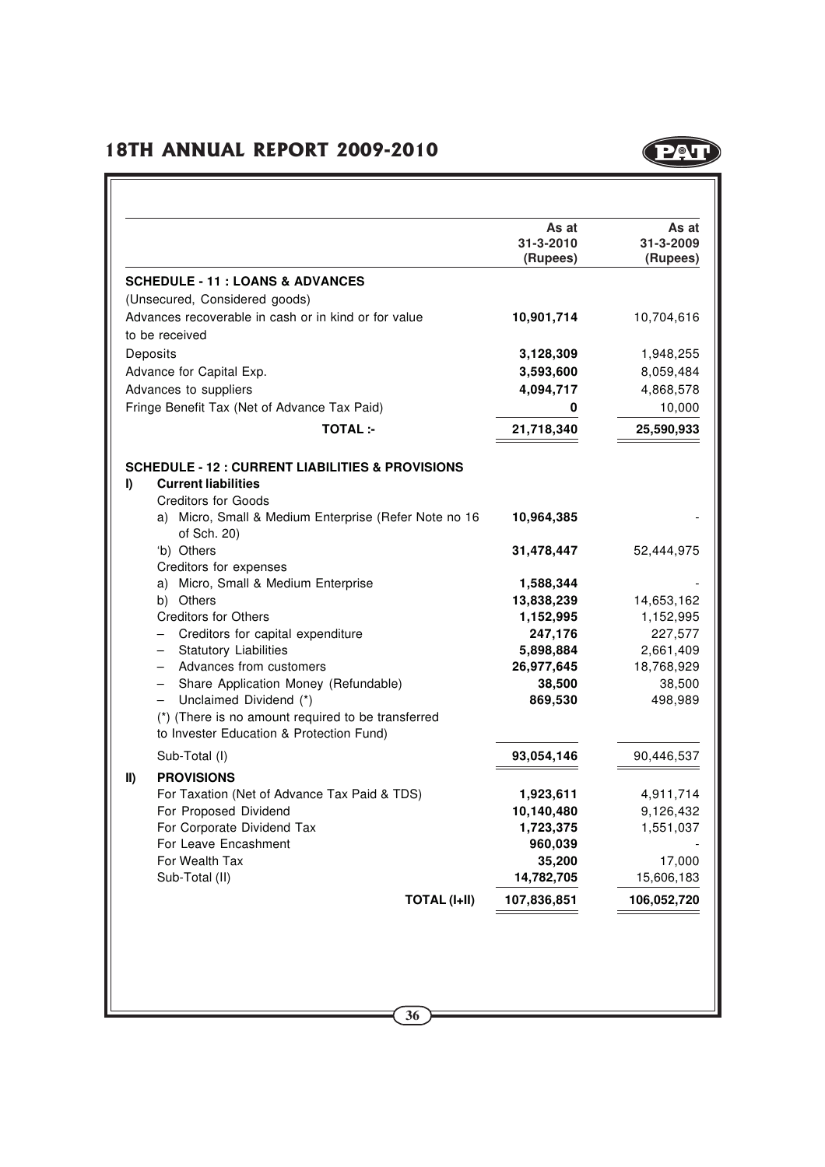

| (Rupees)<br>10,704,616<br>1,948,255<br>8,059,484<br>4,868,578<br>10,000<br>0<br>25,590,933<br>52,444,975<br>1,588,344<br>14,653,162<br>1,152,995<br>227,577<br>2,661,409 | (Rupees)<br>10,901,714<br>3,128,309<br>3,593,600<br>4,094,717<br>21,718,340<br>10,964,385<br>31,478,447 | <b>SCHEDULE - 11 : LOANS &amp; ADVANCES</b><br>(Unsecured, Considered goods)<br>Advances recoverable in cash or in kind or for value<br>to be received<br>Deposits<br>Advance for Capital Exp.<br>Advances to suppliers<br>Fringe Benefit Tax (Net of Advance Tax Paid)<br><b>TOTAL:-</b><br><b>SCHEDULE - 12 : CURRENT LIABILITIES &amp; PROVISIONS</b><br><b>Current liabilities</b><br><b>Creditors for Goods</b><br>a) Micro, Small & Medium Enterprise (Refer Note no 16<br>of Sch. 20)<br>'b) Others<br>Creditors for expenses |
|--------------------------------------------------------------------------------------------------------------------------------------------------------------------------|---------------------------------------------------------------------------------------------------------|--------------------------------------------------------------------------------------------------------------------------------------------------------------------------------------------------------------------------------------------------------------------------------------------------------------------------------------------------------------------------------------------------------------------------------------------------------------------------------------------------------------------------------------|
|                                                                                                                                                                          |                                                                                                         |                                                                                                                                                                                                                                                                                                                                                                                                                                                                                                                                      |
|                                                                                                                                                                          |                                                                                                         |                                                                                                                                                                                                                                                                                                                                                                                                                                                                                                                                      |
|                                                                                                                                                                          |                                                                                                         |                                                                                                                                                                                                                                                                                                                                                                                                                                                                                                                                      |
|                                                                                                                                                                          |                                                                                                         |                                                                                                                                                                                                                                                                                                                                                                                                                                                                                                                                      |
|                                                                                                                                                                          |                                                                                                         |                                                                                                                                                                                                                                                                                                                                                                                                                                                                                                                                      |
|                                                                                                                                                                          |                                                                                                         |                                                                                                                                                                                                                                                                                                                                                                                                                                                                                                                                      |
|                                                                                                                                                                          |                                                                                                         |                                                                                                                                                                                                                                                                                                                                                                                                                                                                                                                                      |
|                                                                                                                                                                          |                                                                                                         |                                                                                                                                                                                                                                                                                                                                                                                                                                                                                                                                      |
|                                                                                                                                                                          |                                                                                                         |                                                                                                                                                                                                                                                                                                                                                                                                                                                                                                                                      |
|                                                                                                                                                                          |                                                                                                         |                                                                                                                                                                                                                                                                                                                                                                                                                                                                                                                                      |
|                                                                                                                                                                          |                                                                                                         |                                                                                                                                                                                                                                                                                                                                                                                                                                                                                                                                      |
|                                                                                                                                                                          |                                                                                                         |                                                                                                                                                                                                                                                                                                                                                                                                                                                                                                                                      |
|                                                                                                                                                                          |                                                                                                         |                                                                                                                                                                                                                                                                                                                                                                                                                                                                                                                                      |
|                                                                                                                                                                          |                                                                                                         |                                                                                                                                                                                                                                                                                                                                                                                                                                                                                                                                      |
|                                                                                                                                                                          |                                                                                                         |                                                                                                                                                                                                                                                                                                                                                                                                                                                                                                                                      |
|                                                                                                                                                                          |                                                                                                         |                                                                                                                                                                                                                                                                                                                                                                                                                                                                                                                                      |
|                                                                                                                                                                          |                                                                                                         | a) Micro, Small & Medium Enterprise                                                                                                                                                                                                                                                                                                                                                                                                                                                                                                  |
|                                                                                                                                                                          | 13,838,239                                                                                              | b) Others                                                                                                                                                                                                                                                                                                                                                                                                                                                                                                                            |
|                                                                                                                                                                          | 1,152,995                                                                                               | <b>Creditors for Others</b>                                                                                                                                                                                                                                                                                                                                                                                                                                                                                                          |
|                                                                                                                                                                          | 247,176                                                                                                 | Creditors for capital expenditure                                                                                                                                                                                                                                                                                                                                                                                                                                                                                                    |
|                                                                                                                                                                          | 5,898,884                                                                                               | <b>Statutory Liabilities</b><br>$\qquad \qquad -$                                                                                                                                                                                                                                                                                                                                                                                                                                                                                    |
| 18,768,929                                                                                                                                                               | 26,977,645                                                                                              | Advances from customers<br>$\qquad \qquad -$                                                                                                                                                                                                                                                                                                                                                                                                                                                                                         |
| 38,500                                                                                                                                                                   | 38,500                                                                                                  | Share Application Money (Refundable)<br>-                                                                                                                                                                                                                                                                                                                                                                                                                                                                                            |
| 498,989                                                                                                                                                                  | 869,530                                                                                                 | Unclaimed Dividend (*)<br>$\qquad \qquad -$                                                                                                                                                                                                                                                                                                                                                                                                                                                                                          |
|                                                                                                                                                                          |                                                                                                         | (*) (There is no amount required to be transferred<br>to Invester Education & Protection Fund)                                                                                                                                                                                                                                                                                                                                                                                                                                       |
|                                                                                                                                                                          |                                                                                                         |                                                                                                                                                                                                                                                                                                                                                                                                                                                                                                                                      |
| 90,446,537                                                                                                                                                               | 93,054,146                                                                                              | Sub-Total (I)                                                                                                                                                                                                                                                                                                                                                                                                                                                                                                                        |
| 4,911,714                                                                                                                                                                | 1,923,611                                                                                               | <b>PROVISIONS</b><br>For Taxation (Net of Advance Tax Paid & TDS)                                                                                                                                                                                                                                                                                                                                                                                                                                                                    |
| 9,126,432                                                                                                                                                                | 10,140,480                                                                                              | For Proposed Dividend                                                                                                                                                                                                                                                                                                                                                                                                                                                                                                                |
| 1,551,037                                                                                                                                                                | 1,723,375                                                                                               | For Corporate Dividend Tax                                                                                                                                                                                                                                                                                                                                                                                                                                                                                                           |
|                                                                                                                                                                          | 960,039                                                                                                 | For Leave Encashment                                                                                                                                                                                                                                                                                                                                                                                                                                                                                                                 |
| 17,000                                                                                                                                                                   | 35,200                                                                                                  | For Wealth Tax                                                                                                                                                                                                                                                                                                                                                                                                                                                                                                                       |
| 15,606,183                                                                                                                                                               | 14,782,705                                                                                              | Sub-Total (II)                                                                                                                                                                                                                                                                                                                                                                                                                                                                                                                       |
| 106,052,720                                                                                                                                                              | 107,836,851                                                                                             | <b>TOTAL (I+II)</b>                                                                                                                                                                                                                                                                                                                                                                                                                                                                                                                  |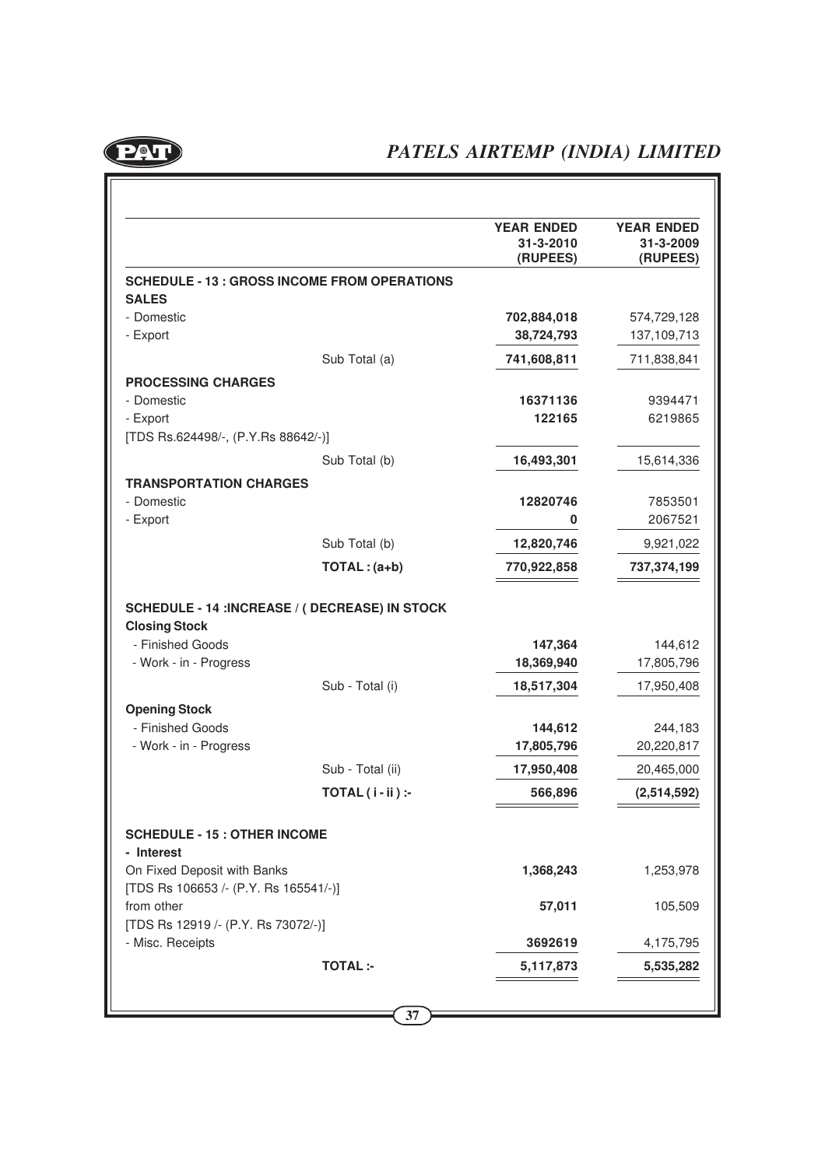

|                                                                                                                                                                                                    |                                                     | <b>YEAR ENDED</b><br>31-3-2010<br>(RUPEES) | <b>YEAR ENDED</b><br>31-3-2009<br>(RUPEES) |
|----------------------------------------------------------------------------------------------------------------------------------------------------------------------------------------------------|-----------------------------------------------------|--------------------------------------------|--------------------------------------------|
|                                                                                                                                                                                                    | <b>SCHEDULE - 13 : GROSS INCOME FROM OPERATIONS</b> |                                            |                                            |
| <b>SALES</b>                                                                                                                                                                                       |                                                     |                                            |                                            |
| - Domestic                                                                                                                                                                                         |                                                     | 702,884,018                                | 574,729,128                                |
| - Export                                                                                                                                                                                           |                                                     | 38,724,793                                 | 137,109,713                                |
|                                                                                                                                                                                                    | Sub Total (a)                                       | 741,608,811                                | 711,838,841                                |
| <b>PROCESSING CHARGES</b>                                                                                                                                                                          |                                                     |                                            |                                            |
| - Domestic                                                                                                                                                                                         |                                                     | 16371136                                   | 9394471                                    |
| - Export                                                                                                                                                                                           |                                                     | 122165                                     | 6219865                                    |
| [TDS Rs.624498/-, (P.Y.Rs 88642/-)]                                                                                                                                                                |                                                     |                                            |                                            |
|                                                                                                                                                                                                    | Sub Total (b)                                       | 16,493,301                                 | 15,614,336                                 |
| <b>TRANSPORTATION CHARGES</b>                                                                                                                                                                      |                                                     |                                            |                                            |
| - Domestic                                                                                                                                                                                         |                                                     | 12820746                                   | 7853501                                    |
| - Export                                                                                                                                                                                           |                                                     | 0                                          | 2067521                                    |
|                                                                                                                                                                                                    | Sub Total (b)                                       | 12,820,746                                 | 9,921,022                                  |
|                                                                                                                                                                                                    |                                                     |                                            |                                            |
|                                                                                                                                                                                                    | $TOTAL:(a+b)$                                       | 770,922,858                                | 737,374,199                                |
|                                                                                                                                                                                                    | SCHEDULE - 14 :INCREASE / ( DECREASE) IN STOCK      |                                            |                                            |
| <b>Closing Stock</b><br>- Finished Goods<br>- Work - in - Progress                                                                                                                                 |                                                     | 147,364<br>18,369,940                      | 144,612<br>17,805,796                      |
|                                                                                                                                                                                                    | Sub - Total (i)                                     | 18,517,304                                 | 17,950,408                                 |
|                                                                                                                                                                                                    |                                                     |                                            |                                            |
| <b>Opening Stock</b><br>- Finished Goods                                                                                                                                                           |                                                     |                                            |                                            |
| - Work - in - Progress                                                                                                                                                                             |                                                     | 144,612<br>17,805,796                      | 244,183<br>20,220,817                      |
|                                                                                                                                                                                                    | Sub - Total (ii)                                    | 17,950,408                                 | 20,465,000                                 |
|                                                                                                                                                                                                    | $TOTAL(i - ii):$                                    | 566,896                                    | (2,514,592)                                |
|                                                                                                                                                                                                    |                                                     |                                            |                                            |
|                                                                                                                                                                                                    |                                                     | 1,368,243                                  | 1,253,978                                  |
|                                                                                                                                                                                                    |                                                     | 57,011                                     | 105,509                                    |
| <b>SCHEDULE - 15 : OTHER INCOME</b><br>- Interest<br>On Fixed Deposit with Banks<br>[TDS Rs 106653 /- (P.Y. Rs 165541/-)]<br>from other<br>[TDS Rs 12919 /- (P.Y. Rs 73072/-)]<br>- Misc. Receipts |                                                     | 3692619                                    | 4,175,795                                  |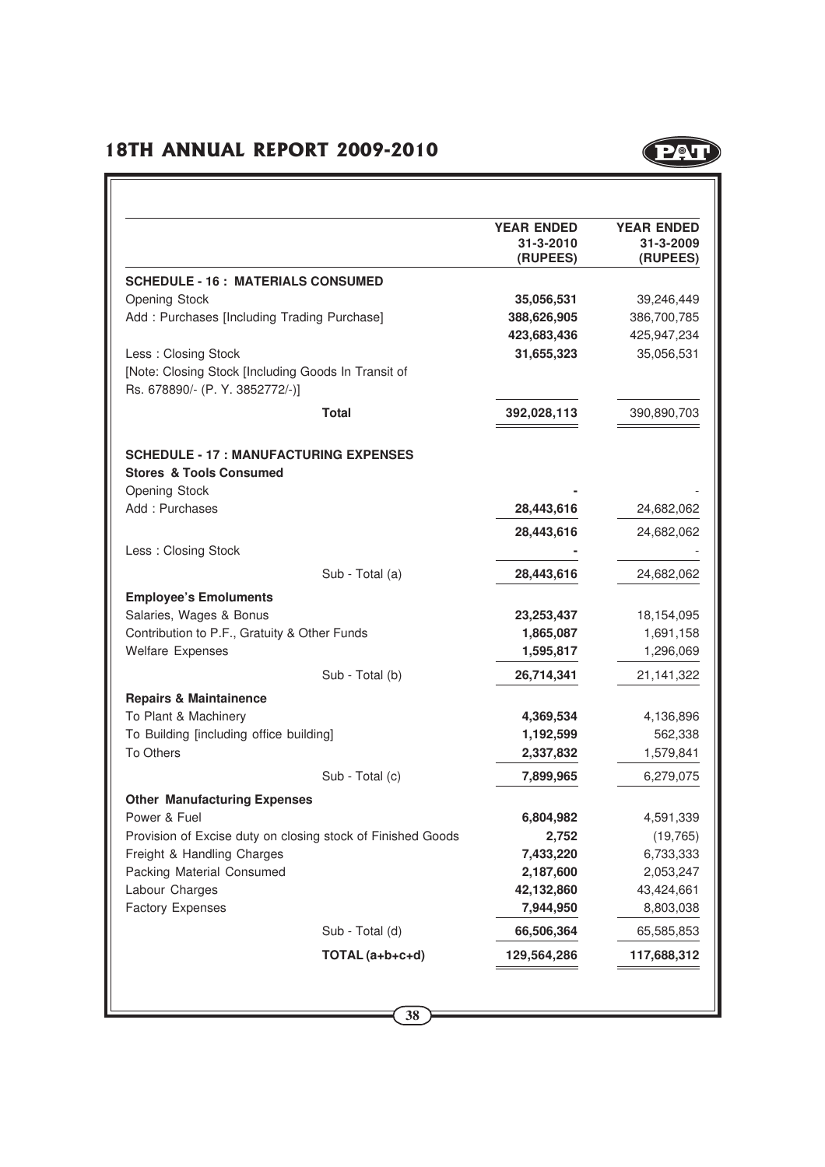

|                                                                                        |                 | <b>YEAR ENDED</b><br>31-3-2010<br>(RUPEES) | <b>YEAR ENDED</b><br>31-3-2009<br>(RUPEES) |
|----------------------------------------------------------------------------------------|-----------------|--------------------------------------------|--------------------------------------------|
| <b>SCHEDULE - 16 : MATERIALS CONSUMED</b>                                              |                 |                                            |                                            |
| Opening Stock                                                                          |                 | 35,056,531                                 | 39,246,449                                 |
| Add: Purchases [Including Trading Purchase]                                            |                 | 388,626,905                                | 386,700,785                                |
|                                                                                        |                 | 423,683,436                                | 425,947,234                                |
| Less: Closing Stock                                                                    |                 | 31,655,323                                 | 35,056,531                                 |
| [Note: Closing Stock [Including Goods In Transit of<br>Rs. 678890/- (P. Y. 3852772/-)] |                 |                                            |                                            |
|                                                                                        | <b>Total</b>    | 392,028,113                                | 390,890,703                                |
| <b>SCHEDULE - 17 : MANUFACTURING EXPENSES</b>                                          |                 |                                            |                                            |
| <b>Stores &amp; Tools Consumed</b><br><b>Opening Stock</b>                             |                 |                                            |                                            |
| Add: Purchases                                                                         |                 | 28,443,616                                 | 24,682,062                                 |
|                                                                                        |                 |                                            |                                            |
| Less: Closing Stock                                                                    |                 | 28,443,616                                 | 24,682,062                                 |
|                                                                                        | Sub - Total (a) | 28,443,616                                 | 24,682,062                                 |
| <b>Employee's Emoluments</b>                                                           |                 |                                            |                                            |
| Salaries, Wages & Bonus                                                                |                 | 23, 253, 437                               | 18,154,095                                 |
| Contribution to P.F., Gratuity & Other Funds                                           |                 | 1,865,087                                  | 1,691,158                                  |
| <b>Welfare Expenses</b>                                                                |                 | 1,595,817                                  | 1,296,069                                  |
|                                                                                        | Sub - Total (b) | 26,714,341                                 | 21,141,322                                 |
| <b>Repairs &amp; Maintainence</b>                                                      |                 |                                            |                                            |
| To Plant & Machinery                                                                   |                 | 4,369,534                                  | 4,136,896                                  |
| To Building [including office building]                                                |                 | 1,192,599                                  | 562,338                                    |
| To Others                                                                              |                 | 2,337,832                                  | 1,579,841                                  |
|                                                                                        | Sub - Total (c) | 7,899,965                                  | 6,279,075                                  |
| <b>Other Manufacturing Expenses</b>                                                    |                 |                                            |                                            |
| Power & Fuel                                                                           |                 | 6,804,982                                  | 4,591,339                                  |
| Provision of Excise duty on closing stock of Finished Goods                            |                 | 2,752                                      | (19, 765)                                  |
| Freight & Handling Charges                                                             |                 | 7,433,220                                  | 6,733,333                                  |
| Packing Material Consumed                                                              |                 | 2,187,600                                  | 2,053,247                                  |
| Labour Charges                                                                         |                 | 42,132,860                                 | 43,424,661                                 |
| <b>Factory Expenses</b>                                                                |                 | 7,944,950                                  | 8,803,038                                  |
|                                                                                        | Sub - Total (d) | 66,506,364                                 | 65,585,853                                 |
|                                                                                        | TOTAL (a+b+c+d) | 129,564,286                                | 117,688,312                                |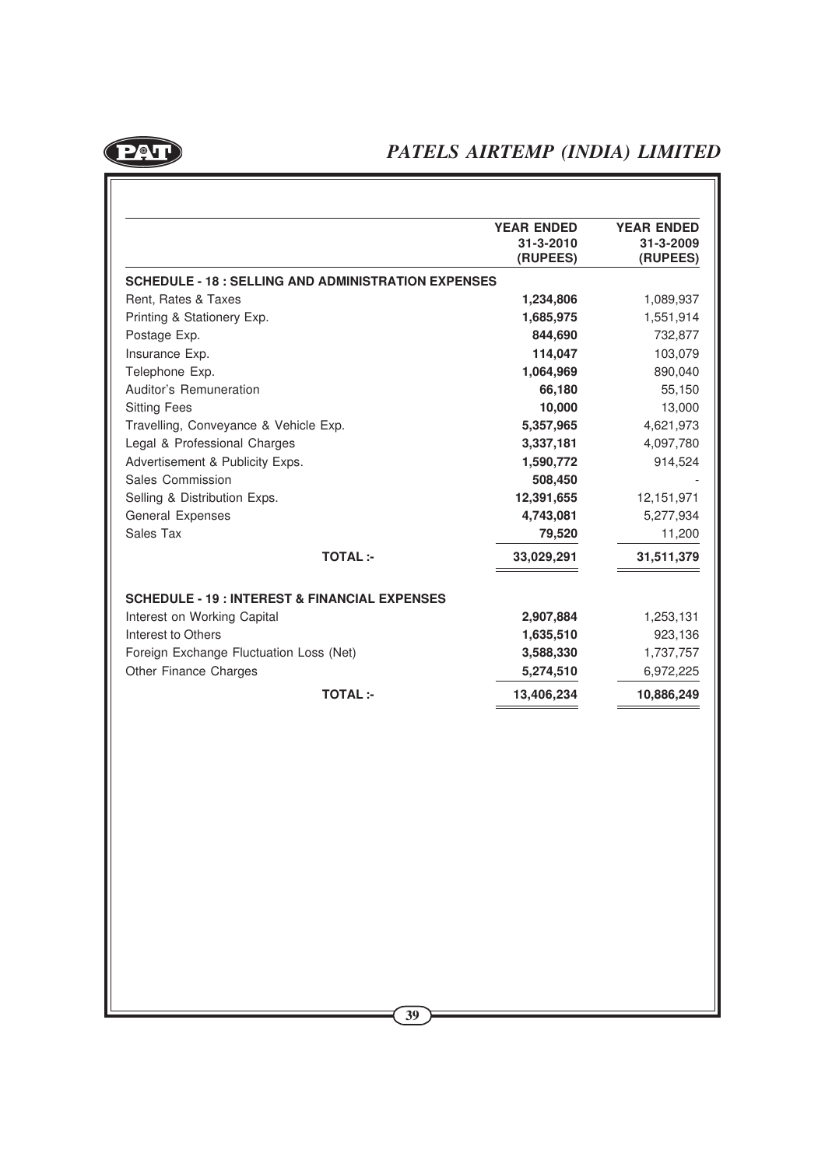

| <b>SCHEDULE - 18 : SELLING AND ADMINISTRATION EXPENSES</b>                             |                | <b>YEAR ENDED</b><br>31-3-2010<br>(RUPEES) | <b>YEAR ENDED</b><br>31-3-2009<br>(RUPEES) |
|----------------------------------------------------------------------------------------|----------------|--------------------------------------------|--------------------------------------------|
|                                                                                        |                |                                            |                                            |
| Rent, Rates & Taxes                                                                    |                | 1,234,806                                  | 1,089,937                                  |
| Printing & Stationery Exp.                                                             |                | 1,685,975                                  | 1,551,914                                  |
| Postage Exp.                                                                           |                | 844,690                                    | 732,877                                    |
| Insurance Exp.                                                                         |                | 114,047                                    | 103,079                                    |
| Telephone Exp.                                                                         |                | 1,064,969                                  | 890,040                                    |
| Auditor's Remuneration                                                                 |                | 66,180                                     | 55,150                                     |
| <b>Sitting Fees</b>                                                                    |                | 10,000                                     | 13,000                                     |
| Travelling, Conveyance & Vehicle Exp.                                                  |                | 5,357,965                                  | 4,621,973                                  |
| Legal & Professional Charges                                                           |                | 3,337,181                                  | 4,097,780                                  |
| Advertisement & Publicity Exps.                                                        |                | 1,590,772                                  | 914,524                                    |
| Sales Commission                                                                       |                | 508,450                                    |                                            |
| Selling & Distribution Exps.                                                           |                | 12,391,655                                 | 12,151,971                                 |
| General Expenses                                                                       |                | 4,743,081                                  | 5,277,934                                  |
| Sales Tax                                                                              |                | 79,520                                     | 11,200                                     |
|                                                                                        | <b>TOTAL:-</b> | 33,029,291                                 | 31,511,379                                 |
| Interest to Others<br>Foreign Exchange Fluctuation Loss (Net)<br>Other Finance Charges |                | 1,635,510<br>3,588,330<br>5,274,510        | 923,136<br>1,737,757<br>6,972,225          |
|                                                                                        | <b>TOTAL:-</b> | 13,406,234                                 | 10,886,249                                 |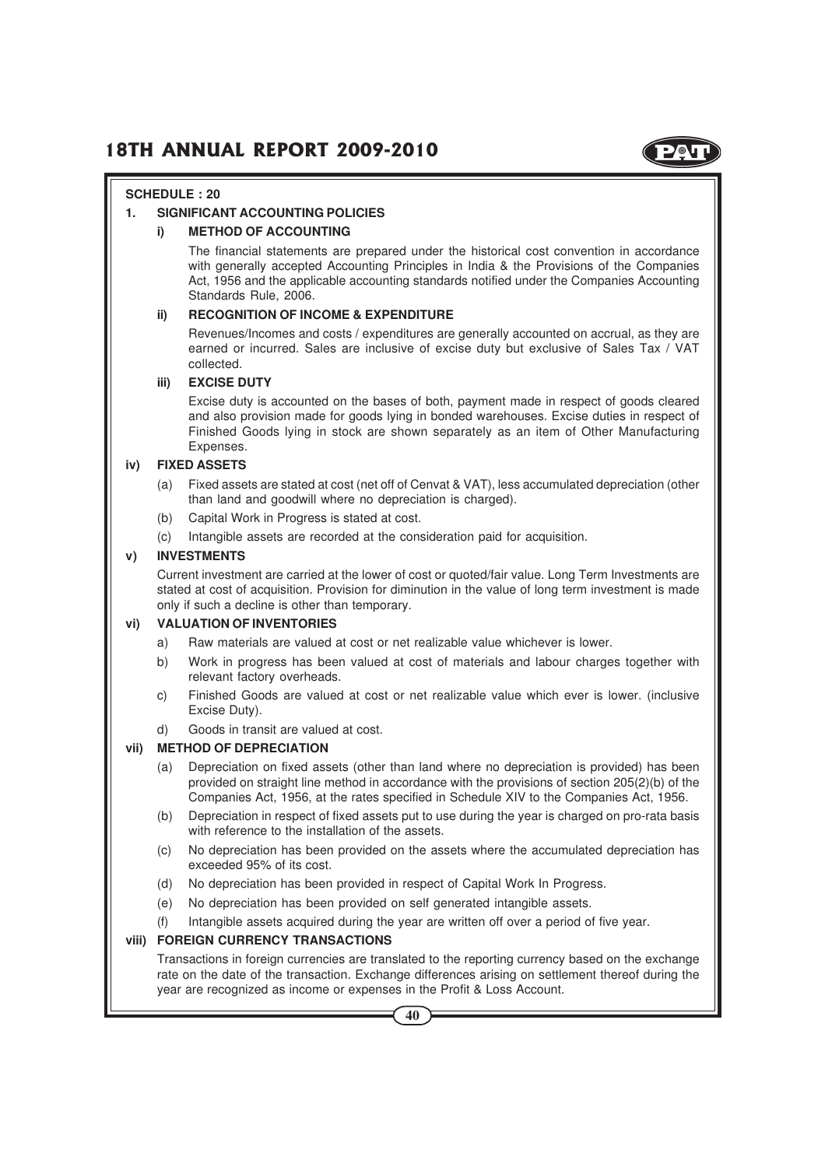

#### **SCHEDULE : 20**

#### **1. SIGNIFICANT ACCOUNTING POLICIES**

#### **i) METHOD OF ACCOUNTING**

The financial statements are prepared under the historical cost convention in accordance with generally accepted Accounting Principles in India & the Provisions of the Companies Act, 1956 and the applicable accounting standards notified under the Companies Accounting Standards Rule, 2006.

#### **ii) RECOGNITION OF INCOME & EXPENDITURE**

Revenues/Incomes and costs / expenditures are generally accounted on accrual, as they are earned or incurred. Sales are inclusive of excise duty but exclusive of Sales Tax / VAT collected.

#### **iii) EXCISE DUTY**

Excise duty is accounted on the bases of both, payment made in respect of goods cleared and also provision made for goods lying in bonded warehouses. Excise duties in respect of Finished Goods lying in stock are shown separately as an item of Other Manufacturing Expenses.

#### **iv) FIXED ASSETS**

- (a) Fixed assets are stated at cost (net off of Cenvat & VAT), less accumulated depreciation (other than land and goodwill where no depreciation is charged).
- (b) Capital Work in Progress is stated at cost.
- (c) Intangible assets are recorded at the consideration paid for acquisition.

#### **v) INVESTMENTS**

Current investment are carried at the lower of cost or quoted/fair value. Long Term Investments are stated at cost of acquisition. Provision for diminution in the value of long term investment is made only if such a decline is other than temporary.

#### **vi) VALUATION OF INVENTORIES**

- a) Raw materials are valued at cost or net realizable value whichever is lower.
- b) Work in progress has been valued at cost of materials and labour charges together with relevant factory overheads.
- c) Finished Goods are valued at cost or net realizable value which ever is lower. (inclusive Excise Duty).
- d) Goods in transit are valued at cost.

#### **vii) METHOD OF DEPRECIATION**

- (a) Depreciation on fixed assets (other than land where no depreciation is provided) has been provided on straight line method in accordance with the provisions of section 205(2)(b) of the Companies Act, 1956, at the rates specified in Schedule XIV to the Companies Act, 1956.
- (b) Depreciation in respect of fixed assets put to use during the year is charged on pro-rata basis with reference to the installation of the assets.
- (c) No depreciation has been provided on the assets where the accumulated depreciation has exceeded 95% of its cost.
- (d) No depreciation has been provided in respect of Capital Work In Progress.
- (e) No depreciation has been provided on self generated intangible assets.
- (f) Intangible assets acquired during the year are written off over a period of five year.

#### **viii) FOREIGN CURRENCY TRANSACTIONS**

Transactions in foreign currencies are translated to the reporting currency based on the exchange rate on the date of the transaction. Exchange differences arising on settlement thereof during the year are recognized as income or expenses in the Profit & Loss Account.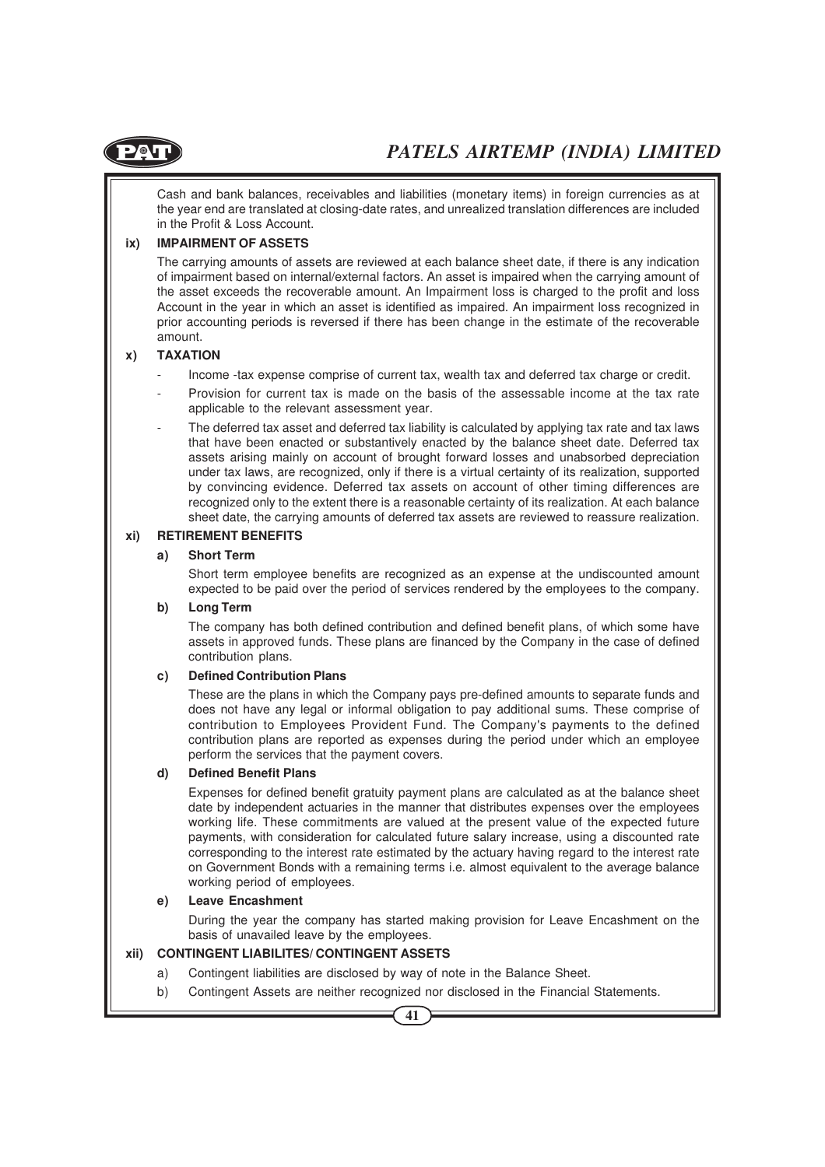

Cash and bank balances, receivables and liabilities (monetary items) in foreign currencies as at the year end are translated at closing-date rates, and unrealized translation differences are included in the Profit & Loss Account.

#### **ix) IMPAIRMENT OF ASSETS**

The carrying amounts of assets are reviewed at each balance sheet date, if there is any indication of impairment based on internal/external factors. An asset is impaired when the carrying amount of the asset exceeds the recoverable amount. An Impairment loss is charged to the profit and loss Account in the year in which an asset is identified as impaired. An impairment loss recognized in prior accounting periods is reversed if there has been change in the estimate of the recoverable amount.

#### **x) TAXATION**

- Income -tax expense comprise of current tax, wealth tax and deferred tax charge or credit.
- Provision for current tax is made on the basis of the assessable income at the tax rate applicable to the relevant assessment year.
- The deferred tax asset and deferred tax liability is calculated by applying tax rate and tax laws that have been enacted or substantively enacted by the balance sheet date. Deferred tax assets arising mainly on account of brought forward losses and unabsorbed depreciation under tax laws, are recognized, only if there is a virtual certainty of its realization, supported by convincing evidence. Deferred tax assets on account of other timing differences are recognized only to the extent there is a reasonable certainty of its realization. At each balance sheet date, the carrying amounts of deferred tax assets are reviewed to reassure realization.

#### **xi) RETIREMENT BENEFITS**

#### **a) Short Term**

Short term employee benefits are recognized as an expense at the undiscounted amount expected to be paid over the period of services rendered by the employees to the company.

#### **b) Long Term**

The company has both defined contribution and defined benefit plans, of which some have assets in approved funds. These plans are financed by the Company in the case of defined contribution plans.

#### **c) Defined Contribution Plans**

These are the plans in which the Company pays pre-defined amounts to separate funds and does not have any legal or informal obligation to pay additional sums. These comprise of contribution to Employees Provident Fund. The Company's payments to the defined contribution plans are reported as expenses during the period under which an employee perform the services that the payment covers.

#### **d) Defined Benefit Plans**

Expenses for defined benefit gratuity payment plans are calculated as at the balance sheet date by independent actuaries in the manner that distributes expenses over the employees working life. These commitments are valued at the present value of the expected future payments, with consideration for calculated future salary increase, using a discounted rate corresponding to the interest rate estimated by the actuary having regard to the interest rate on Government Bonds with a remaining terms i.e. almost equivalent to the average balance working period of employees.

#### **e) Leave Encashment**

During the year the company has started making provision for Leave Encashment on the basis of unavailed leave by the employees.

#### **xii) CONTINGENT LIABILITES/ CONTINGENT ASSETS**

- a) Contingent liabilities are disclosed by way of note in the Balance Sheet.
- b) Contingent Assets are neither recognized nor disclosed in the Financial Statements.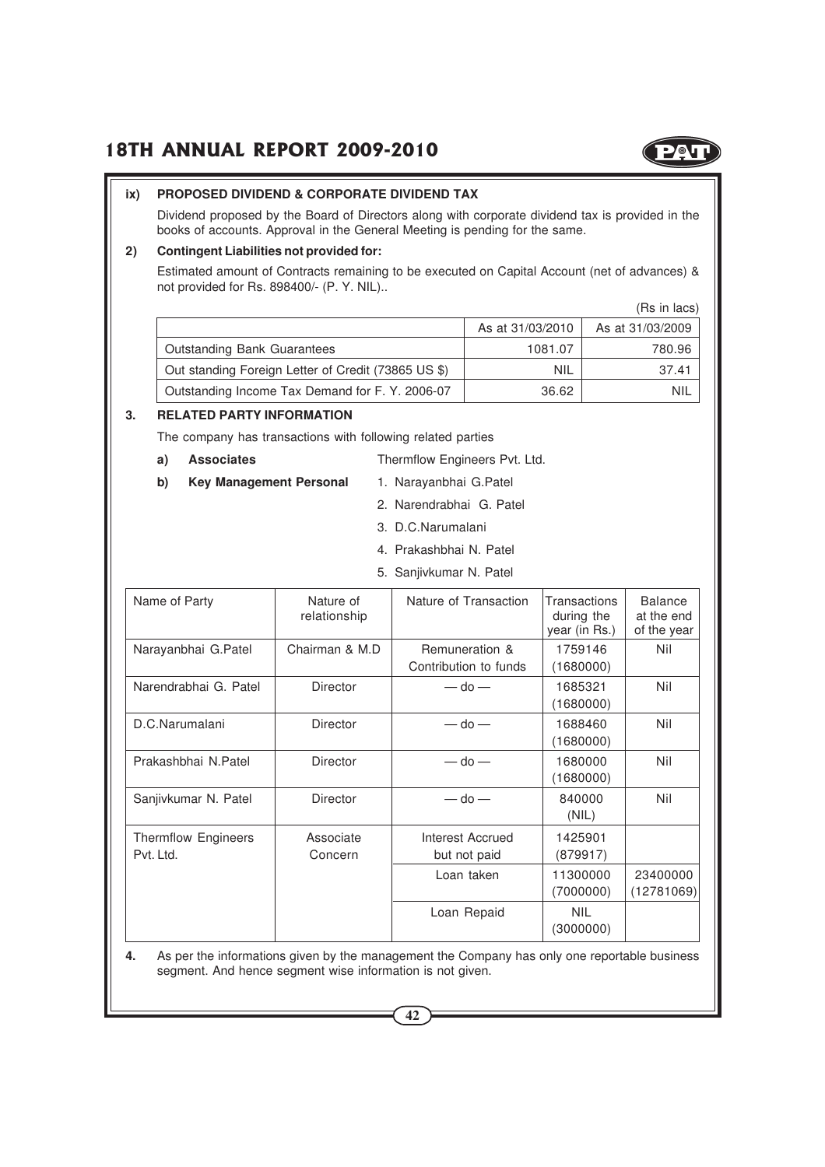

#### **ix) PROPOSED DIVIDEND & CORPORATE DIVIDEND TAX**

Dividend proposed by the Board of Directors along with corporate dividend tax is provided in the books of accounts. Approval in the General Meeting is pending for the same.

#### **2) Contingent Liabilities not provided for:**

Estimated amount of Contracts remaining to be executed on Capital Account (net of advances) & not provided for Rs. 898400/- (P. Y. NIL)..

|                                                     |                  | (Rs in lacs)     |
|-----------------------------------------------------|------------------|------------------|
|                                                     | As at 31/03/2010 | As at 31/03/2009 |
| <b>Outstanding Bank Guarantees</b>                  | 1081.07          | 780.96           |
| Out standing Foreign Letter of Credit (73865 US \$) | <b>NIL</b>       | 37.41            |
| Outstanding Income Tax Demand for F. Y. 2006-07     | 36.62            | <b>NIL</b>       |

#### **3. RELATED PARTY INFORMATION**

The company has transactions with following related parties

- **a) Associates** Thermflow Engineers Pvt. Ltd.
- **b) Key Management Personal** 1. Narayanbhai G.Patel
	- 2. Narendrabhai G. Patel
	- 3. D.C.Narumalani
	- 4. Prakashbhai N. Patel
	- 5. Sanjivkumar N. Patel

| Name of Party                    | Nature of<br>relationship | Nature of Transaction                   | Transactions<br>during the<br>year (in Rs.) | <b>Balance</b><br>at the end<br>of the year |
|----------------------------------|---------------------------|-----------------------------------------|---------------------------------------------|---------------------------------------------|
| Narayanbhai G.Patel              | Chairman & M.D.           | Remuneration &<br>Contribution to funds | 1759146<br>(1680000)                        | Nil                                         |
| Narendrabhai G. Patel            | <b>Director</b>           | $-$ do $-$                              | 1685321<br>(1680000)                        | Nil                                         |
| D.C.Narumalani                   | <b>Director</b>           | $-$ do $-$                              | 1688460<br>(1680000)                        | Nil                                         |
| Prakashbhai N.Patel              | Director                  | $-$ do $-$                              | 1680000<br>(1680000)                        | Nil                                         |
| Sanjivkumar N. Patel             | <b>Director</b>           | $-$ do $-$                              | 840000<br>(NIL)                             | Nil                                         |
| Thermflow Engineers<br>Pvt. Ltd. | Associate<br>Concern      | Interest Accrued<br>but not paid        | 1425901<br>(879917)                         |                                             |
|                                  |                           | Loan taken                              | 11300000<br>(7000000)                       | 23400000<br>(12781069)                      |
|                                  |                           | Loan Repaid                             | <b>NIL</b><br>(3000000)                     |                                             |

**4.** As per the informations given by the management the Company has only one reportable business segment. And hence segment wise information is not given.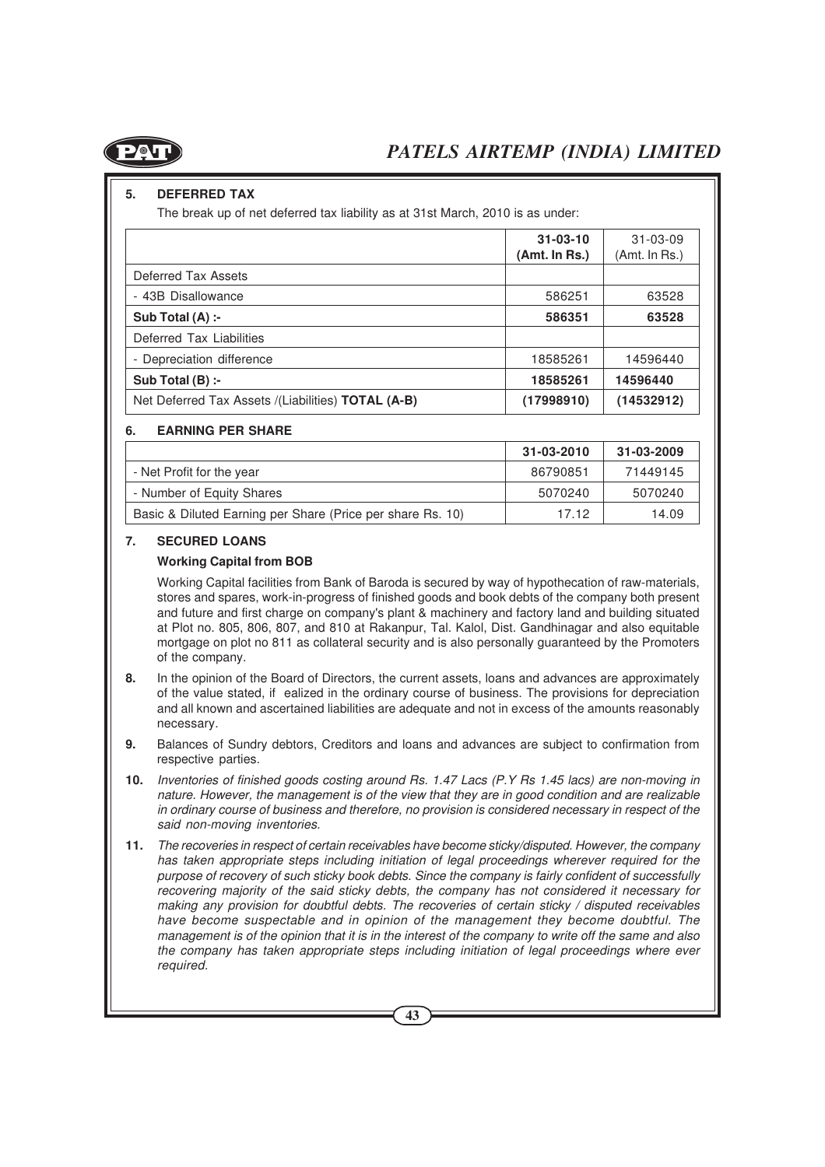

#### **5. DEFERRED TAX**

The break up of net deferred tax liability as at 31st March, 2010 is as under:

|                                                           | $31 - 03 - 10$<br>(Amt. In Rs.) | $31 - 03 - 09$<br>(Amt. In Rs.) |
|-----------------------------------------------------------|---------------------------------|---------------------------------|
| Deferred Tax Assets                                       |                                 |                                 |
| - 43B Disallowance                                        | 586251                          | 63528                           |
| Sub Total $(A)$ :-                                        | 586351                          | 63528                           |
| Deferred Tax Liabilities                                  |                                 |                                 |
| - Depreciation difference                                 | 18585261                        | 14596440                        |
| Sub Total $(B)$ :-                                        | 18585261                        | 14596440                        |
| Net Deferred Tax Assets /(Liabilities) <b>TOTAL (A-B)</b> | (17998910)                      | (14532912)                      |

#### **6. EARNING PER SHARE**

|                                                            | 31-03-2010 | 31-03-2009 |
|------------------------------------------------------------|------------|------------|
| - Net Profit for the year                                  | 86790851   | 71449145   |
| - Number of Equity Shares                                  | 5070240    | 5070240    |
| Basic & Diluted Earning per Share (Price per share Rs. 10) | 1712       | 14.09      |

#### **7. SECURED LOANS**

#### **Working Capital from BOB**

Working Capital facilities from Bank of Baroda is secured by way of hypothecation of raw-materials, stores and spares, work-in-progress of finished goods and book debts of the company both present and future and first charge on company's plant & machinery and factory land and building situated at Plot no. 805, 806, 807, and 810 at Rakanpur, Tal. Kalol, Dist. Gandhinagar and also equitable mortgage on plot no 811 as collateral security and is also personally guaranteed by the Promoters of the company.

- **8.** In the opinion of the Board of Directors, the current assets, loans and advances are approximately of the value stated, if ealized in the ordinary course of business. The provisions for depreciation and all known and ascertained liabilities are adequate and not in excess of the amounts reasonably necessary.
- **9.** Balances of Sundry debtors, Creditors and loans and advances are subject to confirmation from respective parties.
- **10.** Inventories of finished goods costing around Rs. 1.47 Lacs (P.Y Rs 1.45 lacs) are non-moving in nature. However, the management is of the view that they are in good condition and are realizable in ordinary course of business and therefore, no provision is considered necessary in respect of the said non-moving inventories.
- **11.** The recoveries in respect of certain receivables have become sticky/disputed. However, the company has taken appropriate steps including initiation of legal proceedings wherever required for the purpose of recovery of such sticky book debts. Since the company is fairly confident of successfully recovering majority of the said sticky debts, the company has not considered it necessary for making any provision for doubtful debts. The recoveries of certain sticky / disputed receivables have become suspectable and in opinion of the management they become doubtful. The management is of the opinion that it is in the interest of the company to write off the same and also the company has taken appropriate steps including initiation of legal proceedings where ever required.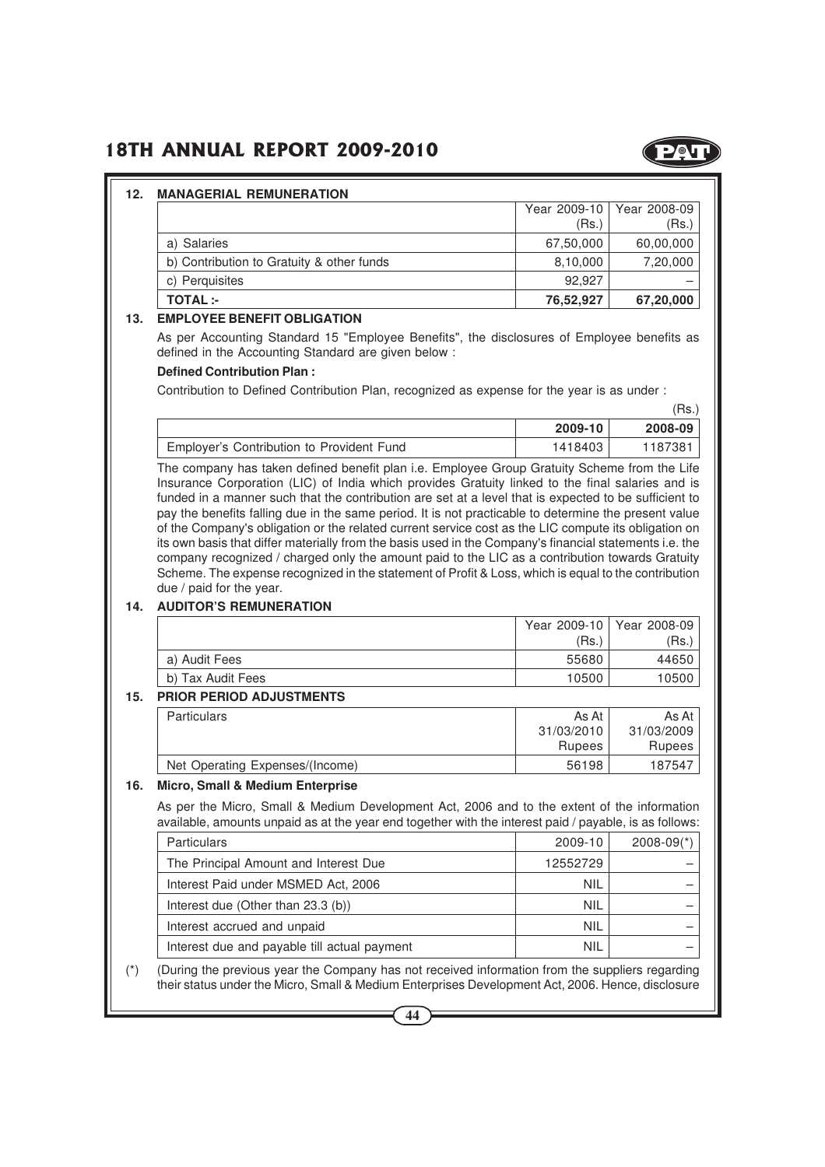

#### **12. MANAGERIAL REMUNERATION**

|                                           |           | Year 2009-10   Year 2008-09 |
|-------------------------------------------|-----------|-----------------------------|
|                                           | (Rs.)     | (Rs.)                       |
| a) Salaries                               | 67,50,000 | 60,00,000                   |
| b) Contribution to Gratuity & other funds | 8,10,000  | 7,20,000                    |
| c) Perquisites                            | 92.927    |                             |
| <b>TOTAL</b> :-                           | 76,52,927 | 67,20,000                   |

#### **13. EMPLOYEE BENEFIT OBLIGATION**

As per Accounting Standard 15 "Employee Benefits", the disclosures of Employee benefits as defined in the Accounting Standard are given below :

#### **Defined Contribution Plan :**

Contribution to Defined Contribution Plan, recognized as expense for the year is as under :

|                                           |         | 'Rs.)   |
|-------------------------------------------|---------|---------|
|                                           | 2009-10 | 2008-09 |
| Employer's Contribution to Provident Fund | 1418403 | 1187381 |

The company has taken defined benefit plan i.e. Employee Group Gratuity Scheme from the Life Insurance Corporation (LIC) of India which provides Gratuity linked to the final salaries and is funded in a manner such that the contribution are set at a level that is expected to be sufficient to pay the benefits falling due in the same period. It is not practicable to determine the present value of the Company's obligation or the related current service cost as the LIC compute its obligation on its own basis that differ materially from the basis used in the Company's financial statements i.e. the company recognized / charged only the amount paid to the LIC as a contribution towards Gratuity Scheme. The expense recognized in the statement of Profit & Loss, which is equal to the contribution due / paid for the year.

#### **14. AUDITOR'S REMUNERATION**

|                   |       | Year 2009-10   Year 2008-09 |
|-------------------|-------|-----------------------------|
|                   | (Rs.) | 'Rs.,                       |
| a) Audit Fees     | 55680 | 44650                       |
| b) Tax Audit Fees | 10500 | 10500                       |
|                   |       |                             |

#### **15. PRIOR PERIOD ADJUSTMENTS**

| <b>Particulars</b>              | As At      | As At         |
|---------------------------------|------------|---------------|
|                                 | 31/03/2010 | 31/03/2009    |
|                                 | Rupees     | <b>Rupees</b> |
| Net Operating Expenses/(Income) | 56198      | 187547        |

#### **16. Micro, Small & Medium Enterprise**

As per the Micro, Small & Medium Development Act, 2006 and to the extent of the information available, amounts unpaid as at the year end together with the interest paid / payable, is as follows:

| <b>Particulars</b>                           | 2009-10    | $2008-09(*)$ |
|----------------------------------------------|------------|--------------|
| The Principal Amount and Interest Due        | 12552729   |              |
| Interest Paid under MSMED Act, 2006          | <b>NIL</b> |              |
| Interest due (Other than $23.3$ (b))         | <b>NIL</b> |              |
| Interest accrued and unpaid                  | <b>NIL</b> |              |
| Interest due and payable till actual payment | <b>NIL</b> |              |

(\*) (During the previous year the Company has not received information from the suppliers regarding their status under the Micro, Small & Medium Enterprises Development Act, 2006. Hence, disclosure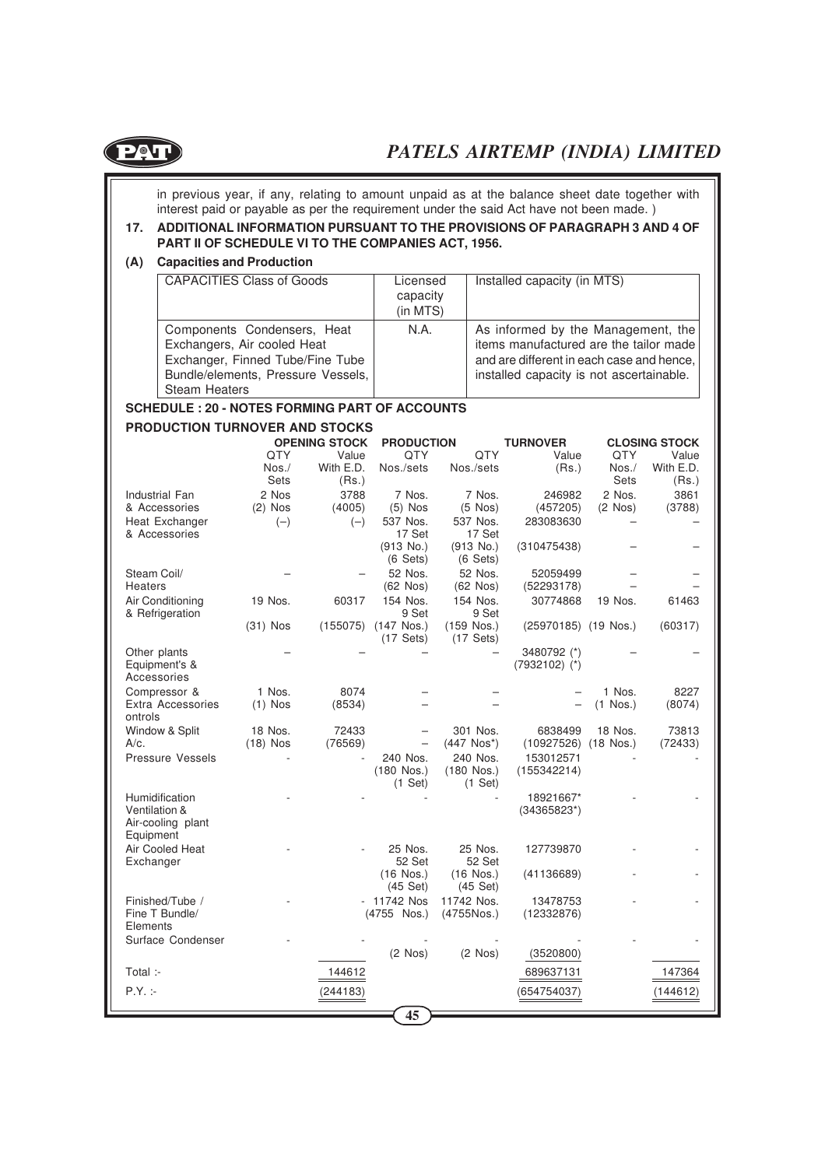

in previous year, if any, relating to amount unpaid as at the balance sheet date together with interest paid or payable as per the requirement under the said Act have not been made. )

#### **17. ADDITIONAL INFORMATION PURSUANT TO THE PROVISIONS OF PARAGRAPH 3 AND 4 OF PART II OF SCHEDULE VI TO THE COMPANIES ACT, 1956.**

#### **(A) Capacities and Production**

| <b>CAPACITIES Class of Goods</b>                                                                                                                             | Licensed<br>capacity<br>(in MTS) | Installed capacity (in MTS)                                                                                                                                           |
|--------------------------------------------------------------------------------------------------------------------------------------------------------------|----------------------------------|-----------------------------------------------------------------------------------------------------------------------------------------------------------------------|
| Components Condensers, Heat<br>Exchangers, Air cooled Heat<br>Exchanger, Finned Tube/Fine Tube<br>Bundle/elements, Pressure Vessels,<br><b>Steam Heaters</b> | N.A.                             | As informed by the Management, the<br>items manufactured are the tailor made<br>and are different in each case and hence,<br>installed capacity is not ascertainable. |

#### **SCHEDULE : 20 - NOTES FORMING PART OF ACCOUNTS**

#### **PRODUCTION TURNOVER AND STOCKS**

|                                     |             | <b>OPENING STOCK</b> | <b>PRODUCTION</b>  |                           | <b>TURNOVER</b>          |              | <b>CLOSING STOCK</b> |
|-------------------------------------|-------------|----------------------|--------------------|---------------------------|--------------------------|--------------|----------------------|
|                                     | <b>QTY</b>  | Value                | <b>QTY</b>         | <b>QTY</b>                | Value                    | QTY          | Value                |
|                                     | $N$ os. $/$ | With E.D.            | Nos./sets          | Nos./sets                 | (Rs.)                    | Nos./        | With E.D.            |
|                                     | Sets        | (Rs.)                |                    |                           |                          | Sets         | (Rs.)                |
| Industrial Fan                      | 2 Nos       | 3788                 | 7 Nos.             | 7 Nos.                    | 246982                   | 2 Nos.       | 3861                 |
| & Accessories                       | $(2)$ Nos   | (4005)               | $(5)$ Nos          | $(5$ Nos)                 | (457205)                 | $(2$ Nos $)$ | (3788)               |
| Heat Exchanger<br>& Accessories     | $(-)$       | $(-)$                | 537 Nos.<br>17 Set | 537 Nos.<br>17 Set        | 283083630                |              |                      |
|                                     |             |                      | $(913$ No.)        | $(913$ No.)               | (310475438)              |              |                      |
|                                     |             |                      | $(6 \text{ Sets})$ | $(6 \text{ Sets})$        |                          |              |                      |
| Steam Coil/                         |             |                      | 52 Nos.            | 52 Nos.                   | 52059499                 |              |                      |
| <b>Heaters</b>                      |             |                      | $(62$ Nos $)$      | $(62$ Nos $)$             | (52293178)               |              |                      |
| Air Conditioning<br>& Refrigeration | 19 Nos.     | 60317                | 154 Nos.<br>9 Set  | 154 Nos.<br>9 Set         | 30774868                 | 19 Nos.      | 61463                |
|                                     | $(31)$ Nos  | (155075)             | $(147$ Nos.)       | $(159$ Nos.)              | (25970185) (19 Nos.)     |              | (60317)              |
|                                     |             |                      | $(17$ Sets)        | $(17$ Sets)               |                          |              |                      |
| Other plants                        |             |                      |                    |                           | 3480792 (*)              |              |                      |
| Equipment's &                       |             |                      |                    |                           | $(7932102)$ (*)          |              |                      |
| Accessories                         |             |                      |                    |                           |                          |              |                      |
| Compressor &                        | 1 Nos.      | 8074                 |                    |                           |                          | 1 Nos.       | 8227                 |
| Extra Accessories<br>ontrols        | $(1)$ Nos   | (8534)               |                    |                           |                          | $(1$ Nos.)   | (8074)               |
| Window & Split                      | 18 Nos.     | 72433                |                    | 301 Nos.                  | 6838499                  | 18 Nos.      | 73813                |
| A/c.                                | $(18)$ Nos  | (76569)              |                    | $(447$ Nos <sup>*</sup> ) | $(10927526)$ $(18$ Nos.) |              | (72433)              |
| <b>Pressure Vessels</b>             |             |                      | 240 Nos.           | 240 Nos.                  | 153012571                |              |                      |
|                                     |             |                      | $(180$ Nos.)       | $(180$ Nos.)              | (155342214)              |              |                      |
|                                     |             |                      | $(1$ Set)          | $(1$ Set)                 |                          |              |                      |
| Humidification                      |             |                      |                    |                           | 18921667*                |              |                      |
| Ventilation &                       |             |                      |                    |                           | $(34365823*)$            |              |                      |
| Air-cooling plant                   |             |                      |                    |                           |                          |              |                      |
| Equipment                           |             |                      |                    |                           |                          |              |                      |
| Air Cooled Heat<br>Exchanger        |             |                      | 25 Nos.<br>52 Set  | 25 Nos.<br>52 Set         | 127739870                |              |                      |
|                                     |             |                      | $(16$ Nos.)        | $(16$ Nos.)               | (41136689)               |              |                      |
|                                     |             |                      | $(45$ Set)         | (45 Set)                  |                          |              |                      |
| Finished/Tube /                     |             |                      | - 11742 Nos        | 11742 Nos.                | 13478753                 |              |                      |
| Fine T Bundle/                      |             |                      | (4755 Nos.)        | (4755Nos.)                | (12332876)               |              |                      |
| Elements                            |             |                      |                    |                           |                          |              |                      |
| Surface Condenser                   |             |                      |                    |                           |                          |              |                      |
|                                     |             |                      | $(2$ Nos)          | $(2$ Nos $)$              | (3520800)                |              |                      |
| Total :-                            |             | 144612               |                    |                           | 689637131                |              | 147364               |
| $P.Y. : -$                          |             | (244183)             |                    |                           | (654754037)              |              | (144612)             |
|                                     |             |                      |                    |                           |                          |              |                      |
|                                     |             |                      | 45                 |                           |                          |              |                      |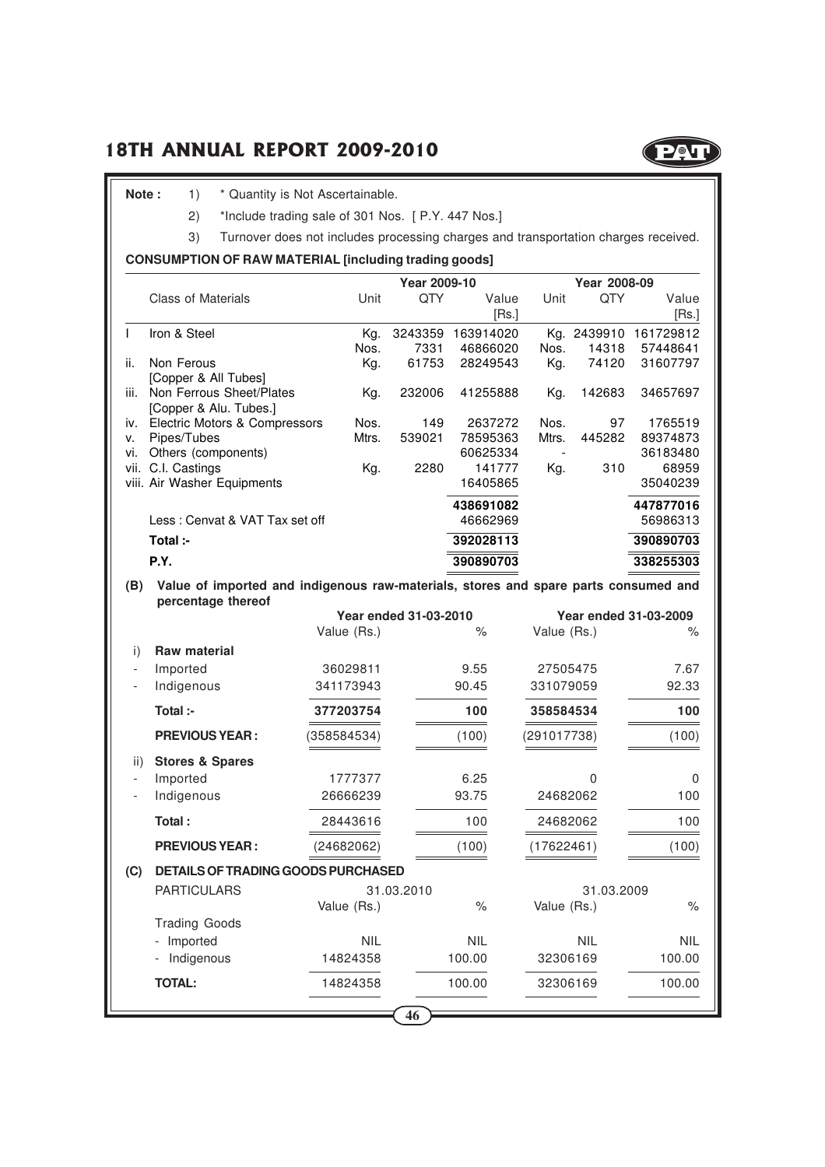

Note : 1) \* Quantity is Not Ascertainable.

2) \*Include trading sale of 301 Nos. [ P.Y. 447 Nos.]

3) Turnover does not includes processing charges and transportation charges received.

#### **CONSUMPTION OF RAW MATERIAL [including trading goods]**

|                          |                                                                                     |             | Year 2009-10          |            |             | Year 2008-09 |                       |
|--------------------------|-------------------------------------------------------------------------------------|-------------|-----------------------|------------|-------------|--------------|-----------------------|
|                          | <b>Class of Materials</b>                                                           | Unit        | QTY                   | Value      | Unit        | QTY          | Value                 |
|                          |                                                                                     |             |                       | [Rs.]      |             |              | [Rs.]                 |
| $\mathbf{I}$             | Iron & Steel                                                                        | Kg.         | 3243359               | 163914020  |             | Kg. 2439910  | 161729812             |
|                          |                                                                                     | Nos.        | 7331                  | 46866020   | Nos.        | 14318        | 57448641              |
| ii.                      | Non Ferous                                                                          | Kg.         | 61753                 | 28249543   | Kg.         | 74120        | 31607797              |
|                          | [Copper & All Tubes]                                                                |             |                       |            |             |              |                       |
| iii.                     | Non Ferrous Sheet/Plates                                                            | Kg.         | 232006                | 41255888   | Kg.         | 142683       | 34657697              |
|                          | [Copper & Alu. Tubes.]                                                              |             |                       |            |             |              |                       |
| iv.                      | Electric Motors & Compressors                                                       | Nos.        | 149                   | 2637272    | Nos.        | 97           | 1765519               |
| ٧.                       | Pipes/Tubes                                                                         | Mtrs.       | 539021                | 78595363   | Mtrs.       | 445282       | 89374873              |
| vi.                      | Others (components)                                                                 |             |                       | 60625334   |             |              | 36183480              |
|                          | vii. C.I. Castings                                                                  | Kg.         | 2280                  | 141777     | Kg.         | 310          | 68959                 |
|                          | viii. Air Washer Equipments                                                         |             |                       | 16405865   |             |              | 35040239              |
|                          |                                                                                     |             |                       | 438691082  |             |              | 447877016             |
|                          | Less: Cenvat & VAT Tax set off                                                      |             |                       | 46662969   |             |              | 56986313              |
|                          | Total :-                                                                            |             |                       | 392028113  |             |              | 390890703             |
|                          | P.Y.                                                                                |             |                       | 390890703  |             |              | 338255303             |
| (B)                      | Value of imported and indigenous raw-materials, stores and spare parts consumed and |             |                       |            |             |              |                       |
|                          | percentage thereof                                                                  |             |                       |            |             |              |                       |
|                          |                                                                                     |             | Year ended 31-03-2010 |            |             |              | Year ended 31-03-2009 |
|                          |                                                                                     | Value (Rs.) |                       | $\%$       | Value (Rs.) |              | ℅                     |
| i)                       | Raw material                                                                        |             |                       |            |             |              |                       |
| $\overline{\phantom{a}}$ | Imported                                                                            | 36029811    |                       | 9.55       | 27505475    |              | 7.67                  |
|                          | Indigenous                                                                          | 341173943   |                       | 90.45      | 331079059   |              | 92.33                 |
|                          | Total :-                                                                            | 377203754   |                       | 100        | 358584534   |              | 100                   |
|                          | <b>PREVIOUS YEAR:</b>                                                               | (358584534) |                       | (100)      | (291017738) |              | (100)                 |
|                          |                                                                                     |             |                       |            |             |              |                       |
| ii)                      | <b>Stores &amp; Spares</b>                                                          |             |                       |            |             |              |                       |
|                          | Imported                                                                            | 1777377     |                       | 6.25       |             | 0            | 0                     |
|                          | Indigenous                                                                          | 26666239    |                       | 93.75      | 24682062    |              | 100                   |
|                          | Total:                                                                              | 28443616    |                       | 100        | 24682062    |              | 100                   |
|                          | <b>PREVIOUS YEAR:</b>                                                               | (24682062)  |                       | (100)      | (17622461)  |              | (100)                 |
| (C)                      | <b>DETAILS OF TRADING GOODS PURCHASED</b>                                           |             |                       |            |             |              |                       |
|                          | <b>PARTICULARS</b><br>31.03.2009<br>31.03.2010                                      |             |                       |            |             |              |                       |
|                          |                                                                                     | Value (Rs.) |                       | $\%$       | Value (Rs.) |              | $\%$                  |
|                          | <b>Trading Goods</b>                                                                |             |                       |            |             |              |                       |
|                          | Imported                                                                            | <b>NIL</b>  |                       | <b>NIL</b> |             | <b>NIL</b>   | <b>NIL</b>            |
|                          |                                                                                     |             |                       | 100.00     |             |              |                       |
|                          | Indigenous                                                                          | 14824358    |                       |            | 32306169    |              | 100.00                |
|                          | <b>TOTAL:</b>                                                                       | 14824358    |                       | 100.00     | 32306169    |              | 100.00                |
|                          |                                                                                     |             | 46                    |            |             |              |                       |
|                          |                                                                                     |             |                       |            |             |              |                       |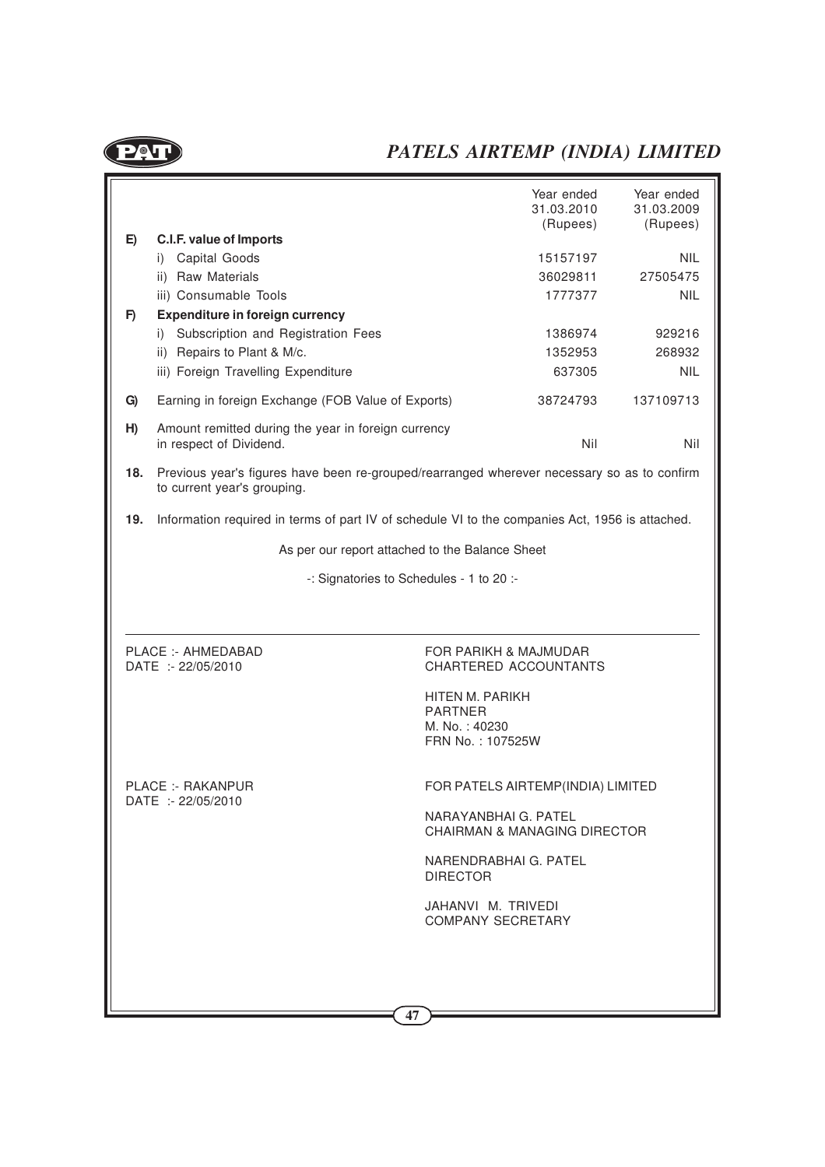$P_{\mathbf{v}}$ 

# *PATELS AIRTEMP (INDIA) LIMITED*

|     |                                                                                                                            | Year ended<br>31.03.2010<br>(Rupees)                            | Year ended<br>31.03.2009<br>(Rupees) |
|-----|----------------------------------------------------------------------------------------------------------------------------|-----------------------------------------------------------------|--------------------------------------|
| E)  | C.I.F. value of Imports                                                                                                    |                                                                 |                                      |
|     | i) Capital Goods                                                                                                           | 15157197                                                        | <b>NIL</b>                           |
|     | ii) Raw Materials                                                                                                          | 36029811                                                        | 27505475                             |
|     | iii) Consumable Tools                                                                                                      | 1777377                                                         | <b>NIL</b>                           |
| F)  | <b>Expenditure in foreign currency</b>                                                                                     |                                                                 |                                      |
|     | i) Subscription and Registration Fees                                                                                      | 1386974                                                         | 929216                               |
|     | ii) Repairs to Plant & M/c.                                                                                                | 1352953                                                         | 268932                               |
|     | iii) Foreign Travelling Expenditure                                                                                        | 637305                                                          | <b>NIL</b>                           |
| G)  | Earning in foreign Exchange (FOB Value of Exports)                                                                         | 38724793                                                        | 137109713                            |
| H)  | Amount remitted during the year in foreign currency<br>in respect of Dividend.                                             | Nil                                                             | Nil                                  |
| 18. | Previous year's figures have been re-grouped/rearranged wherever necessary so as to confirm<br>to current year's grouping. |                                                                 |                                      |
| 19. | Information required in terms of part IV of schedule VI to the companies Act, 1956 is attached.                            |                                                                 |                                      |
|     |                                                                                                                            | As per our report attached to the Balance Sheet                 |                                      |
|     |                                                                                                                            | -: Signatories to Schedules - 1 to 20 :-                        |                                      |
|     | PLACE: - AHMEDABAD<br>DATE :- 22/05/2010                                                                                   | <b>FOR PARIKH &amp; MAJMUDAR</b><br>CHARTERED ACCOUNTANTS       |                                      |
|     |                                                                                                                            |                                                                 |                                      |
|     |                                                                                                                            | HITEN M. PARIKH                                                 |                                      |
|     |                                                                                                                            | <b>PARTNER</b><br>M. No.: 40230                                 |                                      |
|     |                                                                                                                            | FRN No.: 107525W                                                |                                      |
|     |                                                                                                                            |                                                                 |                                      |
|     | PLACE :- RAKANPUR<br>DATE :- 22/05/2010                                                                                    | FOR PATELS AIRTEMP(INDIA) LIMITED                               |                                      |
|     |                                                                                                                            | NARAYANBHAI G. PATEL<br><b>CHAIRMAN &amp; MANAGING DIRECTOR</b> |                                      |
|     |                                                                                                                            | NARENDRABHAI G. PATEL<br><b>DIRECTOR</b>                        |                                      |
|     |                                                                                                                            | JAHANVI M. TRIVEDI<br><b>COMPANY SECRETARY</b>                  |                                      |
|     |                                                                                                                            |                                                                 |                                      |
|     |                                                                                                                            |                                                                 |                                      |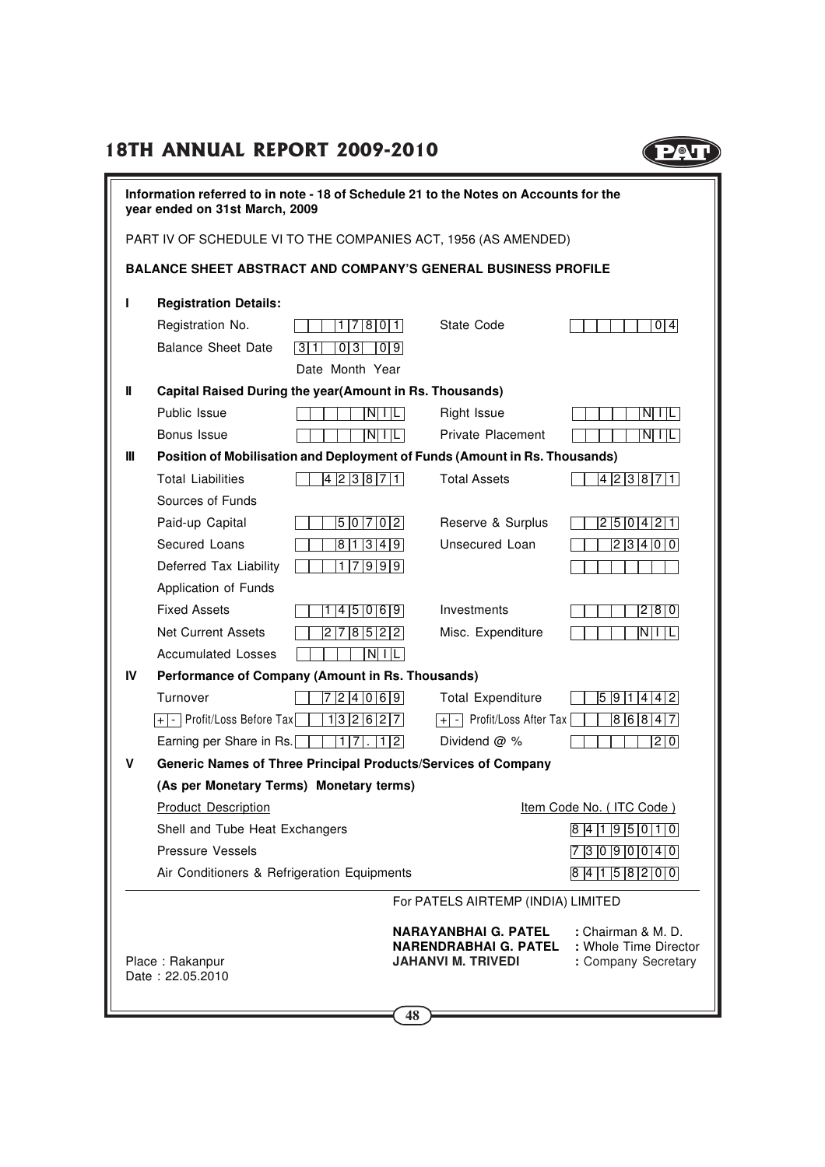

| Information referred to in note - 18 of Schedule 21 to the Notes on Accounts for the<br>year ended on 31st March, 2009 |                                                                |                           |                                                                                                   |                   |  |  |
|------------------------------------------------------------------------------------------------------------------------|----------------------------------------------------------------|---------------------------|---------------------------------------------------------------------------------------------------|-------------------|--|--|
|                                                                                                                        | PART IV OF SCHEDULE VI TO THE COMPANIES ACT, 1956 (AS AMENDED) |                           |                                                                                                   |                   |  |  |
|                                                                                                                        |                                                                |                           | <b>BALANCE SHEET ABSTRACT AND COMPANY'S GENERAL BUSINESS PROFILE</b>                              |                   |  |  |
|                                                                                                                        |                                                                |                           |                                                                                                   |                   |  |  |
| L                                                                                                                      | <b>Registration Details:</b>                                   |                           |                                                                                                   |                   |  |  |
|                                                                                                                        | Registration No.                                               | 1 7 8 0 1                 | State Code                                                                                        | $\overline{0 4}$  |  |  |
|                                                                                                                        | <b>Balance Sheet Date</b>                                      | 3 1<br> 0 3 <br>$ 0 $ 9   |                                                                                                   |                   |  |  |
|                                                                                                                        | Date Month Year                                                |                           |                                                                                                   |                   |  |  |
| Ш                                                                                                                      | Capital Raised During the year(Amount in Rs. Thousands)        |                           |                                                                                                   |                   |  |  |
|                                                                                                                        | Public Issue                                                   | $N$ $ $ $ $ $ $ $ $       | Right Issue                                                                                       | $N$ $ $ $ $ $ $   |  |  |
| Ш                                                                                                                      | Bonus Issue                                                    | $N \mid \mid \mid$        | <b>Private Placement</b>                                                                          | $N$ $ $ $ $ $ $   |  |  |
|                                                                                                                        | <b>Total Liabilities</b>                                       | 4 2 3 8 7 1               | Position of Mobilisation and Deployment of Funds (Amount in Rs. Thousands)<br><b>Total Assets</b> | 4 2 3 8 7 1       |  |  |
|                                                                                                                        | Sources of Funds                                               |                           |                                                                                                   |                   |  |  |
|                                                                                                                        | Paid-up Capital                                                | 5 0 7 0 2                 | Reserve & Surplus                                                                                 | 2 5 0 4 2 1       |  |  |
|                                                                                                                        | Secured Loans                                                  | 81349                     | Unsecured Loan                                                                                    | 2 3 4 0 0         |  |  |
|                                                                                                                        | Deferred Tax Liability                                         | 1 7 9 9 9                 |                                                                                                   |                   |  |  |
|                                                                                                                        | Application of Funds                                           |                           |                                                                                                   |                   |  |  |
|                                                                                                                        | <b>Fixed Assets</b>                                            | 4  5  0  6   9  <br>1.    | Investments                                                                                       | 2 8 0             |  |  |
|                                                                                                                        | <b>Net Current Assets</b>                                      | 2 7 8 5 2 2               | Misc. Expenditure                                                                                 | NII LI            |  |  |
|                                                                                                                        | <b>Accumulated Losses</b>                                      | $N\vert\vert\vert L\vert$ |                                                                                                   |                   |  |  |
| IV                                                                                                                     | Performance of Company (Amount in Rs. Thousands)               |                           |                                                                                                   |                   |  |  |
|                                                                                                                        | Turnover                                                       | 724069                    | <b>Total Expenditure</b>                                                                          | 5  9  1  4  4  2  |  |  |
|                                                                                                                        | $\overline{+}\overline{ - }$ Profit/Loss Before Tax            | 1132627                   | Profit/Loss After Tax<br>$-1$<br>$+$                                                              | 86847             |  |  |
|                                                                                                                        | Earning per Share in Rs.                                       | 1 7 .  1 2                | Dividend $@$ %                                                                                    | $\overline{2}$ 0  |  |  |
| v                                                                                                                      | Generic Names of Three Principal Products/Services of Company  |                           |                                                                                                   |                   |  |  |
|                                                                                                                        | (As per Monetary Terms) Monetary terms)                        |                           |                                                                                                   |                   |  |  |
|                                                                                                                        | <b>Product Description</b>                                     |                           | Item Code No. (ITC Code)                                                                          |                   |  |  |
|                                                                                                                        | Shell and Tube Heat Exchangers                                 |                           |                                                                                                   | 8 4 1 9 5 0 1 0   |  |  |
|                                                                                                                        | Pressure Vessels                                               |                           |                                                                                                   | $7$ 3 0 9 0 0 4 0 |  |  |
|                                                                                                                        | Air Conditioners & Refrigeration Equipments                    |                           |                                                                                                   | 8 4 1 5 8 2 0 0   |  |  |
|                                                                                                                        | For PATELS AIRTEMP (INDIA) LIMITED                             |                           |                                                                                                   |                   |  |  |
| <b>NARAYANBHAI G. PATEL</b><br>: Chairman & M. D.<br>NARENDRABHAI G. PATEL<br>: Whole Time Director                    |                                                                |                           |                                                                                                   |                   |  |  |
| <b>JAHANVI M. TRIVEDI</b><br>: Company Secretary<br>Place: Rakanpur<br>Date: 22.05.2010                                |                                                                |                           |                                                                                                   |                   |  |  |
|                                                                                                                        |                                                                |                           |                                                                                                   |                   |  |  |
|                                                                                                                        |                                                                |                           |                                                                                                   |                   |  |  |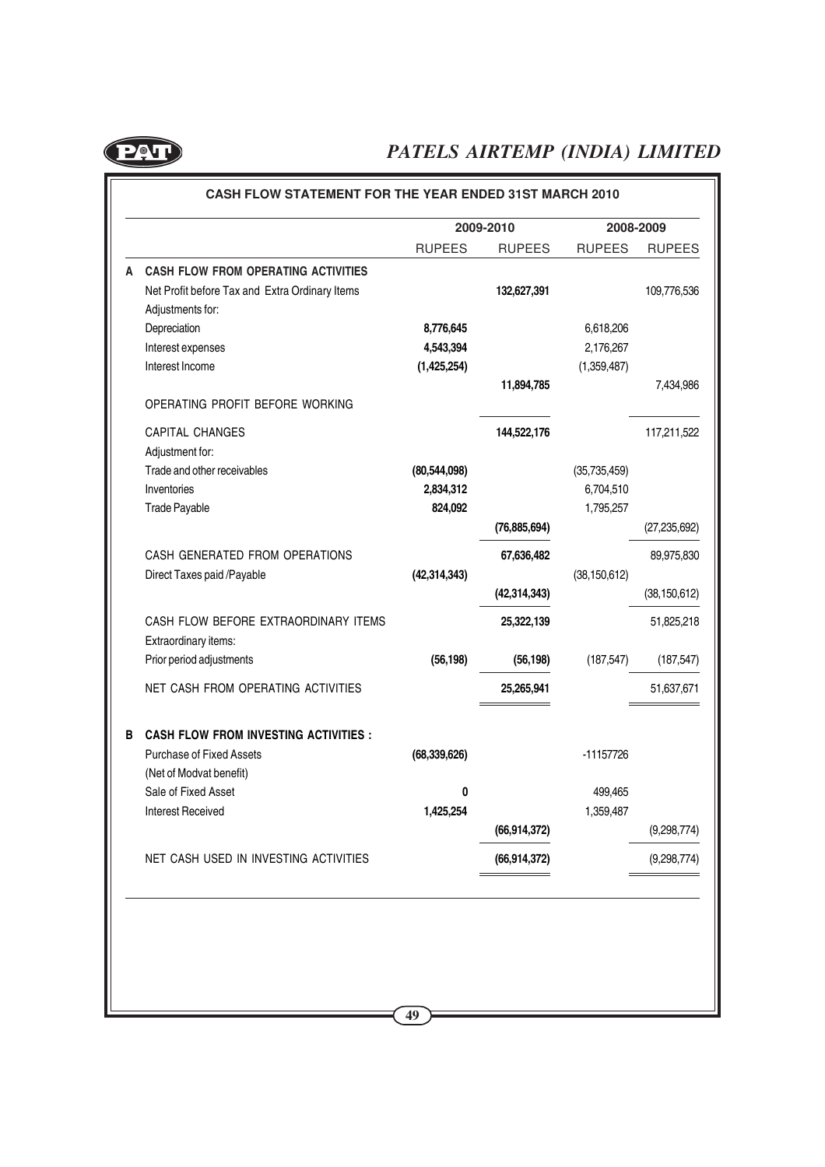

|   |                                                |                | 2009-2010      |                | 2008-2009      |
|---|------------------------------------------------|----------------|----------------|----------------|----------------|
|   |                                                | <b>RUPEES</b>  | <b>RUPEES</b>  | <b>RUPEES</b>  | <b>RUPEES</b>  |
| A | <b>CASH FLOW FROM OPERATING ACTIVITIES</b>     |                |                |                |                |
|   | Net Profit before Tax and Extra Ordinary Items |                | 132,627,391    |                | 109,776,536    |
|   | Adjustments for:                               |                |                |                |                |
|   | Depreciation                                   | 8,776,645      |                | 6,618,206      |                |
|   | Interest expenses                              | 4,543,394      |                | 2,176,267      |                |
|   | Interest Income                                | (1,425,254)    |                | (1,359,487)    |                |
|   | OPERATING PROFIT BEFORE WORKING                |                | 11,894,785     |                | 7,434,986      |
|   | <b>CAPITAL CHANGES</b>                         |                | 144,522,176    |                | 117,211,522    |
|   | Adjustment for:                                |                |                |                |                |
|   | Trade and other receivables                    | (80, 544, 098) |                | (35, 735, 459) |                |
|   | Inventories                                    | 2,834,312      |                | 6,704,510      |                |
|   | Trade Payable                                  | 824,092        |                | 1,795,257      |                |
|   |                                                |                | (76, 885, 694) |                | (27, 235, 692) |
|   | CASH GENERATED FROM OPERATIONS                 |                | 67,636,482     |                | 89,975,830     |
|   | Direct Taxes paid /Payable                     | (42, 314, 343) |                | (38, 150, 612) |                |
|   |                                                |                | (42, 314, 343) |                | (38, 150, 612) |
|   | CASH FLOW BEFORE EXTRAORDINARY ITEMS           |                | 25,322,139     |                | 51,825,218     |
|   | Extraordinary items:                           |                |                |                |                |
|   | Prior period adjustments                       | (56, 198)      | (56, 198)      | (187, 547)     | (187, 547)     |
|   | NET CASH FROM OPERATING ACTIVITIES             |                | 25,265,941     |                | 51,637,671     |
| в | <b>CASH FLOW FROM INVESTING ACTIVITIES:</b>    |                |                |                |                |
|   | <b>Purchase of Fixed Assets</b>                | (68, 339, 626) |                | -11157726      |                |
|   | (Net of Modvat benefit)                        |                |                |                |                |
|   | Sale of Fixed Asset                            | 0              |                | 499,465        |                |
|   | <b>Interest Received</b>                       | 1,425,254      |                | 1,359,487      |                |
|   |                                                |                | (66, 914, 372) |                | (9,298,774)    |
|   | NET CASH USED IN INVESTING ACTIVITIES          |                | (66, 914, 372) |                | (9,298,774)    |
|   |                                                |                |                |                |                |
|   |                                                |                |                |                |                |

**49**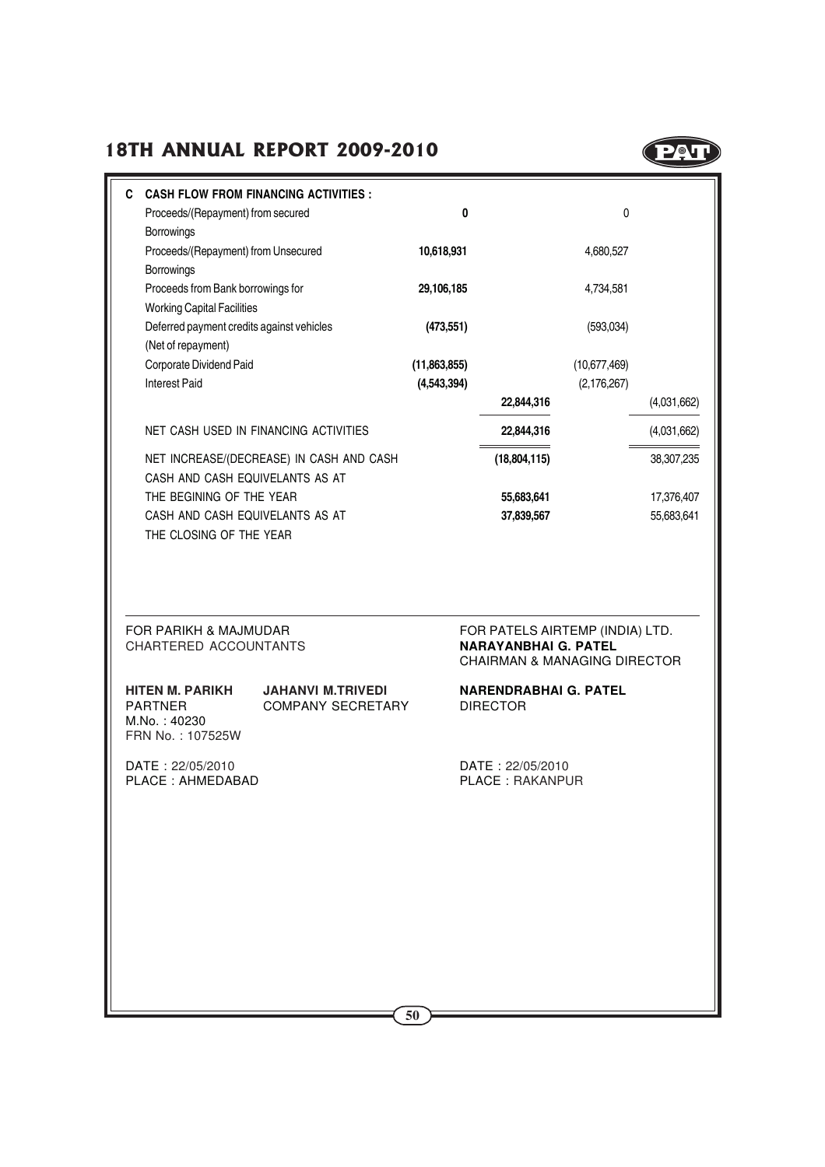

| C                                                                            | <b>CASH FLOW FROM FINANCING ACTIVITIES:</b>          |              |                                                                        |               |             |
|------------------------------------------------------------------------------|------------------------------------------------------|--------------|------------------------------------------------------------------------|---------------|-------------|
| Proceeds/(Repayment) from secured                                            |                                                      | 0            |                                                                        | 0             |             |
| Borrowings                                                                   |                                                      |              |                                                                        |               |             |
| Proceeds/(Repayment) from Unsecured                                          |                                                      | 10,618,931   |                                                                        | 4,680,527     |             |
| Borrowings<br>Proceeds from Bank borrowings for                              |                                                      | 29,106,185   |                                                                        | 4,734,581     |             |
| <b>Working Capital Facilities</b>                                            |                                                      |              |                                                                        |               |             |
| Deferred payment credits against vehicles                                    |                                                      | (473, 551)   |                                                                        | (593,034)     |             |
| (Net of repayment)                                                           |                                                      |              |                                                                        |               |             |
| Corporate Dividend Paid                                                      |                                                      | (11,863,855) |                                                                        | (10,677,469)  |             |
| <b>Interest Paid</b>                                                         |                                                      | (4,543,394)  |                                                                        | (2, 176, 267) |             |
|                                                                              |                                                      |              | 22,844,316                                                             |               | (4,031,662) |
|                                                                              | NET CASH USED IN FINANCING ACTIVITIES                |              | 22,844,316                                                             |               | (4,031,662) |
|                                                                              | NET INCREASE/(DECREASE) IN CASH AND CASH             |              | (18, 804, 115)                                                         |               | 38,307,235  |
| CASH AND CASH EQUIVELANTS AS AT                                              |                                                      |              |                                                                        |               |             |
| THE BEGINING OF THE YEAR                                                     |                                                      |              | 55,683,641                                                             |               | 17,376,407  |
| CASH AND CASH EQUIVELANTS AS AT<br>THE CLOSING OF THE YEAR                   |                                                      |              | 37,839,567                                                             |               | 55,683,641  |
| FOR PARIKH & MAJMUDAR                                                        |                                                      |              | FOR PATELS AIRTEMP (INDIA) LTD.                                        |               |             |
| CHARTERED ACCOUNTANTS                                                        |                                                      |              | <b>NARAYANBHAI G. PATEL</b><br><b>CHAIRMAN &amp; MANAGING DIRECTOR</b> |               |             |
| <b>HITEN M. PARIKH</b><br><b>PARTNER</b><br>M.No.: 40230<br>FRN No.: 107525W | <b>JAHANVI M.TRIVEDI</b><br><b>COMPANY SECRETARY</b> |              | <b>NARENDRABHAI G. PATEL</b><br><b>DIRECTOR</b>                        |               |             |
| DATE: 22/05/2010<br>PLACE : AHMEDABAD                                        |                                                      |              | DATE: 22/05/2010<br>PLACE: RAKANPUR                                    |               |             |
|                                                                              |                                                      |              |                                                                        |               |             |
|                                                                              |                                                      |              |                                                                        |               |             |
|                                                                              |                                                      |              |                                                                        |               |             |
|                                                                              |                                                      |              |                                                                        |               |             |
|                                                                              |                                                      |              |                                                                        |               |             |
|                                                                              |                                                      |              |                                                                        |               |             |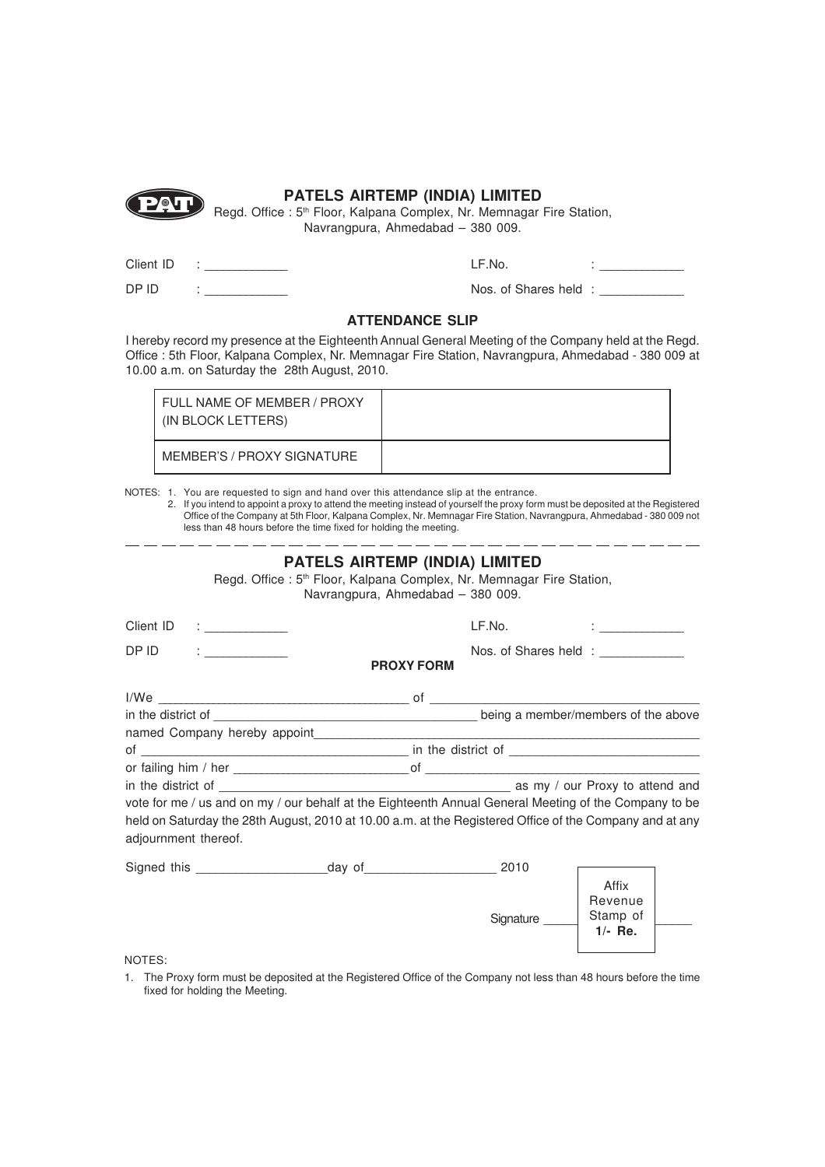

Regd. Office : 5<sup>th</sup> Floor, Kalpana Complex, Nr. Memnagar Fire Station, Navrangpura, Ahmedabad – 380 009.

| Client ID |  |
|-----------|--|
|           |  |

DP ID

LF.No.  $\qquad \qquad : \underline{\qquad}$ 

Nos. of Shares held : \_\_\_\_\_\_\_\_\_\_\_\_\_\_

#### **ATTENDANCE SLIP**

I hereby record my presence at the Eighteenth Annual General Meeting of the Company held at the Regd. Office : 5th Floor, Kalpana Complex, Nr. Memnagar Fire Station, Navrangpura, Ahmedabad - 380 009 at 10.00 a.m. on Saturday the 28th August, 2010.

| FULL NAME OF MEMBER / PROXY<br>(IN BLOCK LETTERS) |  |
|---------------------------------------------------|--|
| MEMBER'S / PROXY SIGNATURE                        |  |

NOTES: 1. You are requested to sign and hand over this attendance slip at the entrance.

2. If you intend to appoint a proxy to attend the meeting instead of yourself the proxy form must be deposited at the Registered Office of the Company at 5th Floor, Kalpana Complex, Nr. Memnagar Fire Station, Navrangpura, Ahmedabad - 380 009 not less than 48 hours before the time fixed for holding the meeting.

|                                                                | <b>PATELS AIRTEMP (INDIA) LIMITED</b><br>Regd. Office: 5 <sup>th</sup> Floor, Kalpana Complex, Nr. Memnagar Fire Station,<br>Navrangpura, Ahmedabad - 380 009. |           |                                                 |  |  |
|----------------------------------------------------------------|----------------------------------------------------------------------------------------------------------------------------------------------------------------|-----------|-------------------------------------------------|--|--|
| Client ID                                                      |                                                                                                                                                                | LF.No.    | <b>Experience of the Contract of the Second</b> |  |  |
| DP ID<br>$\mathbf{r} = \frac{1}{2} \left( \frac{1}{2} \right)$ | <b>PROXY FORM</b>                                                                                                                                              |           | Nos. of Shares held : ____________              |  |  |
|                                                                |                                                                                                                                                                |           |                                                 |  |  |
|                                                                |                                                                                                                                                                |           |                                                 |  |  |
|                                                                |                                                                                                                                                                |           |                                                 |  |  |
|                                                                |                                                                                                                                                                |           |                                                 |  |  |
|                                                                |                                                                                                                                                                |           |                                                 |  |  |
|                                                                |                                                                                                                                                                |           |                                                 |  |  |
|                                                                |                                                                                                                                                                |           |                                                 |  |  |
|                                                                | vote for me / us and on my / our behalf at the Eighteenth Annual General Meeting of the Company to be                                                          |           |                                                 |  |  |
| adjournment thereof.                                           | held on Saturday the 28th August, 2010 at 10.00 a.m. at the Registered Office of the Company and at any                                                        |           |                                                 |  |  |
|                                                                |                                                                                                                                                                |           |                                                 |  |  |
|                                                                |                                                                                                                                                                | Signature | Affix<br>Revenue<br>Stamp of<br>$1/-$ Re.       |  |  |

NOTES:

1. The Proxy form must be deposited at the Registered Office of the Company not less than 48 hours before the time fixed for holding the Meeting.